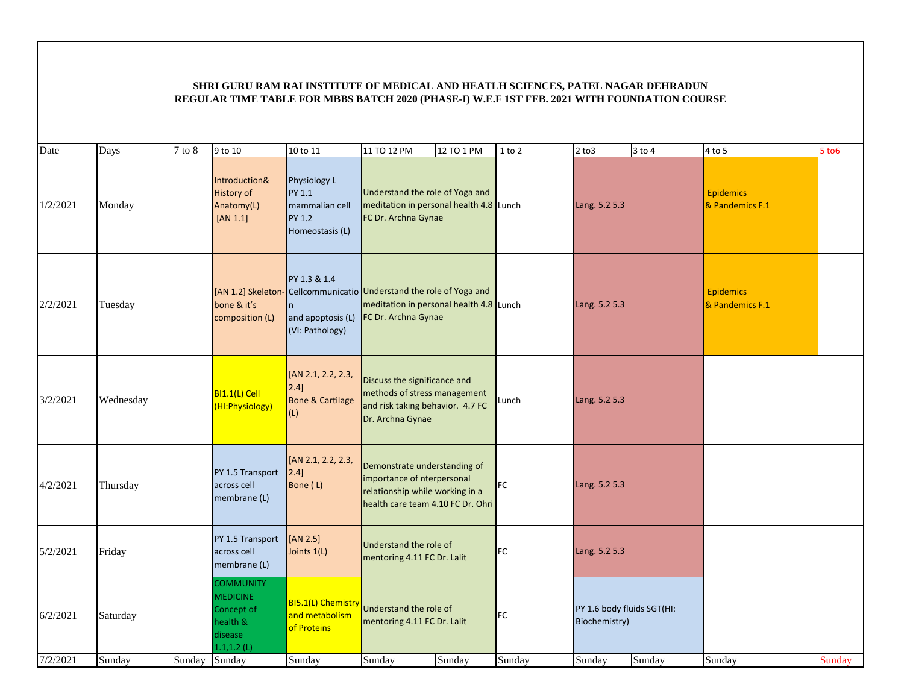| Date     | Days      | $7$ to $8\,$  | 9 to 10                                                                                    | 10 to 11                                                              | 11 TO 12 PM                                                                                                                        | 12 TO 1 PM | $1$ to $2$ | $2$ to $3$                                  | $3$ to $4$ | 4 to 5                              | $5$ to $6$ |
|----------|-----------|---------------|--------------------------------------------------------------------------------------------|-----------------------------------------------------------------------|------------------------------------------------------------------------------------------------------------------------------------|------------|------------|---------------------------------------------|------------|-------------------------------------|------------|
| 1/2/2021 | Monday    |               | Introduction&<br><b>History of</b><br>Anatomy(L)<br>$[AN 1.1]$                             | Physiology L<br>PY 1.1<br>mammalian cell<br>PY 1.2<br>Homeostasis (L) | Understand the role of Yoga and<br>meditation in personal health 4.8 Lunch<br>FC Dr. Archna Gynae                                  |            |            | Lang. 5.2 5.3                               |            | <b>Epidemics</b><br>& Pandemics F.1 |            |
| 2/2/2021 | Tuesday   |               | [AN 1.2] Skeleton-<br>bone & it's<br>composition (L)                                       | PY 1.3 & 1.4<br>n.<br>and apoptosis (L)<br>(VI: Pathology)            | Cellcommunicatio Understand the role of Yoga and<br>meditation in personal health 4.8 Lunch<br>FC Dr. Archna Gynae                 |            |            | Lang. 5.2 5.3                               |            | <b>Epidemics</b><br>& Pandemics F.1 |            |
| 3/2/2021 | Wednesday |               | BI1.1(L) Cell<br>(HI: Physiology)                                                          | [AN 2.1, 2.2, 2.3,<br>$2.4$ ]<br><b>Bone &amp; Cartilage</b><br>(L)   | Discuss the significance and<br>methods of stress management<br>and risk taking behavior. 4.7 FC<br>Dr. Archna Gynae               |            | Lunch      | Lang. 5.2 5.3                               |            |                                     |            |
| 4/2/2021 | Thursday  |               | PY 1.5 Transport<br>across cell<br>membrane (L)                                            | [AN 2.1, 2.2, 2.3,<br>$2.4$ ]<br>Bone (L)                             | Demonstrate understanding of<br>importance of nterpersonal<br>relationship while working in a<br>health care team 4.10 FC Dr. Ohri |            | FC         | Lang. 5.2 5.3                               |            |                                     |            |
| 5/2/2021 | Friday    |               | PY 1.5 Transport<br>across cell<br>membrane (L)                                            | [AN 2.5]<br>Joints 1(L)                                               | Understand the role of<br>mentoring 4.11 FC Dr. Lalit                                                                              |            | FC         | Lang. 5.2 5.3                               |            |                                     |            |
| 6/2/2021 | Saturday  |               | <b>COMMUNITY</b><br><b>MEDICINE</b><br>Concept of<br>health &<br>disease<br>$1.1, 1.2$ (L) | <b>BI5.1(L) Chemistry</b><br>and metabolism<br>of Proteins            | Understand the role of<br>mentoring 4.11 FC Dr. Lalit                                                                              |            | FC         | PY 1.6 body fluids SGT(HI:<br>Biochemistry) |            |                                     |            |
| 7/2/2021 | Sunday    | Sunday Sunday |                                                                                            | Sunday                                                                | Sunday                                                                                                                             | Sunday     | Sunday     | Sunday                                      | Sunday     | Sunday                              | Sunday     |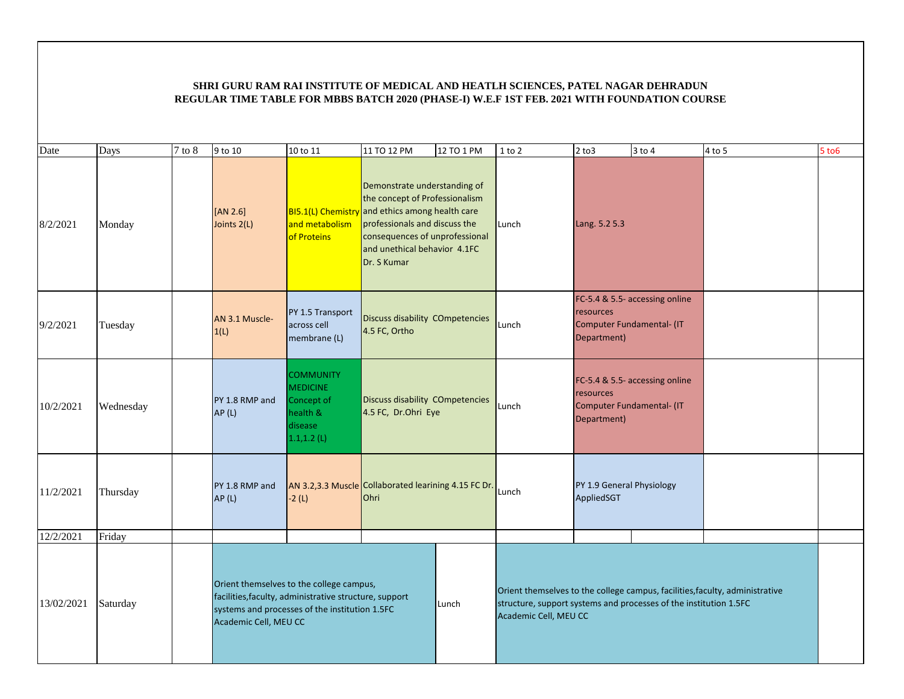| Date       | Days      | $7$ to $8$ | 9 to 10                                                                                                                                                                       | 10 to 11                                                                                   | 11 TO 12 PM                                            | 12 TO 1 PM                                                                                                                                                                                                                    | $1$ to $2$                                                                                 | $2$ to $3$                                            | $3$ to $4$                     | 4 to 5                                                                       | $5$ to $6$ |
|------------|-----------|------------|-------------------------------------------------------------------------------------------------------------------------------------------------------------------------------|--------------------------------------------------------------------------------------------|--------------------------------------------------------|-------------------------------------------------------------------------------------------------------------------------------------------------------------------------------------------------------------------------------|--------------------------------------------------------------------------------------------|-------------------------------------------------------|--------------------------------|------------------------------------------------------------------------------|------------|
| 8/2/2021   | Monday    |            | [AN 2.6]<br>Joints 2(L)                                                                                                                                                       | and metabolism<br>of Proteins                                                              | Dr. S Kumar                                            | Demonstrate understanding of<br>the concept of Professionalism<br>BI5.1(L) Chemistry and ethics among health care<br>professionals and discuss the<br>Lunch<br>consequences of unprofessional<br>and unethical behavior 4.1FC |                                                                                            | Lang. 5.2 5.3                                         |                                |                                                                              |            |
| 9/2/2021   | Tuesday   |            | AN 3.1 Muscle-<br>1(L)                                                                                                                                                        | PY 1.5 Transport<br>across cell<br>membrane (L)                                            | Discuss disability COmpetencies<br>4.5 FC, Ortho       |                                                                                                                                                                                                                               | Lunch                                                                                      | resources<br>Computer Fundamental- (IT<br>Department) | FC-5.4 & 5.5- accessing online |                                                                              |            |
| 10/2/2021  | Wednesday |            | PY 1.8 RMP and<br>AP(L)                                                                                                                                                       | <b>COMMUNITY</b><br><b>MEDICINE</b><br>Concept of<br>health &<br>disease<br>$1.1, 1.2$ (L) | Discuss disability COmpetencies<br>4.5 FC, Dr.Ohri Eye |                                                                                                                                                                                                                               | Lunch                                                                                      | resources<br>Computer Fundamental- (IT<br>Department) | FC-5.4 & 5.5- accessing online |                                                                              |            |
| 11/2/2021  | Thursday  |            | PY 1.8 RMP and<br>AP(L)                                                                                                                                                       | AN 3.2,3.3 Muscle Collaborated learining 4.15 FC Dr.<br>$-2(L)$                            | Ohri                                                   |                                                                                                                                                                                                                               | Lunch                                                                                      | PY 1.9 General Physiology<br>AppliedSGT               |                                |                                                                              |            |
| 12/2/2021  | Friday    |            |                                                                                                                                                                               |                                                                                            |                                                        |                                                                                                                                                                                                                               |                                                                                            |                                                       |                                |                                                                              |            |
| 13/02/2021 | Saturday  |            | Orient themselves to the college campus,<br>facilities, faculty, administrative structure, support<br>systems and processes of the institution 1.5FC<br>Academic Cell, MEU CC |                                                                                            |                                                        | Lunch                                                                                                                                                                                                                         | structure, support systems and processes of the institution 1.5FC<br>Academic Cell, MEU CC |                                                       |                                | Orient themselves to the college campus, facilities, faculty, administrative |            |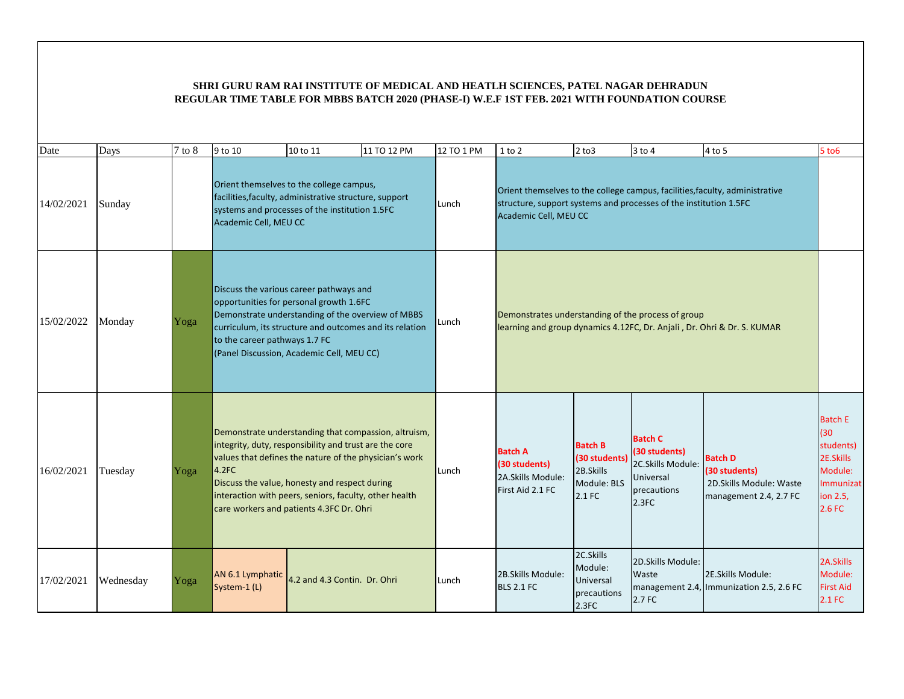| Date       | Days      | $7$ to $8$ | 9 to 10                                                                                                                                                                                                                                                                                                                                  | 10 to 11                                                                                                                                                                                                                                        | 11 TO 12 PM | 12 TO 1 PM | 1 to 2                                                                                                                        | $2$ to $3$                                                            | $3$ to 4                                                                                  | 4 to 5                                                                                | $5$ to $6$                                                                                     |
|------------|-----------|------------|------------------------------------------------------------------------------------------------------------------------------------------------------------------------------------------------------------------------------------------------------------------------------------------------------------------------------------------|-------------------------------------------------------------------------------------------------------------------------------------------------------------------------------------------------------------------------------------------------|-------------|------------|-------------------------------------------------------------------------------------------------------------------------------|-----------------------------------------------------------------------|-------------------------------------------------------------------------------------------|---------------------------------------------------------------------------------------|------------------------------------------------------------------------------------------------|
| 14/02/2021 | Sunday    |            | Orient themselves to the college campus,<br>facilities, faculty, administrative structure, support<br>systems and processes of the institution 1.5FC<br>Academic Cell, MEU CC                                                                                                                                                            |                                                                                                                                                                                                                                                 |             | Lunch      | structure, support systems and processes of the institution 1.5FC<br>Academic Cell, MEU CC                                    |                                                                       |                                                                                           | Orient themselves to the college campus, facilities, faculty, administrative          |                                                                                                |
| 15/02/2022 | Monday    | Yoga       | to the career pathways 1.7 FC                                                                                                                                                                                                                                                                                                            | Discuss the various career pathways and<br>opportunities for personal growth 1.6FC<br>Demonstrate understanding of the overview of MBBS<br>curriculum, its structure and outcomes and its relation<br>(Panel Discussion, Academic Cell, MEU CC) |             | Lunch      | Demonstrates understanding of the process of group<br>learning and group dynamics 4.12FC, Dr. Anjali, Dr. Ohri & Dr. S. KUMAR |                                                                       |                                                                                           |                                                                                       |                                                                                                |
| 16/02/2021 | Tuesday   | Yoga       | Demonstrate understanding that compassion, altruism,<br>integrity, duty, responsibility and trust are the core<br>values that defines the nature of the physician's work<br>4.2FC<br>Discuss the value, honesty and respect during<br>interaction with peers, seniors, faculty, other health<br>care workers and patients 4.3FC Dr. Ohri |                                                                                                                                                                                                                                                 |             | Lunch      | <b>Batch A</b><br>(30 students)<br>2A.Skills Module:<br>First Aid 2.1 FC                                                      | <b>Batch B</b><br>(30 students)<br>2B.Skills<br>Module: BLS<br>2.1 FC | <b>Batch C</b><br>(30 students)<br>2C.Skills Module:<br>Universal<br>precautions<br>2.3FC | <b>Batch D</b><br>(30 students)<br>2D. Skills Module: Waste<br>management 2.4, 2.7 FC | <b>Batch E</b><br>(30)<br>students)<br>2E.Skills<br>Module:<br>Immunizat<br>ion 2.5,<br>2.6 FC |
| 17/02/2021 | Wednesday | Yoga       | AN 6.1 Lymphatic<br>System-1 (L)                                                                                                                                                                                                                                                                                                         | 4.2 and 4.3 Contin. Dr. Ohri                                                                                                                                                                                                                    |             | Lunch      | 2B.Skills Module:<br><b>BLS 2.1 FC</b>                                                                                        | 2C.Skills<br>Module:<br>Universal<br>precautions<br>2.3FC             | 2D.Skills Module:<br>Waste<br>2.7 FC                                                      | 2E.Skills Module:<br>management 2.4, Immunization 2.5, 2.6 FC                         | 2A.Skills<br>Module:<br><b>First Aid</b><br>2.1 FC                                             |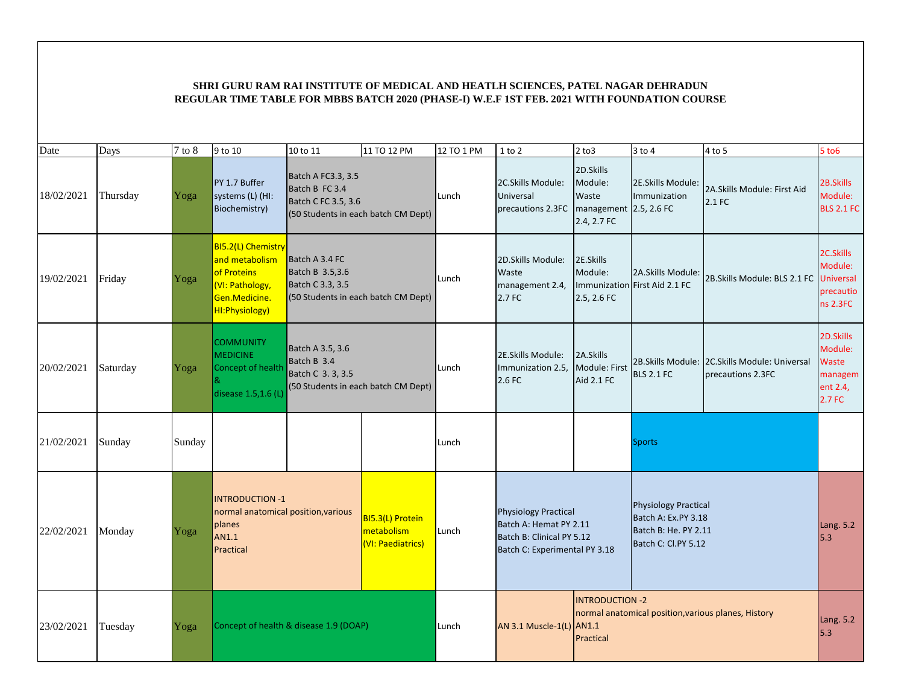| Date       | Days     | $7$ to $8$ | 9 to 10                                                                                                    | 10 to 11                                                    | 11 TO 12 PM                                         | 12 TO 1 PM | $1$ to $2$                                                                                                          | $2$ to $3$                                                             | $3$ to $4$                                                                                        | 4 to 5                                                               | 5 to 6                                                            |
|------------|----------|------------|------------------------------------------------------------------------------------------------------------|-------------------------------------------------------------|-----------------------------------------------------|------------|---------------------------------------------------------------------------------------------------------------------|------------------------------------------------------------------------|---------------------------------------------------------------------------------------------------|----------------------------------------------------------------------|-------------------------------------------------------------------|
| 18/02/2021 | Thursday | Yoga       | PY 1.7 Buffer<br>systems (L) (HI:<br>Biochemistry)                                                         | Batch A FC3.3, 3.5<br>Batch B FC 3.4<br>Batch C FC 3.5, 3.6 | (50 Students in each batch CM Dept)                 | Lunch      | 2C.Skills Module:<br>Universal<br>precautions 2.3FC                                                                 | 2D.Skills<br>Module:<br>Waste<br>management 2.5, 2.6 FC<br>2.4, 2.7 FC | 2E.Skills Module:<br>Immunization                                                                 | 2A.Skills Module: First Aid<br>2.1 FC                                | 2B.Skills<br>Module:<br><b>BLS 2.1 FC</b>                         |
| 19/02/2021 | Friday   | Yoga       | BI5.2(L) Chemistry<br>and metabolism<br>of Proteins<br>(VI: Pathology,<br>Gen.Medicine.<br>HI: Physiology) | Batch A 3.4 FC<br>Batch B 3.5,3.6<br>Batch C 3.3, 3.5       | (50 Students in each batch CM Dept)                 | Lunch      | 2D.Skills Module:<br>Waste<br>management 2.4,<br>2.7 FC                                                             | 2E.Skills<br>Module:<br>2.5, 2.6 FC                                    | 2A.Skills Module:<br>Immunization First Aid 2.1 FC                                                | 2B. Skills Module: BLS 2.1 FC                                        | 2C.Skills<br>Module:<br><b>Universal</b><br>precautio<br>ns 2.3FC |
| 20/02/2021 | Saturday | Yoga       | <b>COMMUNITY</b><br><b>MEDICINE</b><br>Concept of health<br>disease 1.5,1.6 (L)                            | Batch A 3.5, 3.6<br>Batch B 3.4<br>Batch C 3. 3, 3.5        | (50 Students in each batch CM Dept)                 | Lunch      | 2E.Skills Module:<br>Immunization 2.5,<br>2.6 FC                                                                    | 2A.Skills<br>Module: First<br>Aid 2.1 FC                               | <b>BLS 2.1 FC</b>                                                                                 | 2B. Skills Module: 2C. Skills Module: Universal<br>precautions 2.3FC | 2D.Skills<br>Module:<br>Waste<br>managem<br>ent 2.4,<br>2.7 FC    |
| 21/02/2021 | Sunday   | Sunday     |                                                                                                            |                                                             |                                                     | Lunch      |                                                                                                                     |                                                                        | <b>Sports</b>                                                                                     |                                                                      |                                                                   |
| 22/02/2021 | Monday   | Yoga       | <b>INTRODUCTION -1</b><br>normal anatomical position, various<br>planes<br>AN1.1<br>Practical              |                                                             | BI5.3(L) Protein<br>metabolism<br>(VI: Paediatrics) | Lunch      | <b>Physiology Practical</b><br>Batch A: Hemat PY 2.11<br>Batch B: Clinical PY 5.12<br>Batch C: Experimental PY 3.18 |                                                                        | <b>Physiology Practical</b><br>Batch A: Ex.PY 3.18<br>Batch B: He. PY 2.11<br>Batch C: Cl.PY 5.12 |                                                                      | Lang. 5.2<br>5.3                                                  |
| 23/02/2021 | Tuesday  | Yoga       | Concept of health & disease 1.9 (DOAP)                                                                     |                                                             |                                                     | Lunch      | AN 3.1 Muscle-1(L)                                                                                                  | <b>INTRODUCTION -2</b><br><b>AN1.1</b><br>Practical                    |                                                                                                   | normal anatomical position, various planes, History                  | Lang. 5.2<br>5.3                                                  |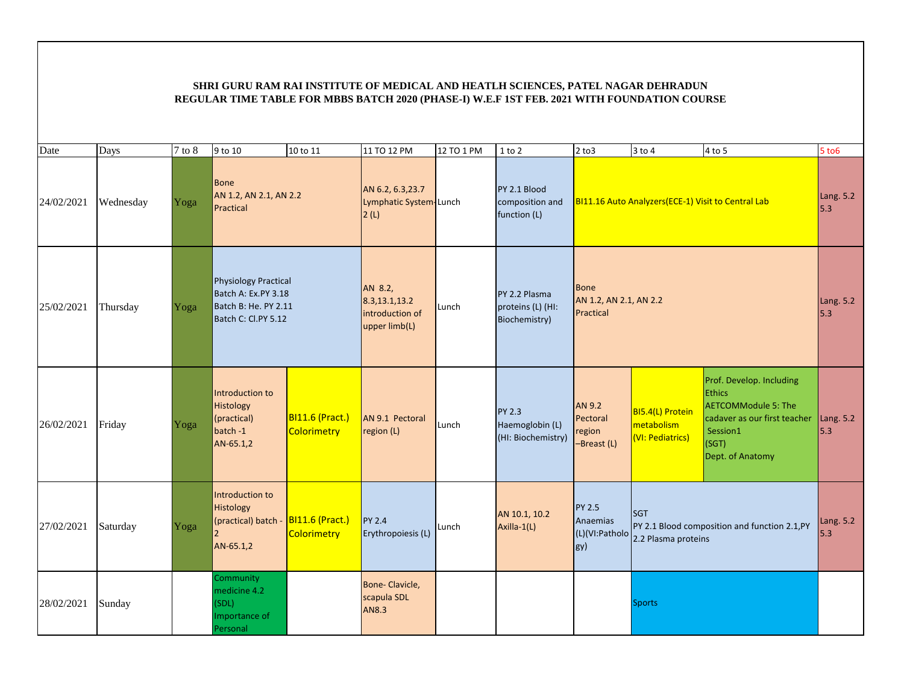| Date       | Days      | 7 to 8 | 9 to 10                                                                                           | 10 to 11                                     | 11 TO 12 PM                                                  | 12 TO 1 PM | $1$ to $2$                                             | $2$ to $3$                                         | 3 to 4                                             | $4$ to 5                                                                                                                                         | $5$ to $6$       |
|------------|-----------|--------|---------------------------------------------------------------------------------------------------|----------------------------------------------|--------------------------------------------------------------|------------|--------------------------------------------------------|----------------------------------------------------|----------------------------------------------------|--------------------------------------------------------------------------------------------------------------------------------------------------|------------------|
| 24/02/2021 | Wednesday | Yoga   | <b>Bone</b><br>AN 1.2, AN 2.1, AN 2.2<br>Practical                                                |                                              | AN 6.2, 6.3, 23.7<br>Lymphatic System-Lunch<br>2(L)          |            | PY 2.1 Blood<br>composition and<br>function (L)        |                                                    | BI11.16 Auto Analyzers(ECE-1) Visit to Central Lab |                                                                                                                                                  | Lang. 5.2<br>5.3 |
| 25/02/2021 | Thursday  | Yoga   | <b>Physiology Practical</b><br>Batch A: Ex.PY 3.18<br>Batch B: He. PY 2.11<br>Batch C: Cl.PY 5.12 |                                              | AN 8.2,<br>8.3,13.1,13.2<br>introduction of<br>upper limb(L) | Lunch      | PY 2.2 Plasma<br>proteins (L) (HI:<br>Biochemistry)    | Bone<br>AN 1.2, AN 2.1, AN 2.2<br>Practical        |                                                    |                                                                                                                                                  | Lang. 5.2<br>5.3 |
| 26/02/2021 | Friday    | Yoga   | Introduction to<br>Histology<br>(practical)<br>batch -1<br>AN-65.1,2                              | <b>BI11.6 (Pract.)</b><br><b>Colorimetry</b> | AN 9.1 Pectoral<br>region (L)                                | Lunch      | <b>PY 2.3</b><br>Haemoglobin (L)<br>(HI: Biochemistry) | <b>AN 9.2</b><br>Pectoral<br>region<br>-Breast (L) | BI5.4(L) Protein<br>metabolism<br>(VI: Pediatrics) | Prof. Develop. Including<br><b>Ethics</b><br><b>AETCOMModule 5: The</b><br>cadaver as our first teacher<br>Session1<br>(SGT)<br>Dept. of Anatomy | Lang. 5.2<br>5.3 |
| 27/02/2021 | Saturday  | Yoga   | Introduction to<br>Histology<br>(practical) batch -<br>AN-65.1,2                                  | <b>BI11.6 (Pract.)</b><br><b>Colorimetry</b> | <b>PY 2.4</b><br>Erythropoiesis (L)                          | Lunch      | AN 10.1, 10.2<br>Axilla-1(L)                           | <b>PY 2.5</b><br>Anaemias<br>(L)(VI:Patholo<br>gy) | <b>SGT</b><br>2.2 Plasma proteins                  | PY 2.1 Blood composition and function 2.1, PY                                                                                                    | Lang. 5.2<br>5.3 |
| 28/02/2021 | Sunday    |        | <b>Community</b><br>medicine 4.2<br>(SDL)<br>Importance of<br>Personal                            |                                              | Bone-Clavicle,<br>scapula SDL<br>AN8.3                       |            |                                                        |                                                    | Sports                                             |                                                                                                                                                  |                  |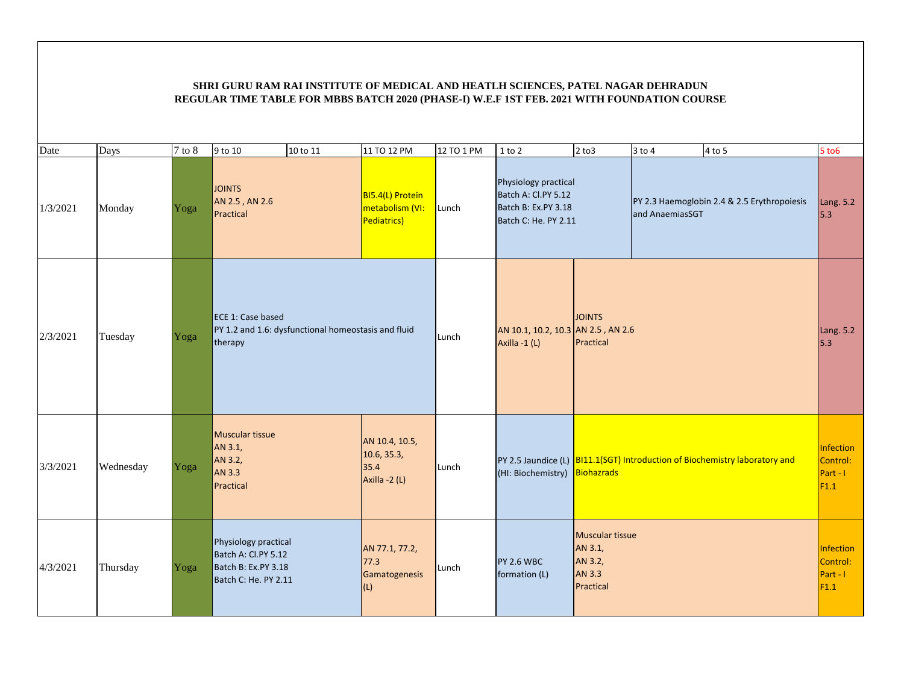| Date     | Days      | $7$ to $8$ | 9 to 10<br>10 to 11                                                                        | 11 TO 12 PM                                            | 12 TO 1 PM | $1$ to $2$                                                                                 | $2$ to $3$                                                          | $3$ to $4$      | $4$ to 5                                                                    | $5$ to $6$                                |
|----------|-----------|------------|--------------------------------------------------------------------------------------------|--------------------------------------------------------|------------|--------------------------------------------------------------------------------------------|---------------------------------------------------------------------|-----------------|-----------------------------------------------------------------------------|-------------------------------------------|
| 1/3/2021 | Monday    | Yoga       | <b>JOINTS</b><br>AN 2.5, AN 2.6<br>Practical                                               | BI5.4(L) Protein<br>metabolism (VI:<br>Pediatrics)     | Lunch      | Physiology practical<br>Batch A: Cl.PY 5.12<br>Batch B: Ex.PY 3.18<br>Batch C: He. PY 2.11 |                                                                     | and AnaemiasSGT | PY 2.3 Haemoglobin 2.4 & 2.5 Erythropoiesis                                 | Lang. 5.2<br>5.3                          |
| 2/3/2021 | Tuesday   | Yoga       | ECE 1: Case based<br>PY 1.2 and 1.6: dysfunctional homeostasis and fluid<br>therapy        |                                                        | Lunch      | AN 10.1, 10.2, 10.3 AN 2.5, AN 2.6<br>Axilla -1 (L)                                        | <b>JOINTS</b><br>Practical                                          |                 |                                                                             | Lang. 5.2<br>5.3                          |
| 3/3/2021 | Wednesday | Yoga       | <b>Muscular tissue</b><br>AN 3.1,<br>AN 3.2,<br>AN 3.3<br>Practical                        | AN 10.4, 10.5,<br>10.6, 35.3,<br>35.4<br>Axilla -2 (L) | Lunch      | (HI: Biochemistry)                                                                         | <b>Biohazrads</b>                                                   |                 | PY 2.5 Jaundice (L) BI11.1(SGT) Introduction of Biochemistry laboratory and | Infection<br>Control:<br>Part - I<br>F1.1 |
| 4/3/2021 | Thursday  | Yoga       | Physiology practical<br>Batch A: Cl.PY 5.12<br>Batch B: Ex.PY 3.18<br>Batch C: He. PY 2.11 | AN 77.1, 77.2,<br>$77.3$<br>Gamatogenesis<br>(L)       | Lunch      | <b>PY 2.6 WBC</b><br>formation (L)                                                         | <b>Muscular tissue</b><br>AN 3.1,<br>AN 3.2,<br>AN 3.3<br>Practical |                 |                                                                             | Infection<br>Control:<br>Part - I<br>F1.1 |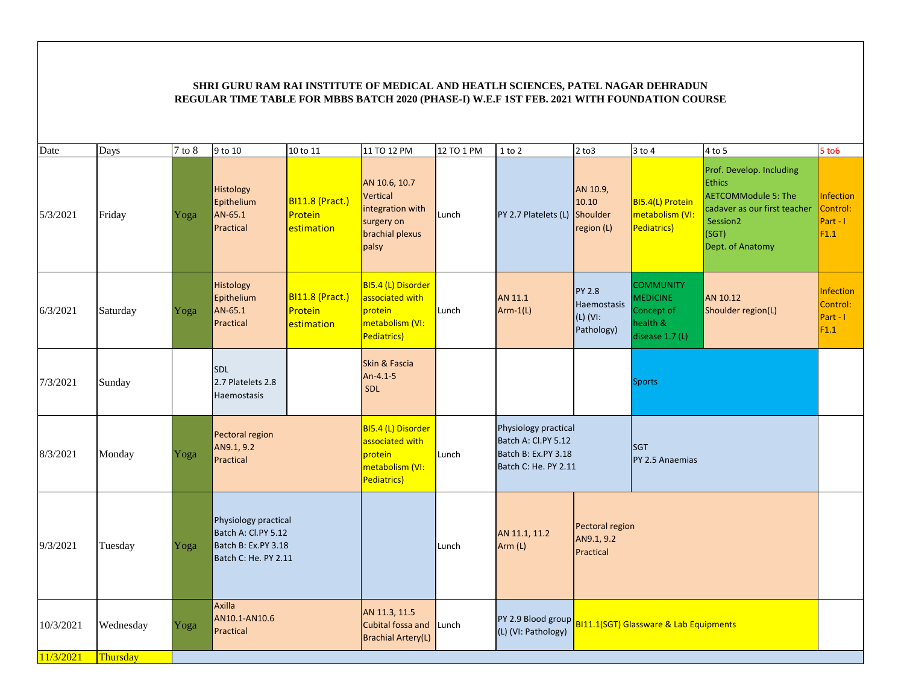| Date      | Days      | $7$ to $8$ | 9 to 10                                                                                    | 10 to 11                                        | 11 TO 12 PM                                                                                    | 12 TO 1 PM | $1$ to $2$                                                                                 | $2$ to $3$                                             | $3$ to $4$                                                                       | $4$ to 5                                                                                                                                                     | $5$ to $6$                                       |
|-----------|-----------|------------|--------------------------------------------------------------------------------------------|-------------------------------------------------|------------------------------------------------------------------------------------------------|------------|--------------------------------------------------------------------------------------------|--------------------------------------------------------|----------------------------------------------------------------------------------|--------------------------------------------------------------------------------------------------------------------------------------------------------------|--------------------------------------------------|
| 5/3/2021  | Friday    | Yoga       | Histology<br>Epithelium<br>AN-65.1<br>Practical                                            | <b>BI11.8 (Pract.)</b><br>Protein<br>estimation | AN 10.6, 10.7<br><b>Vertical</b><br>integration with<br>surgery on<br>brachial plexus<br>palsy | Lunch      | PY 2.7 Platelets (L)                                                                       | AN 10.9,<br>10.10<br>Shoulder<br>region (L)            | BI5.4(L) Protein<br>metabolism (VI:<br>Pediatrics)                               | Prof. Develop. Including<br><b>Ethics</b><br><b>AETCOMModule 5: The</b><br>cadaver as our first teacher<br>Session <sub>2</sub><br>(SGT)<br>Dept. of Anatomy | <b>Infection</b><br>Control:<br>Part - I<br>F1.1 |
| 6/3/2021  | Saturday  | Yoga       | Histology<br>Epithelium<br>AN-65.1<br>Practical                                            | <b>BI11.8 (Pract.)</b><br>Protein<br>estimation | BI5.4 (L) Disorder<br>associated with<br>protein<br>metabolism (VI:<br>Pediatrics)             | Lunch      | AN 11.1<br>$Arm-1(L)$                                                                      | <b>PY 2.8</b><br>Haemostasis<br>(L) (VI:<br>Pathology) | <b>COMMUNITY</b><br><b>MEDICINE</b><br>Concept of<br>health &<br>disease 1.7 (L) | AN 10.12<br>Shoulder region(L)                                                                                                                               | <b>Infection</b><br>Control:<br>Part - I<br>F1.1 |
| 7/3/2021  | Sunday    |            | <b>SDL</b><br>2.7 Platelets 2.8<br>Haemostasis                                             |                                                 | Skin & Fascia<br>An-4.1-5<br><b>SDL</b>                                                        |            |                                                                                            |                                                        | <b>Sports</b>                                                                    |                                                                                                                                                              |                                                  |
| 8/3/2021  | Monday    | Yoga       | Pectoral region<br>AN9.1, 9.2<br>Practical                                                 |                                                 | BI5.4 (L) Disorder<br>associated with<br>protein<br>metabolism (VI:<br>Pediatrics)             | Lunch      | Physiology practical<br>Batch A: Cl.PY 5.12<br>Batch B: Ex.PY 3.18<br>Batch C: He. PY 2.11 |                                                        | <b>SGT</b><br>PY 2.5 Anaemias                                                    |                                                                                                                                                              |                                                  |
| 9/3/2021  | Tuesday   | Yoga       | Physiology practical<br>Batch A: Cl.PY 5.12<br>Batch B: Ex.PY 3.18<br>Batch C: He. PY 2.11 |                                                 |                                                                                                | Lunch      | AN 11.1, 11.2<br>Arm (L)                                                                   | Pectoral region<br>AN9.1, 9.2<br>Practical             |                                                                                  |                                                                                                                                                              |                                                  |
| 10/3/2021 | Wednesday | Yoga       | <b>Axilla</b><br>AN10.1-AN10.6<br>Practical                                                |                                                 | AN 11.3, 11.5<br>Cubital fossa and<br><b>Brachial Artery(L)</b>                                | Lunch      | PY 2.9 Blood group<br>(L) (VI: Pathology)                                                  |                                                        | BI11.1(SGT) Glassware & Lab Equipments                                           |                                                                                                                                                              |                                                  |
| 11/3/2021 | Thursday  |            |                                                                                            |                                                 |                                                                                                |            |                                                                                            |                                                        |                                                                                  |                                                                                                                                                              |                                                  |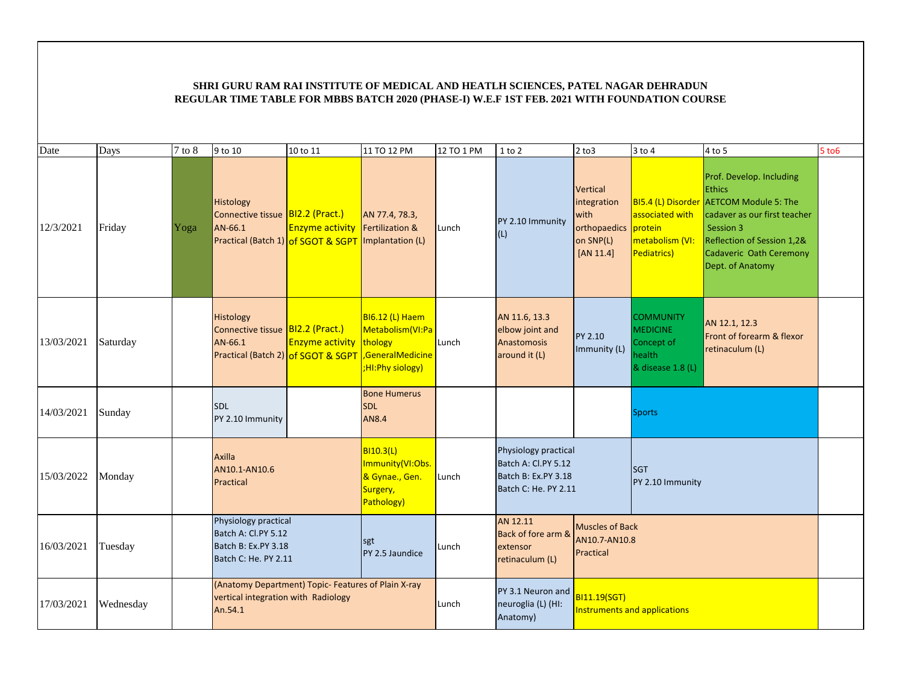| Date       | Days      | $7$ to $8$ | 9 to 10                                                                                        | 10 to 11                                                     | 11 TO 12 PM                                                                        | 12 TO 1 PM | $1$ to $2$                                                                                 | $2$ to $3$                                                                | $3$ to $4$                                                                       | 4 to 5                                                                                                                                                                                                                | 5 to 6 |
|------------|-----------|------------|------------------------------------------------------------------------------------------------|--------------------------------------------------------------|------------------------------------------------------------------------------------|------------|--------------------------------------------------------------------------------------------|---------------------------------------------------------------------------|----------------------------------------------------------------------------------|-----------------------------------------------------------------------------------------------------------------------------------------------------------------------------------------------------------------------|--------|
| 12/3/2021  | Friday    | Yoga       | Histology<br>Connective tissue BI2.2 (Pract.)<br>AN-66.1                                       | <b>Enzyme activity</b><br>Practical (Batch 1) of SGOT & SGPT | AN 77.4, 78.3,<br>Fertilization &<br>Implantation (L)                              | Lunch      | PY 2.10 Immunity<br>(L)                                                                    | Vertical<br>integration<br>with<br>orthopaedics<br>on SNP(L)<br>[AN 11.4] | associated with<br><b>I</b> protein<br>metabolism (VI:<br>Pediatrics)            | Prof. Develop. Including<br><b>Ethics</b><br><b>BI5.4 (L) Disorder AETCOM Module 5: The</b><br>cadaver as our first teacher<br>Session 3<br>Reflection of Session 1,2&<br>Cadaveric Oath Ceremony<br>Dept. of Anatomy |        |
| 13/03/2021 | Saturday  |            | Histology<br>Connective tissue BI2.2 (Pract.)<br>AN-66.1<br>Practical (Batch 2) of SGOT & SGPT | <b>Enzyme activity thology</b>                               | <b>BI6.12 (L) Haem</b><br>Metabolism (VI:Pa<br>GeneralMedicine<br>;HI:Phy siology) | Lunch      | AN 11.6, 13.3<br>elbow joint and<br>Anastomosis<br>around it (L)                           | <b>PY 2.10</b><br>Immunity (L)                                            | <b>COMMUNITY</b><br><b>MEDICINE</b><br>Concept of<br>health<br>& disease 1.8 (L) | AN 12.1, 12.3<br>Front of forearm & flexor<br>retinaculum (L)                                                                                                                                                         |        |
| 14/03/2021 | Sunday    |            | <b>SDL</b><br>PY 2.10 Immunity                                                                 |                                                              | <b>Bone Humerus</b><br><b>SDL</b><br><b>AN8.4</b>                                  |            |                                                                                            |                                                                           | <b>Sports</b>                                                                    |                                                                                                                                                                                                                       |        |
| 15/03/2022 | Monday    |            | Axilla<br>AN10.1-AN10.6<br>Practical                                                           |                                                              | BI10.3(L)<br>Immunity(VI:Obs.<br>& Gynae., Gen.<br>Surgery,<br>Pathology)          | Lunch      | Physiology practical<br>Batch A: Cl.PY 5.12<br>Batch B: Ex.PY 3.18<br>Batch C: He. PY 2.11 |                                                                           | <b>SGT</b><br>PY 2.10 Immunity                                                   |                                                                                                                                                                                                                       |        |
| 16/03/2021 | Tuesday   |            | Physiology practical<br>Batch A: Cl.PY 5.12<br>Batch B: Ex.PY 3.18<br>Batch C: He. PY 2.11     |                                                              | sgt<br>PY 2.5 Jaundice                                                             | Lunch      | AN 12.11<br>Back of fore arm &<br>extensor<br>retinaculum (L)                              | <b>Muscles of Back</b><br>AN10.7-AN10.8<br>Practical                      |                                                                                  |                                                                                                                                                                                                                       |        |
| 17/03/2021 | Wednesday |            | vertical integration with Radiology<br>An.54.1                                                 | (Anatomy Department) Topic- Features of Plain X-ray          |                                                                                    | Lunch      | PY 3.1 Neuron and<br>neuroglia (L) (HI:<br>Anatomy)                                        | <b>BI11.19(SGT)</b>                                                       | <b>Instruments and applications</b>                                              |                                                                                                                                                                                                                       |        |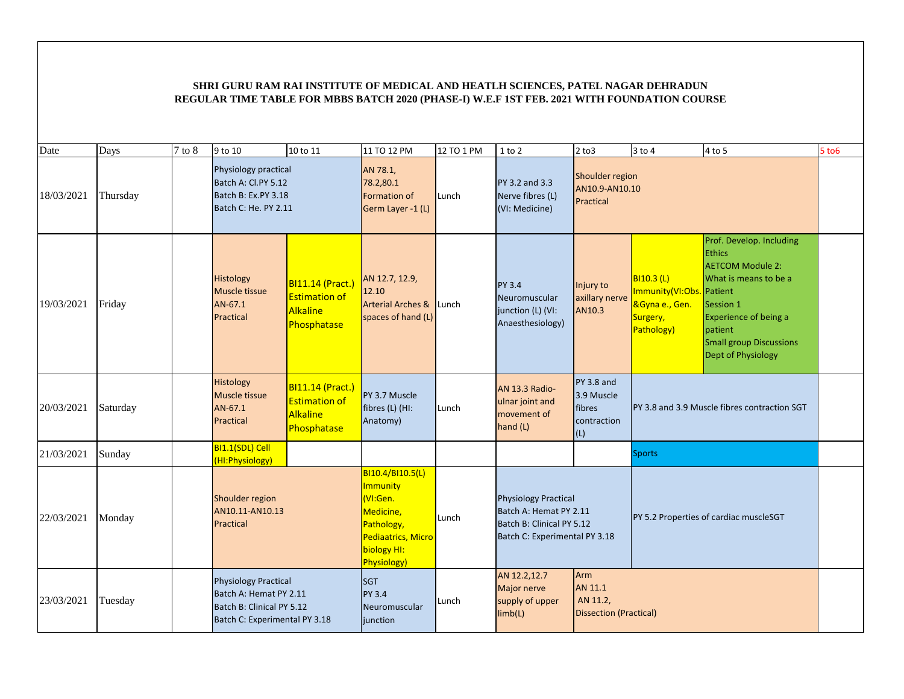| Date       | Days     | $7$ to $8$ | 9 to 10                                                                                                             | 10 to 11                                                                          | 11 TO 12 PM                                                                                                                   | 12 TO 1 PM | $1$ to $2$                                                                                                          | $2$ to $3$                                                  | $3$ to $4$                                                                                | 4 to 5                                                                                                                                                                                                        | 5 to 6 |
|------------|----------|------------|---------------------------------------------------------------------------------------------------------------------|-----------------------------------------------------------------------------------|-------------------------------------------------------------------------------------------------------------------------------|------------|---------------------------------------------------------------------------------------------------------------------|-------------------------------------------------------------|-------------------------------------------------------------------------------------------|---------------------------------------------------------------------------------------------------------------------------------------------------------------------------------------------------------------|--------|
| 18/03/2021 | Thursday |            | Physiology practical<br>Batch A: Cl.PY 5.12<br>Batch B: Ex.PY 3.18<br>Batch C: He. PY 2.11                          |                                                                                   | AN 78.1,<br>78.2,80.1<br>Formation of<br>Germ Layer -1 (L)                                                                    | Lunch      | PY 3.2 and 3.3<br>Nerve fibres (L)<br>(VI: Medicine)                                                                | Shoulder region<br>AN10.9-AN10.10<br>Practical              |                                                                                           |                                                                                                                                                                                                               |        |
| 19/03/2021 | Friday   |            | Histology<br>Muscle tissue<br>AN-67.1<br>Practical                                                                  | <b>BI11.14 (Pract.)</b><br><b>Estimation of</b><br><b>Alkaline</b><br>Phosphatase | AN 12.7, 12.9,<br>12.10<br><b>Arterial Arches &amp;</b><br>spaces of hand (L)                                                 | Lunch      | <b>PY 3.4</b><br>Neuromuscular<br>junction (L) (VI:<br>Anaesthesiology)                                             | Injury to<br>axillary nerve<br>AN10.3                       | <b>BI10.3 (L)</b><br>Immunity(VI:Obs. Patient<br>&Gyna e., Gen.<br>Surgery,<br>Pathology) | Prof. Develop. Including<br><b>Ethics</b><br><b>AETCOM Module 2:</b><br>What is means to be a<br>Session 1<br><b>Experience of being a</b><br>patient<br><b>Small group Discussions</b><br>Dept of Physiology |        |
| 20/03/2021 | Saturday |            | Histology<br>Muscle tissue<br>AN-67.1<br>Practical                                                                  | <b>BI11.14 (Pract.)</b><br><b>Estimation of</b><br><b>Alkaline</b><br>Phosphatase | PY 3.7 Muscle<br>fibres (L) (HI:<br>Anatomy)                                                                                  | Lunch      | AN 13.3 Radio-<br>ulnar joint and<br>movement of<br>hand (L)                                                        | $PY$ 3.8 and<br>3.9 Muscle<br>fibres<br>contraction<br>(L)  |                                                                                           | PY 3.8 and 3.9 Muscle fibres contraction SGT                                                                                                                                                                  |        |
| 21/03/2021 | Sunday   |            | BI1.1(SDL) Cell<br>(HI:Physiology)                                                                                  |                                                                                   |                                                                                                                               |            |                                                                                                                     |                                                             | <b>Sports</b>                                                                             |                                                                                                                                                                                                               |        |
| 22/03/2021 | Monday   |            | Shoulder region<br>AN10.11-AN10.13<br>Practical                                                                     |                                                                                   | BI10.4/BI10.5(L)<br>Immunity<br>VI:Gen.<br>Medicine,<br>Pathology,<br>Pediaatrics, Micro<br>biology HI:<br><b>Physiology)</b> | Lunch      | <b>Physiology Practical</b><br>Batch A: Hemat PY 2.11<br>Batch B: Clinical PY 5.12<br>Batch C: Experimental PY 3.18 |                                                             |                                                                                           | PY 5.2 Properties of cardiac muscleSGT                                                                                                                                                                        |        |
| 23/03/2021 | Tuesday  |            | <b>Physiology Practical</b><br>Batch A: Hemat PY 2.11<br>Batch B: Clinical PY 5.12<br>Batch C: Experimental PY 3.18 |                                                                                   | <b>SGT</b><br><b>PY 3.4</b><br>Neuromuscular<br><i>iunction</i>                                                               | Lunch      | AN 12.2,12.7<br>Major nerve<br>supply of upper<br>limb(L)                                                           | <b>Arm</b><br>AN 11.1<br>AN 11.2,<br>Dissection (Practical) |                                                                                           |                                                                                                                                                                                                               |        |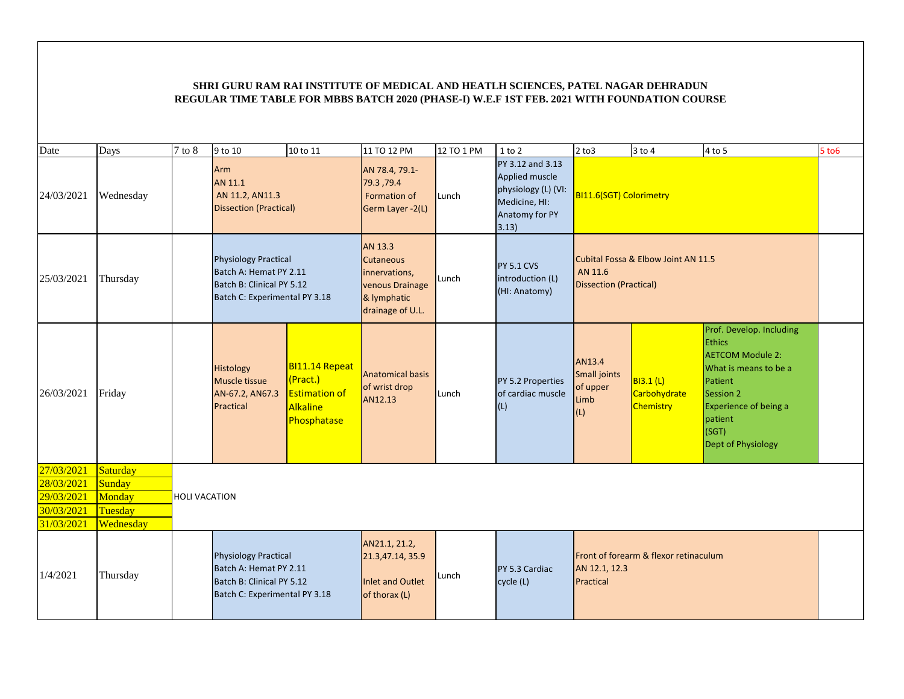| Date       | Days      | 7 to 8               | 9 to 10                                                                                                             | 10 to 11                                                                             | 11 TO 12 PM                                                                                        | 12 TO 1 PM | $1$ to $2$                                                                                            | $2$ to $3$                                        | $3$ to $4$                                           | 4 to 5                                                                                                                                                                                          | $5$ to $6$ |
|------------|-----------|----------------------|---------------------------------------------------------------------------------------------------------------------|--------------------------------------------------------------------------------------|----------------------------------------------------------------------------------------------------|------------|-------------------------------------------------------------------------------------------------------|---------------------------------------------------|------------------------------------------------------|-------------------------------------------------------------------------------------------------------------------------------------------------------------------------------------------------|------------|
| 24/03/2021 | Wednesday |                      | <b>Arm</b><br>AN 11.1<br>AN 11.2, AN11.3<br><b>Dissection (Practical)</b>                                           |                                                                                      | AN 78.4, 79.1-<br>79.3,79.4<br>Formation of<br>Germ Layer -2(L)                                    | Lunch      | PY 3.12 and 3.13<br>Applied muscle<br>physiology (L) (VI:<br>Medicine, HI:<br>Anatomy for PY<br>3.13) | BI11.6(SGT) Colorimetry                           |                                                      |                                                                                                                                                                                                 |            |
| 25/03/2021 | Thursday  |                      | <b>Physiology Practical</b><br>Batch A: Hemat PY 2.11<br>Batch B: Clinical PY 5.12<br>Batch C: Experimental PY 3.18 |                                                                                      | AN 13.3<br><b>Cutaneous</b><br>innervations,<br>venous Drainage<br>& lymphatic<br>drainage of U.L. | Lunch      | <b>PY 5.1 CVS</b><br>introduction (L)<br>(HI: Anatomy)                                                | AN 11.6<br><b>Dissection (Practical)</b>          | Cubital Fossa & Elbow Joint AN 11.5                  |                                                                                                                                                                                                 |            |
| 26/03/2021 | Friday    |                      | Histology<br>Muscle tissue<br>AN-67.2, AN67.3<br>Practical                                                          | BI11.14 Repeat<br>(Pract.)<br><b>Estimation of</b><br>Alkaline<br><b>Phosphatase</b> | Anatomical basis<br>of wrist drop<br>AN12.13                                                       | Lunch      | PY 5.2 Properties<br>of cardiac muscle<br>(L)                                                         | AN13.4<br>Small joints<br>of upper<br>Limb<br>(L) | <b>BI3.1 (L)</b><br>Carbohydrate<br><b>Chemistry</b> | Prof. Develop. Including<br><b>Ethics</b><br><b>AETCOM Module 2:</b><br>What is means to be a<br>Patient<br>Session 2<br>Experience of being a<br>patient<br>(SGT)<br><b>Dept of Physiology</b> |            |
| 27/03/2021 | Saturday  |                      |                                                                                                                     |                                                                                      |                                                                                                    |            |                                                                                                       |                                                   |                                                      |                                                                                                                                                                                                 |            |
| 28/03/2021 | Sunday    |                      |                                                                                                                     |                                                                                      |                                                                                                    |            |                                                                                                       |                                                   |                                                      |                                                                                                                                                                                                 |            |
| 29/03/2021 | Monday    | <b>HOLI VACATION</b> |                                                                                                                     |                                                                                      |                                                                                                    |            |                                                                                                       |                                                   |                                                      |                                                                                                                                                                                                 |            |
| 30/03/2021 | Tuesday   |                      |                                                                                                                     |                                                                                      |                                                                                                    |            |                                                                                                       |                                                   |                                                      |                                                                                                                                                                                                 |            |
| 31/03/2021 | Wednesday |                      |                                                                                                                     |                                                                                      |                                                                                                    |            |                                                                                                       |                                                   |                                                      |                                                                                                                                                                                                 |            |
| 1/4/2021   | Thursday  |                      | <b>Physiology Practical</b><br>Batch A: Hemat PY 2.11<br>Batch B: Clinical PY 5.12<br>Batch C: Experimental PY 3.18 |                                                                                      | AN21.1, 21.2,<br>21.3,47.14, 35.9<br><b>Inlet and Outlet</b><br>of thorax (L)                      | Lunch      | PY 5.3 Cardiac<br>cycle (L)                                                                           | AN 12.1, 12.3<br>Practical                        | Front of forearm & flexor retinaculum                |                                                                                                                                                                                                 |            |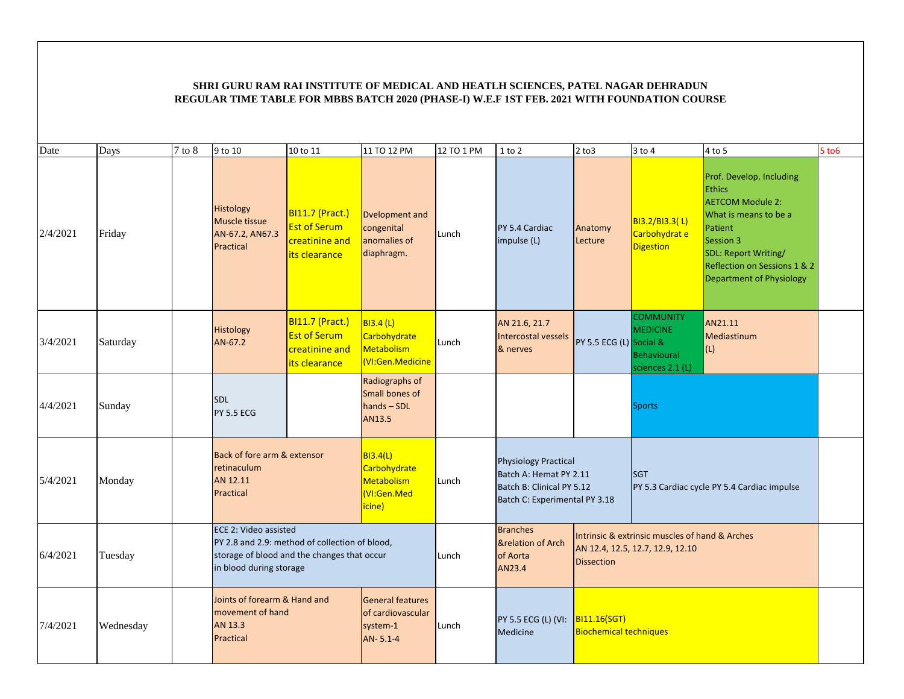| Date     | Days      | 7 to 8 | 9 to 10                                                                  | 10 to 11                                                                                      | 11 TO 12 PM                                                           | 12 TO 1 PM | 1 to 2                                                                                                              | $2$ to $3$                                    | $3$ to $4$                                                                         | 4 to 5                                                                                                                                                                                                           | $5$ to $6$ |
|----------|-----------|--------|--------------------------------------------------------------------------|-----------------------------------------------------------------------------------------------|-----------------------------------------------------------------------|------------|---------------------------------------------------------------------------------------------------------------------|-----------------------------------------------|------------------------------------------------------------------------------------|------------------------------------------------------------------------------------------------------------------------------------------------------------------------------------------------------------------|------------|
| 2/4/2021 | Friday    |        | Histology<br>Muscle tissue<br>AN-67.2, AN67.3<br>Practical               | <b>BI11.7 (Pract.)</b><br><b>Est of Serum</b><br>creatinine and<br>its clearance              | Dvelopment and<br>congenital<br>anomalies of<br>diaphragm.            | Lunch      | PY 5.4 Cardiac<br>impulse (L)                                                                                       | Anatomy<br>Lecture                            | BI3.2/BI3.3(L)<br>Carbohydrat e<br><b>Digestion</b>                                | Prof. Develop. Including<br><b>Ethics</b><br><b>AETCOM Module 2:</b><br>What is means to be a<br>Patient<br>Session 3<br>SDL: Report Writing/<br>Reflection on Sessions 1 & 2<br><b>Department of Physiology</b> |            |
| 3/4/2021 | Saturday  |        | Histology<br>AN-67.2                                                     | BI11.7 (Pract.)<br><b>Est of Serum</b><br>creatinine and<br>its clearance                     | <b>BI3.4 (L)</b><br>Carbohydrate<br>Metabolism<br>VI:Gen.Medicine     | Lunch      | AN 21.6, 21.7<br>Intercostal vessels<br>& nerves                                                                    | PY 5.5 ECG (L) Social &                       | <b>COMMUNITY</b><br><b>MEDICINE</b><br><b>Behavioural</b><br>sciences 2.1 (L)      | AN21.11<br>Mediastinum<br>(L)                                                                                                                                                                                    |            |
| 4/4/2021 | Sunday    |        | <b>SDL</b><br><b>PY 5.5 ECG</b>                                          |                                                                                               | Radiographs of<br>Small bones of<br>hands-SDL<br>AN13.5               |            |                                                                                                                     |                                               | <b>Sports</b>                                                                      |                                                                                                                                                                                                                  |            |
| 5/4/2021 | Monday    |        | Back of fore arm & extensor<br>retinaculum<br>AN 12.11<br>Practical      |                                                                                               | <b>BI3.4(L)</b><br>Carbohydrate<br>Metabolism<br>VI:Gen.Med<br>icine) | Lunch      | <b>Physiology Practical</b><br>Batch A: Hemat PY 2.11<br>Batch B: Clinical PY 5.12<br>Batch C: Experimental PY 3.18 |                                               | <b>SGT</b>                                                                         | PY 5.3 Cardiac cycle PY 5.4 Cardiac impulse                                                                                                                                                                      |            |
| 6/4/2021 | Tuesday   |        | ECE 2: Video assisted<br>in blood during storage                         | PY 2.8 and 2.9: method of collection of blood,<br>storage of blood and the changes that occur |                                                                       | Lunch      | <b>Branches</b><br><b>&amp;relation of Arch</b><br>of Aorta<br>AN23.4                                               | <b>Dissection</b>                             | Intrinsic & extrinsic muscles of hand & Arches<br>AN 12.4, 12.5, 12.7, 12.9, 12.10 |                                                                                                                                                                                                                  |            |
| 7/4/2021 | Wednesday |        | Joints of forearm & Hand and<br>movement of hand<br>AN 13.3<br>Practical |                                                                                               | <b>General features</b><br>of cardiovascular<br>system-1<br>AN-5.1-4  | Lunch      | PY 5.5 ECG (L) (VI:<br>Medicine                                                                                     | B111.16(SGT)<br><b>Biochemical techniques</b> |                                                                                    |                                                                                                                                                                                                                  |            |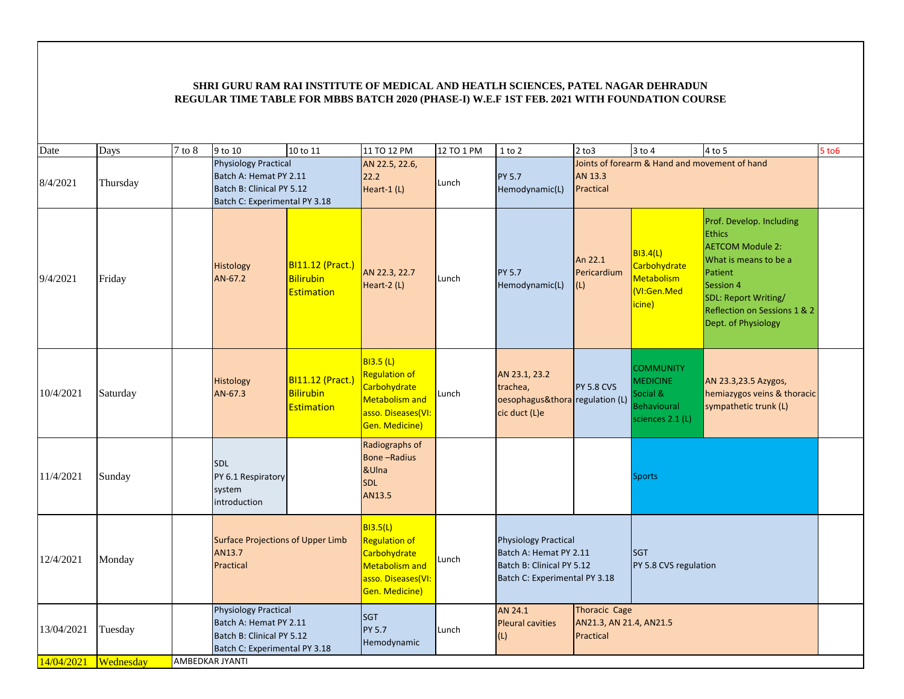| Date       | Days      | $7$ to $8\,$ | 9 to 10                                                                                                             | 10 to 11                                           | 11 TO 12 PM                                                                                                               | 12 TO 1 PM | $1$ to $2$                                                                                                          | $2$ to $3$                        | 3 to 4                                                                                      | 4 to 5                                                                                                                                                                                               | $5$ to $6$ |
|------------|-----------|--------------|---------------------------------------------------------------------------------------------------------------------|----------------------------------------------------|---------------------------------------------------------------------------------------------------------------------------|------------|---------------------------------------------------------------------------------------------------------------------|-----------------------------------|---------------------------------------------------------------------------------------------|------------------------------------------------------------------------------------------------------------------------------------------------------------------------------------------------------|------------|
| 8/4/2021   | Thursday  |              | <b>Physiology Practical</b><br>Batch A: Hemat PY 2.11<br>Batch B: Clinical PY 5.12<br>Batch C: Experimental PY 3.18 |                                                    | AN 22.5, 22.6,<br>22.2<br>Heart-1 (L)                                                                                     | Lunch      | <b>PY 5.7</b><br>Hemodynamic(L)                                                                                     | AN 13.3<br>Practical              | Joints of forearm & Hand and movement of hand                                               |                                                                                                                                                                                                      |            |
| 9/4/2021   | Friday    |              | Histology<br>AN-67.2                                                                                                | BI11.12 (Pract.)<br>Bilirubin<br><b>Estimation</b> | AN 22.3, 22.7<br>Heart-2 (L)                                                                                              | Lunch      | <b>PY 5.7</b><br>Hemodynamic(L)                                                                                     | An 22.1<br>Pericardium<br>(L)     | B13.4(L)<br>Carbohydrate<br>Metabolism<br>(VI:Gen.Med<br>icine)                             | Prof. Develop. Including<br><b>Ethics</b><br><b>AETCOM Module 2:</b><br>What is means to be a<br>Patient<br>Session 4<br>SDL: Report Writing/<br>Reflection on Sessions 1 & 2<br>Dept. of Physiology |            |
| 10/4/2021  | Saturday  |              | Histology<br>AN-67.3                                                                                                | BI11.12 (Pract.)<br><b>Bilirubin</b><br>Estimation | <b>BI3.5 (L)</b><br><b>Regulation of</b><br>Carbohydrate<br><b>Metabolism and</b><br>asso. Diseases(VI:<br>Gen. Medicine) | Lunch      | AN 23.1, 23.2<br>trachea,<br>oesophagus&thora regulation (L)<br>cic duct (L)e                                       | <b>PY 5.8 CVS</b>                 | <b>COMMUNITY</b><br><b>MEDICINE</b><br>Social &<br><b>Behavioural</b><br>sciences $2.1$ (L) | AN 23.3,23.5 Azygos,<br>hemiazygos veins & thoracic<br>sympathetic trunk (L)                                                                                                                         |            |
| 11/4/2021  | Sunday    |              | <b>SDL</b><br>PY 6.1 Respiratory<br>system<br>introduction                                                          |                                                    | Radiographs of<br><b>Bone-Radius</b><br>&UIna<br><b>SDL</b><br>AN13.5                                                     |            |                                                                                                                     |                                   | <b>Sports</b>                                                                               |                                                                                                                                                                                                      |            |
| 12/4/2021  | Monday    |              | <b>Surface Projections of Upper Limb</b><br>AN13.7<br>Practical                                                     |                                                    | <b>BI3.5(L)</b><br><b>Regulation of</b><br>Carbohydrate<br>Metabolism and<br>asso. Diseases(VI:<br>Gen. Medicine)         | Lunch      | <b>Physiology Practical</b><br>Batch A: Hemat PY 2.11<br>Batch B: Clinical PY 5.12<br>Batch C: Experimental PY 3.18 |                                   | <b>SGT</b><br>PY 5.8 CVS regulation                                                         |                                                                                                                                                                                                      |            |
| 13/04/2021 | Tuesday   |              | <b>Physiology Practical</b><br>Batch A: Hemat PY 2.11<br>Batch B: Clinical PY 5.12<br>Batch C: Experimental PY 3.18 |                                                    | <b>SGT</b><br><b>PY 5.7</b><br>Hemodynamic                                                                                | Lunch      | AN 24.1<br><b>Pleural cavities</b><br>(L)                                                                           | <b>Thoracic Cage</b><br>Practical | AN21.3, AN 21.4, AN21.5                                                                     |                                                                                                                                                                                                      |            |
| 14/04/2021 | Wednesday |              | AMBEDKAR JYANTI                                                                                                     |                                                    |                                                                                                                           |            |                                                                                                                     |                                   |                                                                                             |                                                                                                                                                                                                      |            |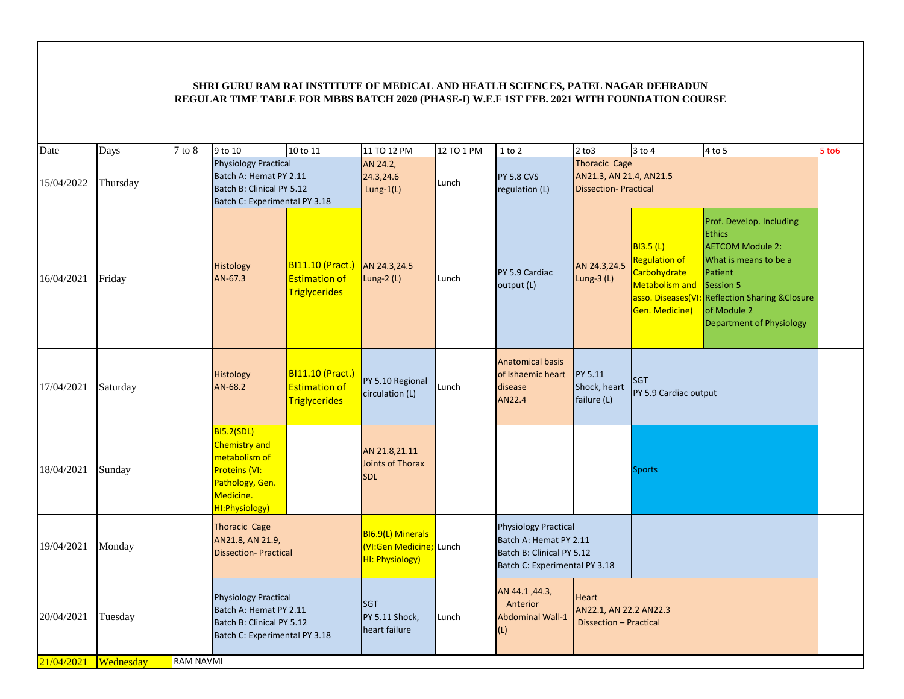| Date       | Days      | $7$ to $8\,$     | 9 to 10                                                                                                                | 10 to 11                                                                      | 11 TO 12 PM                                                    | 12 TO 1 PM | $1$ to $2$                                                                                                          | $2$ to $3$                                                                     | $3$ to $4$                                                                                   | $4$ to 5                                                                                                                                                                                                                   | $5$ to $6$ |
|------------|-----------|------------------|------------------------------------------------------------------------------------------------------------------------|-------------------------------------------------------------------------------|----------------------------------------------------------------|------------|---------------------------------------------------------------------------------------------------------------------|--------------------------------------------------------------------------------|----------------------------------------------------------------------------------------------|----------------------------------------------------------------------------------------------------------------------------------------------------------------------------------------------------------------------------|------------|
| 15/04/2022 | Thursday  |                  | <b>Physiology Practical</b><br>Batch A: Hemat PY 2.11<br>Batch B: Clinical PY 5.12<br>Batch C: Experimental PY 3.18    |                                                                               | AN 24.2,<br>24.3,24.6<br>Lung-1(L)                             | Lunch      | <b>PY 5.8 CVS</b><br>regulation (L)                                                                                 | <b>Thoracic Cage</b><br>AN21.3, AN 21.4, AN21.5<br><b>Dissection-Practical</b> |                                                                                              |                                                                                                                                                                                                                            |            |
| 16/04/2021 | Friday    |                  | Histology<br>AN-67.3                                                                                                   | BI11.10 (Pract.) AN 24.3,24.5<br><b>Estimation of</b><br><b>Triglycerides</b> | Lung-2 (L)                                                     | Lunch      | PY 5.9 Cardiac<br>output (L)                                                                                        | AN 24.3,24.5<br>Lung-3 $(L)$                                                   | <b>BI3.5 (L)</b><br><b>Regulation of</b><br>Carbohydrate<br>Metabolism and<br>Gen. Medicine) | Prof. Develop. Including<br><b>Ethics</b><br><b>AETCOM Module 2:</b><br>What is means to be a<br>Patient<br>Session 5<br>asso. Diseases(VI: Reflection Sharing & Closure<br>of Module 2<br><b>Department of Physiology</b> |            |
| 17/04/2021 | Saturday  |                  | Histology<br>AN-68.2                                                                                                   | <b>BI11.10 (Pract.)</b><br><b>Estimation of</b><br><b>Triglycerides</b>       | PY 5.10 Regional<br>circulation (L)                            | Lunch      | <b>Anatomical basis</b><br>of Ishaemic heart<br>disease<br>AN22.4                                                   | PY 5.11<br>Shock, heart<br>failure (L)                                         | <b>SGT</b><br>PY 5.9 Cardiac output                                                          |                                                                                                                                                                                                                            |            |
| 18/04/2021 | Sunday    |                  | <b>BI5.2(SDL)</b><br>Chemistry and<br>metabolism of<br>Proteins (VI:<br>Pathology, Gen.<br>Medicine.<br>HI:Physiology) |                                                                               | AN 21.8,21.11<br>Joints of Thorax<br><b>SDL</b>                |            |                                                                                                                     |                                                                                | <b>Sports</b>                                                                                |                                                                                                                                                                                                                            |            |
| 19/04/2021 | Monday    |                  | <b>Thoracic Cage</b><br>AN21.8, AN 21.9,<br><b>Dissection-Practical</b>                                                |                                                                               | BI6.9(L) Minerals<br>VI:Gen Medicine; Lunch<br>HI: Physiology) |            | <b>Physiology Practical</b><br>Batch A: Hemat PY 2.11<br>Batch B: Clinical PY 5.12<br>Batch C: Experimental PY 3.18 |                                                                                |                                                                                              |                                                                                                                                                                                                                            |            |
| 20/04/2021 | Tuesday   |                  | <b>Physiology Practical</b><br>Batch A: Hemat PY 2.11<br>Batch B: Clinical PY 5.12<br>Batch C: Experimental PY 3.18    |                                                                               | <b>SGT</b><br>PY 5.11 Shock,<br>heart failure                  | Lunch      | AN 44.1, 44.3,<br>Anterior<br><b>Abdominal Wall-1</b><br>(L)                                                        | <b>Heart</b><br>AN22.1, AN 22.2 AN22.3<br>Dissection - Practical               |                                                                                              |                                                                                                                                                                                                                            |            |
| 21/04/2021 | Wednesday | <b>RAM NAVMI</b> |                                                                                                                        |                                                                               |                                                                |            |                                                                                                                     |                                                                                |                                                                                              |                                                                                                                                                                                                                            |            |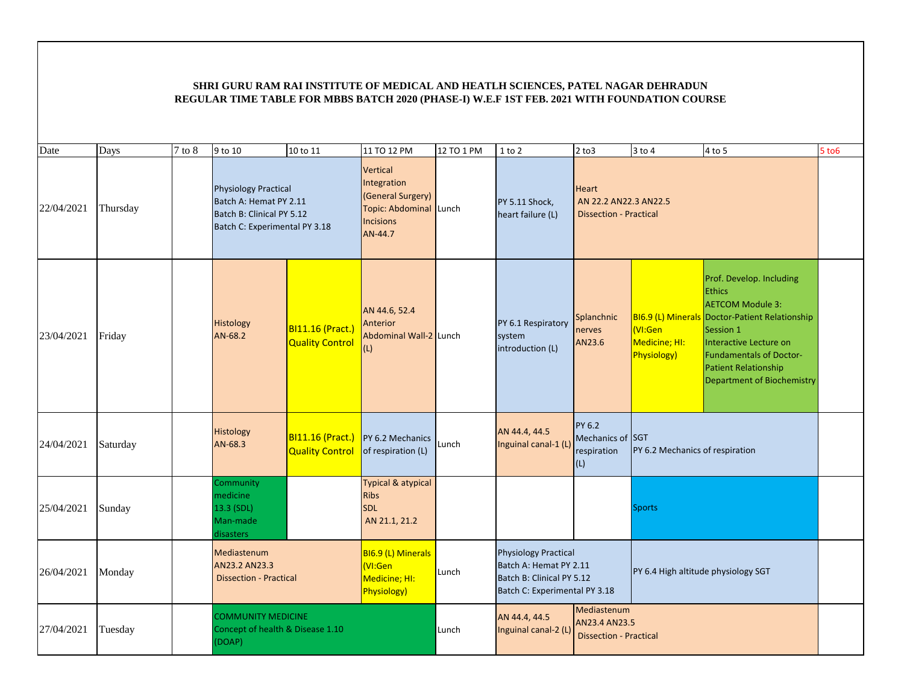| Date       | Days     | $7$ to $8$ | 9 to 10                                                                                                             | 10 to 11                                          | 11 TO 12 PM                                                                                           | 12 TO 1 PM | $1$ to $2$                                                                                                          | $2$ to $3$                                                             | 3 to 4                                 | 4 to 5                                                                                                                                                                                                                                                              | $5$ to $6$ |
|------------|----------|------------|---------------------------------------------------------------------------------------------------------------------|---------------------------------------------------|-------------------------------------------------------------------------------------------------------|------------|---------------------------------------------------------------------------------------------------------------------|------------------------------------------------------------------------|----------------------------------------|---------------------------------------------------------------------------------------------------------------------------------------------------------------------------------------------------------------------------------------------------------------------|------------|
| 22/04/2021 | Thursday |            | <b>Physiology Practical</b><br>Batch A: Hemat PY 2.11<br>Batch B: Clinical PY 5.12<br>Batch C: Experimental PY 3.18 |                                                   | Vertical<br>Integration<br>(General Surgery)<br>Topic: Abdominal Lunch<br><b>Incisions</b><br>AN-44.7 |            | PY 5.11 Shock,<br>heart failure (L)                                                                                 | <b>Heart</b><br>AN 22.2 AN22.3 AN22.5<br><b>Dissection - Practical</b> |                                        |                                                                                                                                                                                                                                                                     |            |
| 23/04/2021 | Friday   |            | Histology<br>AN-68.2                                                                                                | BI11.16 (Pract.)<br><b>Quality Control</b>        | AN 44.6, 52.4<br>Anterior<br>Abdominal Wall-2 Lunch<br>(L)                                            |            | PY 6.1 Respiratory<br>system<br>introduction (L)                                                                    | Splanchnic<br>nerves<br>AN23.6                                         | VI:Gen<br>Medicine; HI:<br>Physiology) | Prof. Develop. Including<br><b>Ethics</b><br><b>AETCOM Module 3:</b><br>BI6.9 (L) Minerals Doctor-Patient Relationship<br>Session 1<br>Interactive Lecture on<br><b>Fundamentals of Doctor-</b><br><b>Patient Relationship</b><br><b>Department of Biochemistry</b> |            |
| 24/04/2021 | Saturday |            | Histology<br>AN-68.3                                                                                                | <b>BI11.16 (Pract.)</b><br><b>Quality Control</b> | PY 6.2 Mechanics<br>of respiration (L)                                                                | Lunch      | AN 44.4, 44.5<br>Inguinal canal-1 (L)                                                                               | PY 6.2<br>Mechanics of SGT<br>respiration<br>(L)                       | PY 6.2 Mechanics of respiration        |                                                                                                                                                                                                                                                                     |            |
| 25/04/2021 | Sunday   |            | Community<br>medicine<br>13.3 (SDL)<br>Man-made<br>disasters                                                        |                                                   | <b>Typical &amp; atypical</b><br><b>Ribs</b><br><b>SDL</b><br>AN 21.1, 21.2                           |            |                                                                                                                     |                                                                        | <b>Sports</b>                          |                                                                                                                                                                                                                                                                     |            |
| 26/04/2021 | Monday   |            | Mediastenum<br>AN23.2 AN23.3<br><b>Dissection - Practical</b>                                                       |                                                   | <b>BI6.9 (L) Minerals</b><br>(VI:Gen<br>Medicine; HI:<br><b>Physiology)</b>                           | Lunch      | <b>Physiology Practical</b><br>Batch A: Hemat PY 2.11<br>Batch B: Clinical PY 5.12<br>Batch C: Experimental PY 3.18 |                                                                        | PY 6.4 High altitude physiology SGT    |                                                                                                                                                                                                                                                                     |            |
| 27/04/2021 | Tuesday  |            | <b>COMMUNITY MEDICINE</b><br>Concept of health & Disease 1.10<br>(DOAP)                                             |                                                   |                                                                                                       | Lunch      | AN 44.4, 44.5<br>Inguinal canal-2 (L)                                                                               | Mediastenum<br>AN23.4 AN23.5<br><b>Dissection - Practical</b>          |                                        |                                                                                                                                                                                                                                                                     |            |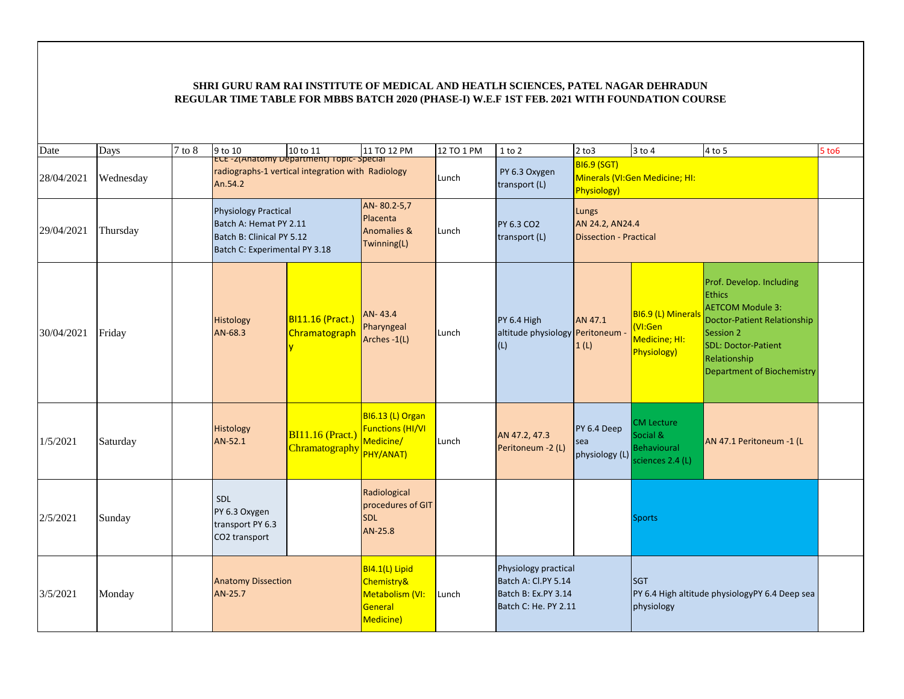| Date       | Days      | 7 to 8 | 9 to 10                                                                                                             | 10 to 11                                  | 11 TO 12 PM                                                             | 12 TO 1 PM | $1$ to $2$                                                                                 | $2$ to $3$                                                | $3$ to $4$                                                              | 4 to 5                                                                                                                                                                                                     | $5$ to $6$ |
|------------|-----------|--------|---------------------------------------------------------------------------------------------------------------------|-------------------------------------------|-------------------------------------------------------------------------|------------|--------------------------------------------------------------------------------------------|-----------------------------------------------------------|-------------------------------------------------------------------------|------------------------------------------------------------------------------------------------------------------------------------------------------------------------------------------------------------|------------|
| 28/04/2021 | Wednesday |        | radiographs-1 vertical integration with Radiology<br>An.54.2                                                        | ECE-Z(Anatomy Department) Topic-Special   |                                                                         | Lunch      | PY 6.3 Oxygen<br>transport (L)                                                             | <b>BI6.9 (SGT)</b><br><b>Physiology)</b>                  | Minerals (VI:Gen Medicine; HI:                                          |                                                                                                                                                                                                            |            |
| 29/04/2021 | Thursday  |        | <b>Physiology Practical</b><br>Batch A: Hemat PY 2.11<br>Batch B: Clinical PY 5.12<br>Batch C: Experimental PY 3.18 |                                           | AN-80.2-5,7<br>Placenta<br><b>Anomalies &amp;</b><br>Twinning(L)        | Lunch      | PY 6.3 CO2<br>transport (L)                                                                | Lungs<br>AN 24.2, AN24.4<br><b>Dissection - Practical</b> |                                                                         |                                                                                                                                                                                                            |            |
| 30/04/2021 | Friday    |        | Histology<br>AN-68.3                                                                                                | BI11.16 (Pract.)<br>Chramatograph         | AN-43.4<br>Pharyngeal<br>Arches -1(L)                                   | Lunch      | PY 6.4 High<br>altitude physiology Peritoneum<br>(L)                                       | AN 47.1<br>1(L)                                           | BI6.9 (L) Minerals<br>(VI:Gen<br>Medicine; HI:<br>Physiology)           | Prof. Develop. Including<br><b>Ethics</b><br><b>AETCOM Module 3:</b><br><b>Doctor-Patient Relationship</b><br>Session 2<br><b>SDL: Doctor-Patient</b><br>Relationship<br><b>Department of Biochemistry</b> |            |
| 1/5/2021   | Saturday  |        | Histology<br>AN-52.1                                                                                                | <b>BI11.16 (Pract.)</b><br>Chramatography | BI6.13 (L) Organ<br><b>Functions (HI/VI</b><br>Medicine/<br>PHY/ANAT)   | Lunch      | AN 47.2, 47.3<br>Peritoneum -2 (L)                                                         | PY 6.4 Deep<br>sea<br>physiology (L)                      | <b>CM Lecture</b><br>Social &<br><b>Behavioural</b><br>sciences 2.4 (L) | AN 47.1 Peritoneum -1 (L                                                                                                                                                                                   |            |
| 2/5/2021   | Sunday    |        | SDL<br>PY 6.3 Oxygen<br>transport PY 6.3<br>CO2 transport                                                           |                                           | Radiological<br>procedures of GIT<br><b>SDL</b><br>AN-25.8              |            |                                                                                            |                                                           | <b>Sports</b>                                                           |                                                                                                                                                                                                            |            |
| 3/5/2021   | Monday    |        | <b>Anatomy Dissection</b><br>AN-25.7                                                                                |                                           | BI4.1(L) Lipid<br>Chemistry&<br>Metabolism (VI:<br>General<br>Medicine) | Lunch      | Physiology practical<br>Batch A: Cl.PY 5.14<br>Batch B: Ex.PY 3.14<br>Batch C: He. PY 2.11 |                                                           | <b>SGT</b><br>physiology                                                | PY 6.4 High altitude physiologyPY 6.4 Deep sea                                                                                                                                                             |            |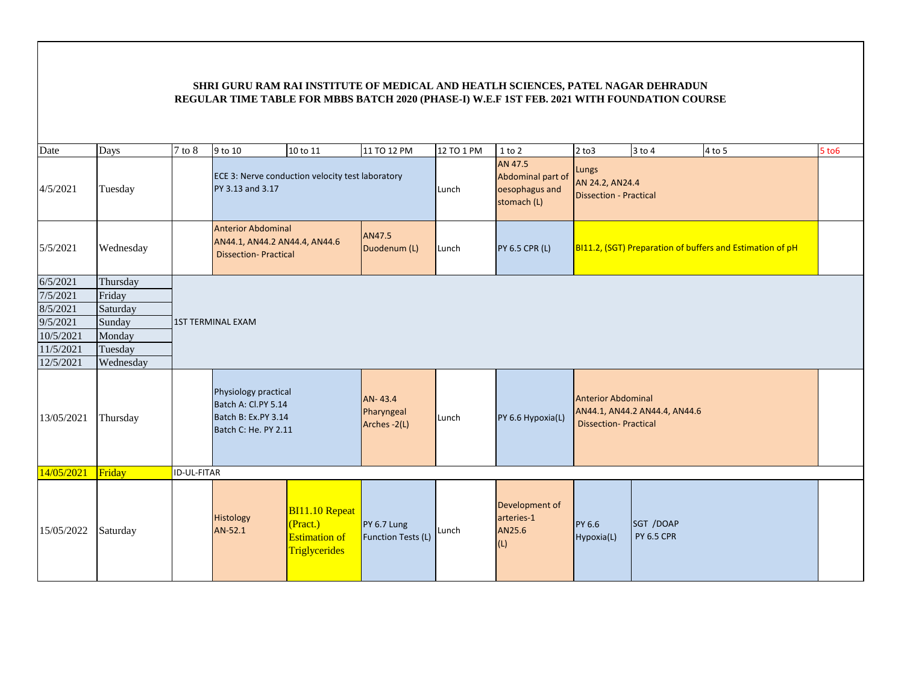| Date       | Days      | $7$ to $8$         | 9 to 10                                                                                    | 10 to 11                                                                   | 11 TO 12 PM                           | 12 TO 1 PM | $1$ to $2$                                                    | $2$ to $3$                                                | 3 to 4                         | 4 to 5                                                    | <b>5 to 6</b> |
|------------|-----------|--------------------|--------------------------------------------------------------------------------------------|----------------------------------------------------------------------------|---------------------------------------|------------|---------------------------------------------------------------|-----------------------------------------------------------|--------------------------------|-----------------------------------------------------------|---------------|
| 4/5/2021   | Tuesday   |                    | ECE 3: Nerve conduction velocity test laboratory<br>PY 3.13 and 3.17                       |                                                                            |                                       | Lunch      | AN 47.5<br>Abdominal part of<br>oesophagus and<br>stomach (L) | Lungs<br>AN 24.2, AN24.4<br><b>Dissection - Practical</b> |                                |                                                           |               |
| 5/5/2021   | Wednesday |                    | <b>Anterior Abdominal</b><br>AN44.1, AN44.2 AN44.4, AN44.6<br><b>Dissection-Practical</b>  |                                                                            | AN47.5<br>Duodenum (L)                | Lunch      | <b>PY 6.5 CPR (L)</b>                                         |                                                           |                                | BI11.2, (SGT) Preparation of buffers and Estimation of pH |               |
| 6/5/2021   | Thursday  |                    |                                                                                            |                                                                            |                                       |            |                                                               |                                                           |                                |                                                           |               |
| 7/5/2021   | Friday    |                    |                                                                                            |                                                                            |                                       |            |                                                               |                                                           |                                |                                                           |               |
| 8/5/2021   | Saturday  |                    |                                                                                            |                                                                            |                                       |            |                                                               |                                                           |                                |                                                           |               |
| 9/5/2021   | Sunday    |                    | <b>1ST TERMINAL EXAM</b>                                                                   |                                                                            |                                       |            |                                                               |                                                           |                                |                                                           |               |
| 10/5/2021  | Monday    |                    |                                                                                            |                                                                            |                                       |            |                                                               |                                                           |                                |                                                           |               |
| 11/5/2021  | Tuesday   |                    |                                                                                            |                                                                            |                                       |            |                                                               |                                                           |                                |                                                           |               |
| 12/5/2021  | Wednesday |                    |                                                                                            |                                                                            |                                       |            |                                                               |                                                           |                                |                                                           |               |
| 13/05/2021 | Thursday  |                    | Physiology practical<br>Batch A: Cl.PY 5.14<br>Batch B: Ex.PY 3.14<br>Batch C: He. PY 2.11 |                                                                            | AN-43.4<br>Pharyngeal<br>Arches -2(L) | Lunch      | PY 6.6 Hypoxia(L)                                             | <b>Anterior Abdominal</b><br><b>Dissection-Practical</b>  | AN44.1, AN44.2 AN44.4, AN44.6  |                                                           |               |
| 14/05/2021 | Friday    | <b>ID-UL-FITAR</b> |                                                                                            |                                                                            |                                       |            |                                                               |                                                           |                                |                                                           |               |
| 15/05/2022 | Saturday  |                    | Histology<br>AN-52.1                                                                       | <b>BI11.10 Repeat</b><br>(Pract.)<br><b>Estimation of</b><br>Triglycerides | PY 6.7 Lung<br>Function Tests (L)     | Lunch      | Development of<br>arteries-1<br>AN25.6<br>(L)                 | PY 6.6<br>Hypoxia(L)                                      | SGT /DOAP<br><b>PY 6.5 CPR</b> |                                                           |               |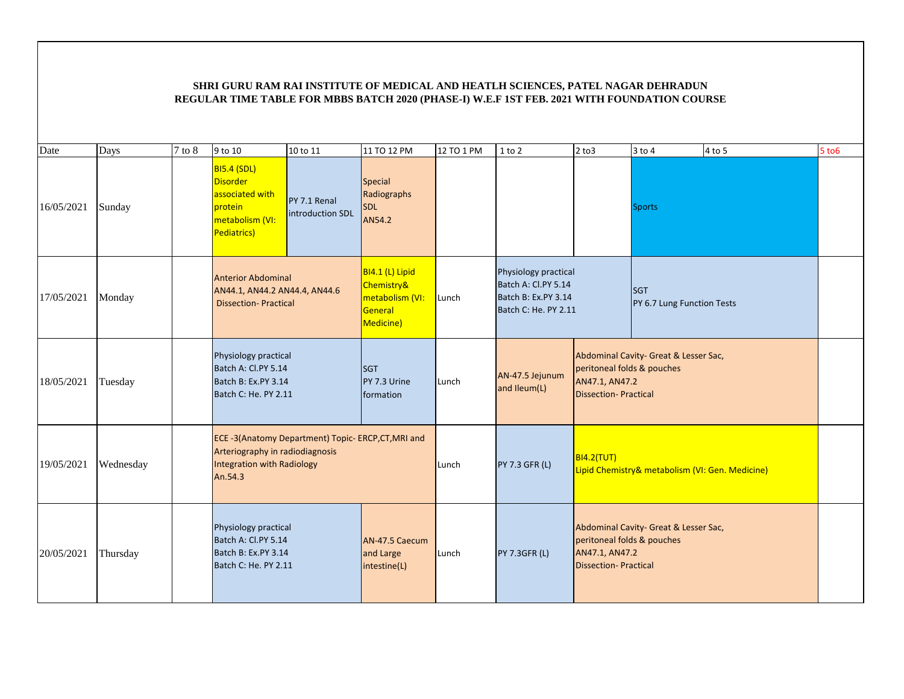| Date       | Days      | $7$ to $8$ | 9 to 10                                                                                                                               | 10 to 11                         | 11 TO 12 PM                                                              | 12 TO 1 PM | 1 to 2                                                                                     | $2$ to $3$                                                                  | $3$ to $4$                                      | 4 to 5 | 5 to 6 |
|------------|-----------|------------|---------------------------------------------------------------------------------------------------------------------------------------|----------------------------------|--------------------------------------------------------------------------|------------|--------------------------------------------------------------------------------------------|-----------------------------------------------------------------------------|-------------------------------------------------|--------|--------|
| 16/05/2021 | Sunday    |            | <b>BI5.4 (SDL)</b><br><b>Disorder</b><br>associated with<br>protein<br>metabolism (VI:<br>Pediatrics)                                 | PY 7.1 Renal<br>introduction SDL | Special<br>Radiographs<br><b>SDL</b><br>AN54.2                           |            |                                                                                            |                                                                             | <b>Sports</b>                                   |        |        |
| 17/05/2021 | Monday    |            | <b>Anterior Abdominal</b><br>AN44.1, AN44.2 AN44.4, AN44.6<br><b>Dissection-Practical</b>                                             |                                  | BI4.1 (L) Lipid<br>Chemistry&<br>metabolism (VI:<br>General<br>Medicine) | Lunch      | Physiology practical<br>Batch A: Cl.PY 5.14<br>Batch B: Ex.PY 3.14<br>Batch C: He. PY 2.11 |                                                                             | <b>SGT</b><br>PY 6.7 Lung Function Tests        |        |        |
| 18/05/2021 | Tuesday   |            | Physiology practical<br>Batch A: Cl.PY 5.14<br>Batch B: Ex.PY 3.14<br>Batch C: He. PY 2.11                                            |                                  | <b>SGT</b><br>PY 7.3 Urine<br>formation                                  | Lunch      | AN-47.5 Jejunum<br>and Ileum(L)                                                            | peritoneal folds & pouches<br>AN47.1, AN47.2<br><b>Dissection-Practical</b> | Abdominal Cavity- Great & Lesser Sac,           |        |        |
| 19/05/2021 | Wednesday |            | ECE-3(Anatomy Department) Topic- ERCP, CT, MRI and<br>Arteriography in radiodiagnosis<br><b>Integration with Radiology</b><br>An.54.3 |                                  |                                                                          | Lunch      | PY 7.3 GFR (L)                                                                             | BI4.2(TUT)                                                                  | Lipid Chemistry& metabolism (VI: Gen. Medicine) |        |        |
| 20/05/2021 | Thursday  |            | Physiology practical<br>Batch A: Cl.PY 5.14<br>Batch B: Ex.PY 3.14<br>Batch C: He. PY 2.11                                            |                                  | AN-47.5 Caecum<br>and Large<br>intestine(L)                              | Lunch      | <b>PY 7.3GFR (L)</b>                                                                       | peritoneal folds & pouches<br>AN47.1, AN47.2<br><b>Dissection-Practical</b> | Abdominal Cavity- Great & Lesser Sac,           |        |        |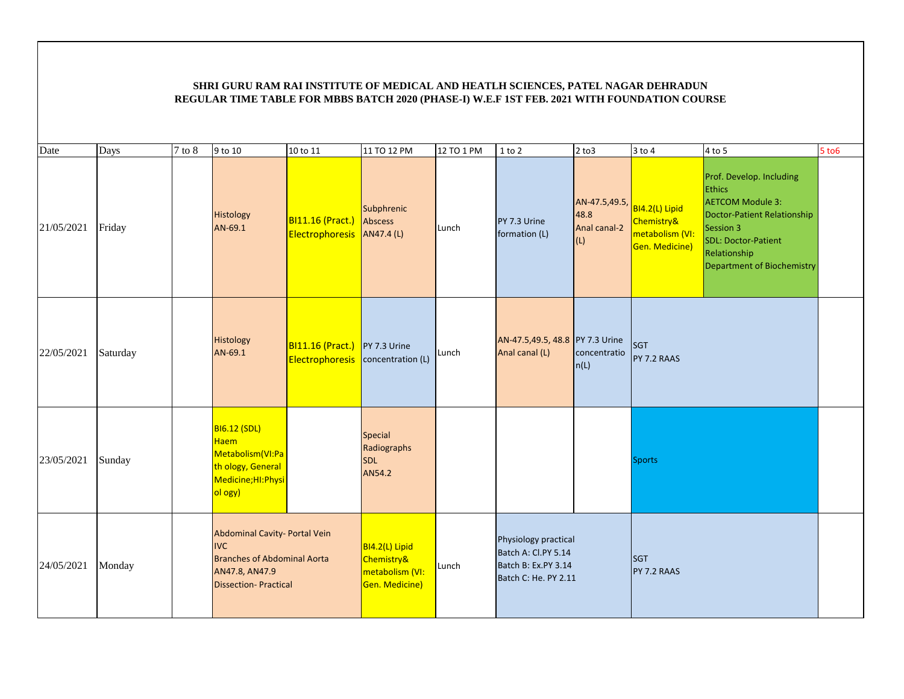| Date       | Days     | $7$ to $8$ | 9 to 10                                                                                                                            | 10 to 11                                       | 11 TO 12 PM                                                       | 12 TO 1 PM | $1$ to $2$                                                                                 | $2$ to $3$                                   | $3$ to $4$                                                        | $4$ to 5                                                                                                                                                                                            | $5$ to $6$ |
|------------|----------|------------|------------------------------------------------------------------------------------------------------------------------------------|------------------------------------------------|-------------------------------------------------------------------|------------|--------------------------------------------------------------------------------------------|----------------------------------------------|-------------------------------------------------------------------|-----------------------------------------------------------------------------------------------------------------------------------------------------------------------------------------------------|------------|
| 21/05/2021 | Friday   |            | Histology<br>AN-69.1                                                                                                               | BI11.16 (Pract.)<br>Electrophoresis AN47.4 (L) | Subphrenic<br>Abscess                                             | Lunch      | PY 7.3 Urine<br>formation (L)                                                              | AN-47.5,49.5,<br>48.8<br>Anal canal-2<br>(L) | BI4.2(L) Lipid<br>Chemistry&<br>metabolism (VI:<br>Gen. Medicine) | Prof. Develop. Including<br><b>Ethics</b><br><b>AETCOM Module 3:</b><br><b>Doctor-Patient Relationship</b><br>Session 3<br>SDL: Doctor-Patient<br>Relationship<br><b>Department of Biochemistry</b> |            |
| 22/05/2021 | Saturday |            | Histology<br>AN-69.1                                                                                                               | BI11.16 (Pract.)<br>Electrophoresis            | PY 7.3 Urine<br>concentration (L)                                 | Lunch      | AN-47.5,49.5, 48.8 PY 7.3 Urine<br>Anal canal (L)                                          | concentratio<br>ln(L)                        | <b>SGT</b><br>PY 7.2 RAAS                                         |                                                                                                                                                                                                     |            |
| 23/05/2021 | Sunday   |            | <b>BI6.12 (SDL)</b><br>Haem<br>Metabolism (VI:Pa<br>th ology, General<br>Medicine;HI:Physi<br>ol ogy)                              |                                                | Special<br>Radiographs<br><b>SDL</b><br>AN54.2                    |            |                                                                                            |                                              | <b>Sports</b>                                                     |                                                                                                                                                                                                     |            |
| 24/05/2021 | Monday   |            | Abdominal Cavity- Portal Vein<br><b>IVC</b><br><b>Branches of Abdominal Aorta</b><br>AN47.8, AN47.9<br><b>Dissection-Practical</b> |                                                | BI4.2(L) Lipid<br>Chemistry&<br>metabolism (VI:<br>Gen. Medicine) | Lunch      | Physiology practical<br>Batch A: Cl.PY 5.14<br>Batch B: Ex.PY 3.14<br>Batch C: He. PY 2.11 |                                              | <b>SGT</b><br>PY 7.2 RAAS                                         |                                                                                                                                                                                                     |            |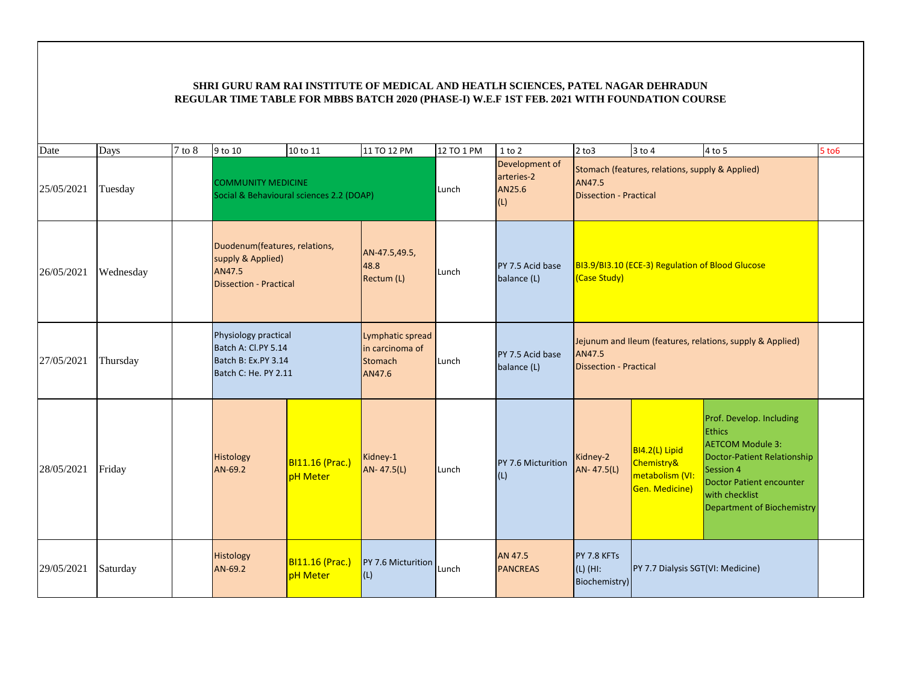| Date       | Days      | 7 to 8 | 9 to 10                                                                                       | 10 to 11                                  | 11 TO 12 PM                                                     | 12 TO 1 PM | $1$ to $2$                                    | $2$ to $3$                                 | 3 to 4                                                            | 4 to 5                                                                                                                                                                                                            | $5$ to $6$ |
|------------|-----------|--------|-----------------------------------------------------------------------------------------------|-------------------------------------------|-----------------------------------------------------------------|------------|-----------------------------------------------|--------------------------------------------|-------------------------------------------------------------------|-------------------------------------------------------------------------------------------------------------------------------------------------------------------------------------------------------------------|------------|
| 25/05/2021 | Tuesday   |        | <b>COMMUNITY MEDICINE</b>                                                                     | Social & Behavioural sciences 2.2 (DOAP)  |                                                                 | Lunch      | Development of<br>arteries-2<br>AN25.6<br>(L) | AN47.5<br><b>Dissection - Practical</b>    | Stomach (features, relations, supply & Applied)                   |                                                                                                                                                                                                                   |            |
| 26/05/2021 | Wednesday |        | Duodenum(features, relations,<br>supply & Applied)<br>AN47.5<br><b>Dissection - Practical</b> |                                           | AN-47.5,49.5,<br>48.8<br>Rectum (L)                             | Lunch      | PY 7.5 Acid base<br>balance (L)               | <b>(Case Study)</b>                        | BI3.9/BI3.10 (ECE-3) Regulation of Blood Glucose                  |                                                                                                                                                                                                                   |            |
| 27/05/2021 | Thursday  |        | Physiology practical<br>Batch A: Cl.PY 5.14<br>Batch B: Ex.PY 3.14<br>Batch C: He. PY 2.11    |                                           | Lymphatic spread<br>in carcinoma of<br><b>Stomach</b><br>AN47.6 | Lunch      | PY 7.5 Acid base<br>balance (L)               | AN47.5<br><b>Dissection - Practical</b>    |                                                                   | Jejunum and Ileum (features, relations, supply & Applied)                                                                                                                                                         |            |
| 28/05/2021 | Friday    |        | Histology<br>AN-69.2                                                                          | <b>BI11.16 (Prac.)</b><br><b>pH</b> Meter | Kidney-1<br>AN-47.5(L)                                          | Lunch      | PY 7.6 Micturition<br>(L)                     | Kidney-2<br>AN-47.5(L)                     | BI4.2(L) Lipid<br>Chemistry&<br>metabolism (VI:<br>Gen. Medicine) | Prof. Develop. Including<br><b>Ethics</b><br><b>AETCOM Module 3:</b><br><b>Doctor-Patient Relationship</b><br>Session 4<br><b>Doctor Patient encounter</b><br>with checklist<br><b>Department of Biochemistry</b> |            |
| 29/05/2021 | Saturday  |        | Histology<br>AN-69.2                                                                          | BI11.16 (Prac.)<br><b>pH</b> Meter        | PY 7.6 Micturition<br>(L)                                       | Lunch      | AN 47.5<br><b>PANCREAS</b>                    | PY 7.8 KFTs<br>$(L)$ (HI:<br>Biochemistry) | PY 7.7 Dialysis SGT(VI: Medicine)                                 |                                                                                                                                                                                                                   |            |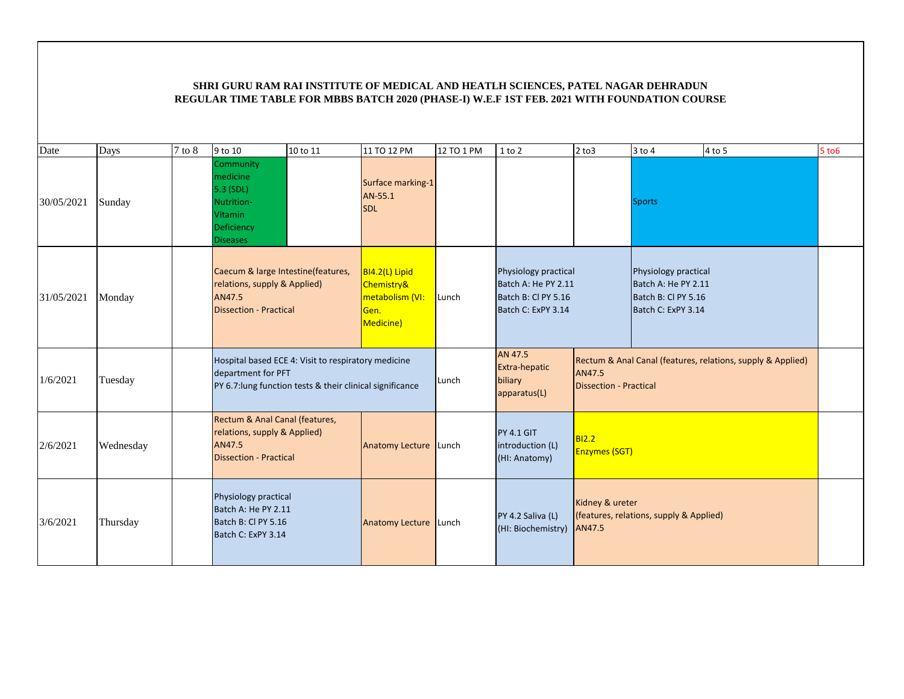| Date       | Days      | 7 to 8 | 9 to 10                                                                                                                                | 10 to 11 | 11 TO 12 PM                                                                     | 12 TO 1 PM | 1 to 2                                                                                   | $2$ to $3$                       | $3$ to $4$                                                                               | 4 to 5                                                      | $5$ to $6$ |
|------------|-----------|--------|----------------------------------------------------------------------------------------------------------------------------------------|----------|---------------------------------------------------------------------------------|------------|------------------------------------------------------------------------------------------|----------------------------------|------------------------------------------------------------------------------------------|-------------------------------------------------------------|------------|
| 30/05/2021 | Sunday    |        | Community<br>medicine<br>5.3 (SDL)<br>Nutrition-<br><b>Vitamin</b><br>Deficiency<br><b>Diseases</b>                                    |          | Surface marking-1<br>AN-55.1<br><b>SDL</b>                                      |            |                                                                                          |                                  | <b>Sports</b>                                                                            |                                                             |            |
| 31/05/2021 | Monday    |        | Caecum & large Intestine(features,<br>relations, supply & Applied)<br>AN47.5<br><b>Dissection - Practical</b>                          |          | BI4.2(L) Lipid<br><b>Chemistry&amp;</b><br>metabolism (VI:<br>Gen.<br>Medicine) | Lunch      | Physiology practical<br>Batch A: He PY 2.11<br>Batch B: Cl PY 5.16<br>Batch C: ExPY 3.14 |                                  | Physiology practical<br>Batch A: He PY 2.11<br>Batch B: Cl PY 5.16<br>Batch C: ExPY 3.14 |                                                             |            |
| 1/6/2021   | Tuesday   |        | Hospital based ECE 4: Visit to respiratory medicine<br>department for PFT<br>PY 6.7: lung function tests & their clinical significance |          |                                                                                 | Lunch      | AN 47.5<br>Extra-hepatic<br>biliary<br>apparatus(L)                                      | AN47.5<br>Dissection - Practical |                                                                                          | Rectum & Anal Canal (features, relations, supply & Applied) |            |
| 2/6/2021   | Wednesday |        | Rectum & Anal Canal (features,<br>relations, supply & Applied)<br>AN47.5<br><b>Dissection - Practical</b>                              |          | Anatomy Lecture Lunch                                                           |            | <b>PY 4.1 GIT</b><br>introduction (L)<br>(HI: Anatomy)                                   | B12.2<br><b>Enzymes (SGT)</b>    |                                                                                          |                                                             |            |
| 3/6/2021   | Thursday  |        | Physiology practical<br>Batch A: He PY 2.11<br>Batch B: CI PY 5.16<br>Batch C: ExPY 3.14                                               |          | Anatomy Lecture Lunch                                                           |            | PY 4.2 Saliva (L)<br>(HI: Biochemistry)                                                  | Kidney & ureter<br>AN47.5        | (features, relations, supply & Applied)                                                  |                                                             |            |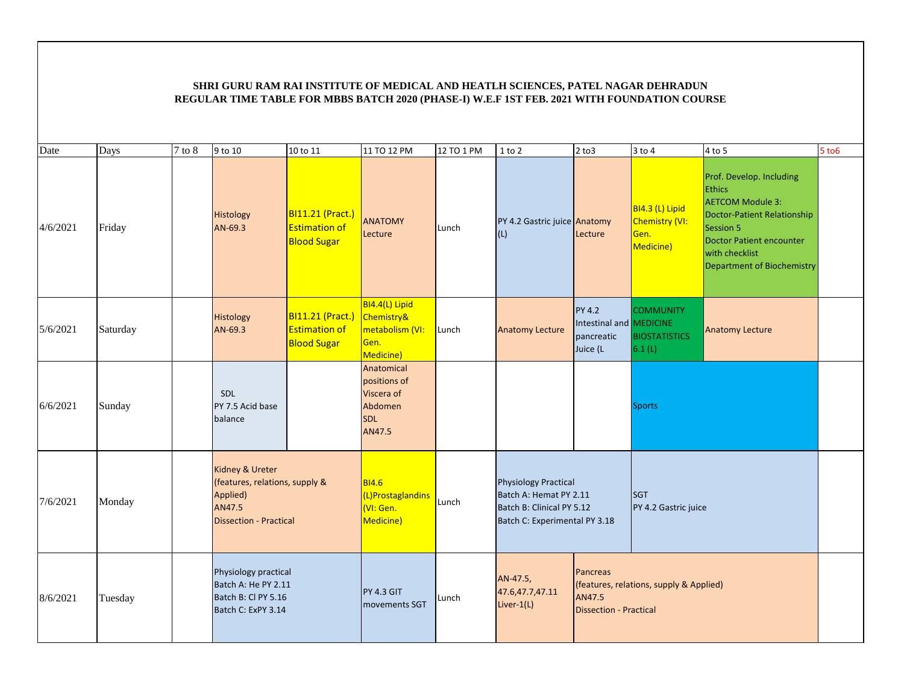| Date     | Days     | $7$ to $8$ | 9 to 10                                                                                                  | 10 to 11                                                       | 11 TO 12 PM                                                                 | 12 TO 1 PM | $1$ to $2$                                                                                                          | $2$ to $3$                                                         | $3$ to $4$                                             | $4$ to 5                                                                                                                                                                                                   | $5$ to $6$ |
|----------|----------|------------|----------------------------------------------------------------------------------------------------------|----------------------------------------------------------------|-----------------------------------------------------------------------------|------------|---------------------------------------------------------------------------------------------------------------------|--------------------------------------------------------------------|--------------------------------------------------------|------------------------------------------------------------------------------------------------------------------------------------------------------------------------------------------------------------|------------|
| 4/6/2021 | Friday   |            | Histology<br>AN-69.3                                                                                     | BI11.21 (Pract.)<br><b>Estimation of</b><br><b>Blood Sugar</b> | <b>ANATOMY</b><br>Lecture                                                   | Lunch      | PY 4.2 Gastric juice Anatomy<br>(L)                                                                                 | Lecture                                                            | BI4.3 (L) Lipid<br>Chemistry (VI:<br>Gen.<br>Medicine) | Prof. Develop. Including<br><b>Ethics</b><br><b>AETCOM Module 3:</b><br><b>Doctor-Patient Relationship</b><br>Session 5<br>Doctor Patient encounter<br>with checklist<br><b>Department of Biochemistry</b> |            |
| 5/6/2021 | Saturday |            | Histology<br>AN-69.3                                                                                     | BI11.21 (Pract.)<br><b>Estimation of</b><br><b>Blood Sugar</b> | BI4.4(L) Lipid<br>Chemistry&<br>metabolism (VI:<br>Gen.<br>Medicine)        | Lunch      | <b>Anatomy Lecture</b>                                                                                              | <b>PY 4.2</b><br>Intestinal and MEDICINE<br>pancreatic<br>Juice (L | <b>COMMUNITY</b><br><b>BIOSTATISTICS</b><br>6.1(L)     | <b>Anatomy Lecture</b>                                                                                                                                                                                     |            |
| 6/6/2021 | Sunday   |            | <b>SDL</b><br>PY 7.5 Acid base<br>balance                                                                |                                                                | Anatomical<br>positions of<br>Viscera of<br>Abdomen<br><b>SDL</b><br>AN47.5 |            |                                                                                                                     |                                                                    | <b>Sports</b>                                          |                                                                                                                                                                                                            |            |
| 7/6/2021 | Monday   |            | Kidney & Ureter<br>(features, relations, supply &<br>Applied)<br>AN47.5<br><b>Dissection - Practical</b> |                                                                | <b>BI4.6</b><br>(L)Prostaglandins<br>VI: Gen.<br>Medicine)                  | Lunch      | <b>Physiology Practical</b><br>Batch A: Hemat PY 2.11<br>Batch B: Clinical PY 5.12<br>Batch C: Experimental PY 3.18 |                                                                    | <b>SGT</b><br>PY 4.2 Gastric juice                     |                                                                                                                                                                                                            |            |
| 8/6/2021 | Tuesday  |            | Physiology practical<br>Batch A: He PY 2.11<br>Batch B: Cl PY 5.16<br>Batch C: ExPY 3.14                 |                                                                | <b>PY 4.3 GIT</b><br><b>Imovements SGT</b>                                  | Lunch      | AN-47.5,<br>47.6,47.7,47.11<br>Liver- $1(L)$                                                                        | Pancreas<br>AN47.5<br><b>Dissection - Practical</b>                | (features, relations, supply & Applied)                |                                                                                                                                                                                                            |            |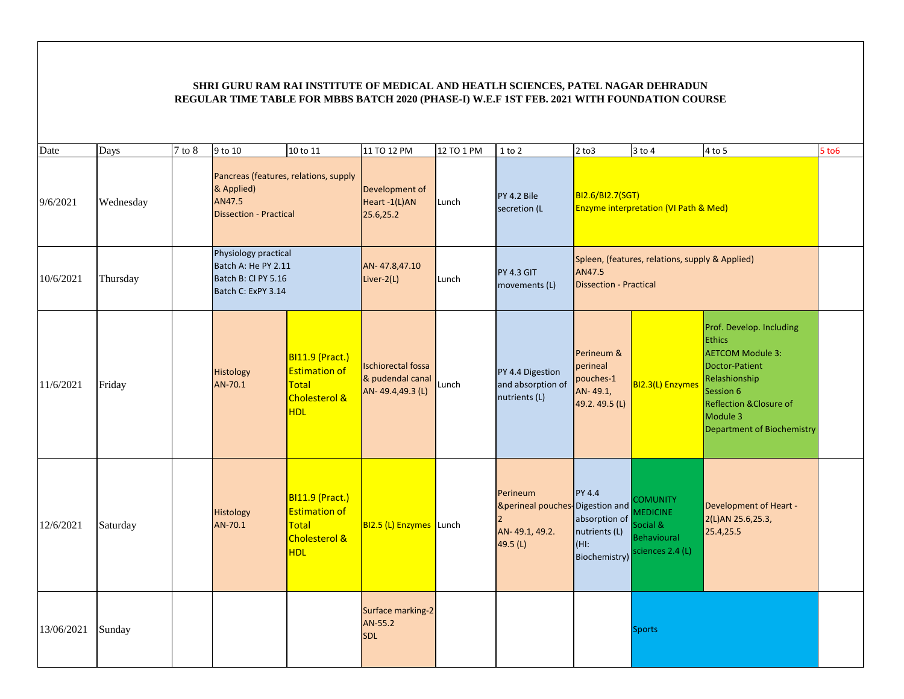| Date       | Days      | $7$ to $8$ | 9 to 10                                                                                        | 10 to 11                                                                                                 | 11 TO 12 PM                                                       | 12 TO 1 PM | $1$ to $2$                                                                | $2$ to $3$                                                            | $3$ to $4$                                                                               | $4$ to 5                                                                                                                                                                                                   | $5$ to $6$ |
|------------|-----------|------------|------------------------------------------------------------------------------------------------|----------------------------------------------------------------------------------------------------------|-------------------------------------------------------------------|------------|---------------------------------------------------------------------------|-----------------------------------------------------------------------|------------------------------------------------------------------------------------------|------------------------------------------------------------------------------------------------------------------------------------------------------------------------------------------------------------|------------|
| 9/6/2021   | Wednesday |            | Pancreas (features, relations, supply<br>& Applied)<br>AN47.5<br><b>Dissection - Practical</b> |                                                                                                          | Development of<br>Heart -1(L)AN<br>25.6,25.2                      | Lunch      | PY 4.2 Bile<br>secretion (L                                               | BI2.6/BI2.7(SGT)                                                      | <b>Enzyme interpretation (VI Path &amp; Med)</b>                                         |                                                                                                                                                                                                            |            |
| 10/6/2021  | Thursday  |            | Physiology practical<br>Batch A: He PY 2.11<br>Batch B: Cl PY 5.16<br>Batch C: ExPY 3.14       |                                                                                                          | AN-47.8,47.10<br>Liver-2(L)                                       | Lunch      | <b>PY 4.3 GIT</b><br>movements (L)                                        | AN47.5<br><b>Dissection - Practical</b>                               | Spleen, (features, relations, supply & Applied)                                          |                                                                                                                                                                                                            |            |
| 11/6/2021  | Friday    |            | <b>Histology</b><br>AN-70.1                                                                    | <b>BI11.9 (Pract.)</b><br><b>Estimation of</b><br><b>Total</b><br><b>Cholesterol &amp;</b><br><b>HDL</b> | <b>Ischiorectal fossa</b><br>& pudendal canal<br>AN-49.4,49.3 (L) | Lunch      | PY 4.4 Digestion<br>and absorption of<br>nutrients (L)                    | Perineum &<br>perineal<br>pouches-1<br>AN-49.1,<br>49.2.49.5 (L)      | BI2.3(L) Enzymes                                                                         | Prof. Develop. Including<br><b>Ethics</b><br><b>AETCOM Module 3:</b><br>Doctor-Patient<br>Relashionship<br>Session 6<br><b>Reflection &amp;Closure of</b><br>Module 3<br><b>Department of Biochemistry</b> |            |
| 12/6/2021  | Saturday  |            | Histology<br>AN-70.1                                                                           | <b>BI11.9 (Pract.)</b><br><b>Estimation of</b><br><b>Total</b><br><b>Cholesterol &amp;</b><br><b>HDL</b> | BI2.5 (L) Enzymes Lunch                                           |            | Perineum<br>&perineal pouches-Digestion and<br>AN-49.1, 49.2.<br>49.5 (L) | PY 4.4<br>absorption of<br>nutrients (L)<br>$(HI)$ :<br>Biochemistry) | <b>COMUNITY</b><br><b>MEDICINE</b><br>Social &<br><b>Behavioural</b><br>sciences 2.4 (L) | <b>Development of Heart -</b><br>2(L)AN 25.6,25.3,<br>25.4,25.5                                                                                                                                            |            |
| 13/06/2021 | Sunday    |            |                                                                                                |                                                                                                          | Surface marking-2<br>AN-55.2<br><b>SDL</b>                        |            |                                                                           |                                                                       | <b>Sports</b>                                                                            |                                                                                                                                                                                                            |            |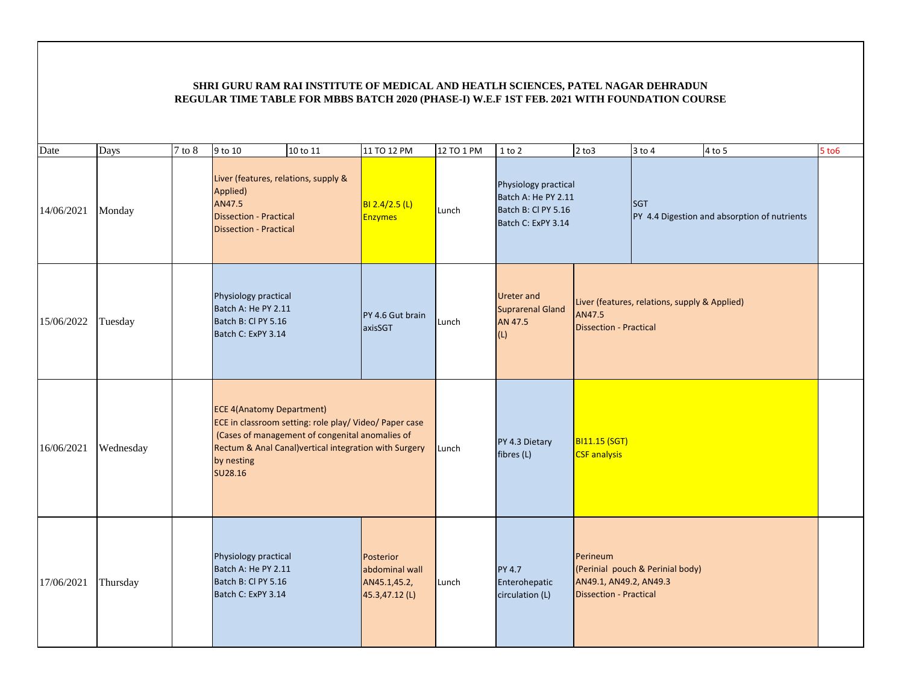| Date       | Days      | $7$ to $8$ | 9 to 10                                                                                                                                                                       | 10 to 11                                        | 11 TO 12 PM                                                          | 12 TO 1 PM | $1$ to $2$                                                                               | $2$ to $3$                                                          | $3$ to $4$                                    | $4$ to 5                                     | $5$ to $6$ |
|------------|-----------|------------|-------------------------------------------------------------------------------------------------------------------------------------------------------------------------------|-------------------------------------------------|----------------------------------------------------------------------|------------|------------------------------------------------------------------------------------------|---------------------------------------------------------------------|-----------------------------------------------|----------------------------------------------|------------|
| 14/06/2021 | Monday    |            | Liver (features, relations, supply &<br>Applied)<br>AN47.5<br><b>Dissection - Practical</b><br><b>Dissection - Practical</b>                                                  |                                                 | BI 2.4/2.5 (L)<br>Enzymes                                            | Lunch      | Physiology practical<br>Batch A: He PY 2.11<br>Batch B: Cl PY 5.16<br>Batch C: ExPY 3.14 |                                                                     | <b>SGT</b>                                    | PY 4.4 Digestion and absorption of nutrients |            |
| 15/06/2022 | Tuesday   |            | Physiology practical<br>Batch A: He PY 2.11<br>Batch B: CI PY 5.16<br>Batch C: ExPY 3.14                                                                                      |                                                 | PY 4.6 Gut brain<br>axisSGT                                          | Lunch      | <b>Ureter and</b><br><b>Suprarenal Gland</b><br>AN 47.5<br>(L)                           | AN47.5<br><b>Dissection - Practical</b>                             | Liver (features, relations, supply & Applied) |                                              |            |
| 16/06/2021 | Wednesday |            | <b>ECE 4(Anatomy Department)</b><br>ECE in classroom setting: role play/ Video/ Paper case<br>Rectum & Anal Canal) vertical integration with Surgery<br>by nesting<br>SU28.16 | (Cases of management of congenital anomalies of |                                                                      | Lunch      | PY 4.3 Dietary<br>fibres (L)                                                             | <b>BI11.15 (SGT)</b><br><b>CSF</b> analysis                         |                                               |                                              |            |
| 17/06/2021 | Thursday  |            | Physiology practical<br>Batch A: He PY 2.11<br>Batch B: Cl PY 5.16<br>Batch C: ExPY 3.14                                                                                      |                                                 | <b>Posterior</b><br>abdominal wall<br>AN45.1,45.2,<br>45.3,47.12 (L) | Lunch      | <b>PY 4.7</b><br>Enterohepatic<br>circulation (L)                                        | Perineum<br>AN49.1, AN49.2, AN49.3<br><b>Dissection - Practical</b> | (Perinial pouch & Perinial body)              |                                              |            |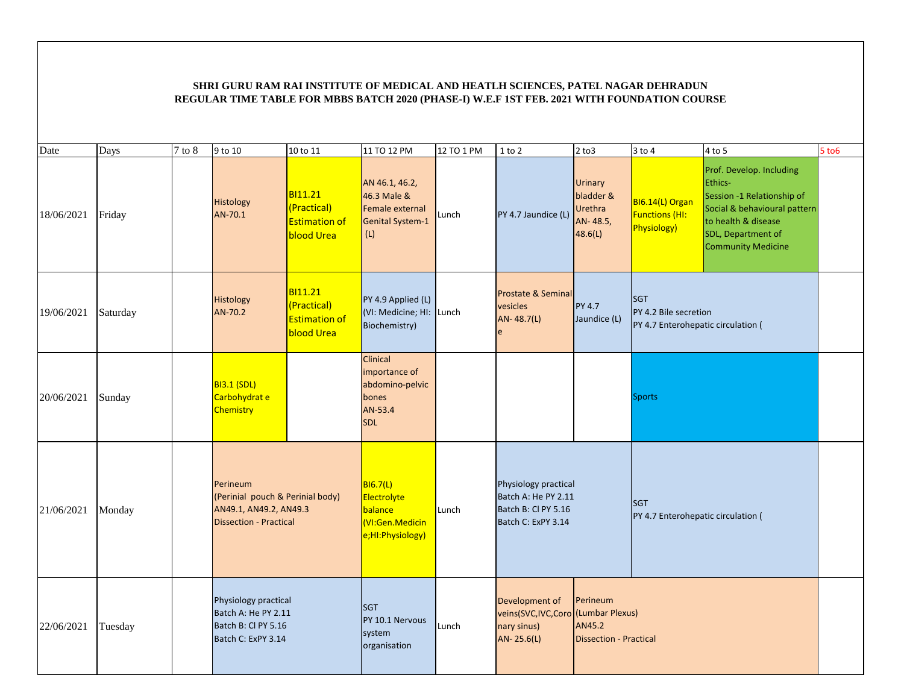| Date       | Days     | $7$ to $8\,$ | 9 to 10                                                                                                 | 10 to 11                                                                   | 11 TO 12 PM                                                                            | 12 TO 1 PM | $1$ to $2$                                                                               | $2$ to $3$                                                    | $3$ to $4$                                                                | 4 to 5                                                                                                                                                                      | <b>5 to 6</b> |
|------------|----------|--------------|---------------------------------------------------------------------------------------------------------|----------------------------------------------------------------------------|----------------------------------------------------------------------------------------|------------|------------------------------------------------------------------------------------------|---------------------------------------------------------------|---------------------------------------------------------------------------|-----------------------------------------------------------------------------------------------------------------------------------------------------------------------------|---------------|
| 18/06/2021 | Friday   |              | Histology<br>AN-70.1                                                                                    | BI11.21<br>(Practical)<br><b>Estimation of</b><br>blood Urea               | AN 46.1, 46.2,<br>46.3 Male &<br>Female external<br><b>Genital System-1</b><br>(L)     | Lunch      | PY 4.7 Jaundice (L)                                                                      | <b>Urinary</b><br>bladder &<br>Urethra<br>AN-48.5,<br>48.6(L) | BI6.14(L) Organ<br><b>Functions (HI:</b><br><b>Physiology)</b>            | Prof. Develop. Including<br>Ethics-<br>Session -1 Relationship of<br>Social & behavioural pattern<br>to health & disease<br>SDL, Department of<br><b>Community Medicine</b> |               |
| 19/06/2021 | Saturday |              | <b>Histology</b><br>AN-70.2                                                                             | <b>BI11.21</b><br>(Practical)<br><b>Estimation of</b><br><b>blood Urea</b> | PY 4.9 Applied (L)<br>(VI: Medicine; HI: Lunch<br>Biochemistry)                        |            | Prostate & Seminal<br>vesicles<br>AN-48.7(L)                                             | <b>PY 4.7</b><br>Jaundice (L)                                 | <b>SGT</b><br>PY 4.2 Bile secretion<br>PY 4.7 Enterohepatic circulation ( |                                                                                                                                                                             |               |
| 20/06/2021 | Sunday   |              | <b>BI3.1 (SDL)</b><br>Carbohydrat e<br>Chemistry                                                        |                                                                            | Clinical<br>importance of<br>abdomino-pelvic<br>bones<br>AN-53.4<br><b>SDL</b>         |            |                                                                                          |                                                               | <b>Sports</b>                                                             |                                                                                                                                                                             |               |
| 21/06/2021 | Monday   |              | Perineum<br>(Perinial pouch & Perinial body)<br>AN49.1, AN49.2, AN49.3<br><b>Dissection - Practical</b> |                                                                            | <b>BI6.7(L)</b><br>Electrolyte<br>balance<br><b>VI:Gen.Medicin</b><br>e;HI:Physiology) | Lunch      | Physiology practical<br>Batch A: He PY 2.11<br>Batch B: Cl PY 5.16<br>Batch C: ExPY 3.14 |                                                               | <b>SGT</b><br>PY 4.7 Enterohepatic circulation (                          |                                                                                                                                                                             |               |
| 22/06/2021 | Tuesday  |              | Physiology practical<br>Batch A: He PY 2.11<br>Batch B: Cl PY 5.16<br>Batch C: ExPY 3.14                |                                                                            | <b>SGT</b><br>PY 10.1 Nervous<br>system<br>organisation                                | Lunch      | Development of<br>veins(SVC,IVC,Coro (Lumbar Plexus)<br>nary sinus)<br>AN- 25.6(L)       | Perineum<br>AN45.2<br><b>Dissection - Practical</b>           |                                                                           |                                                                                                                                                                             |               |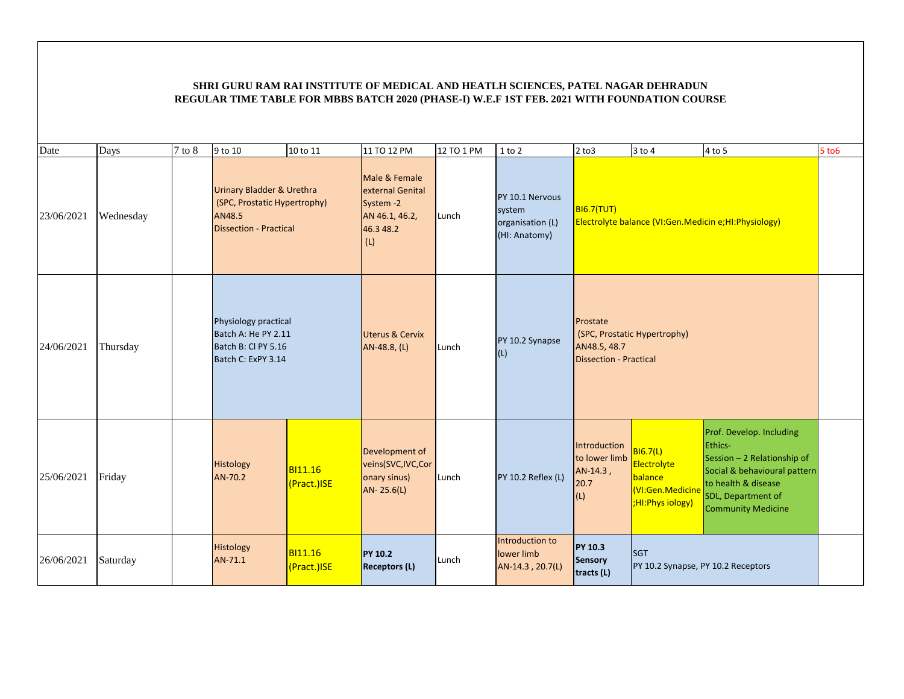| Date       | Days      | $7$ to $8$ | 9 to 10                                                                                                         | 10 to 11                      | 11 TO 12 PM                                                                          | 12 TO 1 PM | 1 to 2                                                         | $2$ to $3$                                                | 3 to 4                                                                           | 4 to 5                                                                                                                                                                       | $5$ to $6$ |
|------------|-----------|------------|-----------------------------------------------------------------------------------------------------------------|-------------------------------|--------------------------------------------------------------------------------------|------------|----------------------------------------------------------------|-----------------------------------------------------------|----------------------------------------------------------------------------------|------------------------------------------------------------------------------------------------------------------------------------------------------------------------------|------------|
| 23/06/2021 | Wednesday |            | <b>Urinary Bladder &amp; Urethra</b><br>(SPC, Prostatic Hypertrophy)<br>AN48.5<br><b>Dissection - Practical</b> |                               | Male & Female<br>external Genital<br>System -2<br>AN 46.1, 46.2,<br>46.3 48.2<br>(L) | Lunch      | PY 10.1 Nervous<br>system<br>organisation (L)<br>(HI: Anatomy) | <b>BI6.7(TUT)</b>                                         |                                                                                  | Electrolyte balance (VI:Gen.Medicin e;HI:Physiology)                                                                                                                         |            |
| 24/06/2021 | Thursday  |            | Physiology practical<br>Batch A: He PY 2.11<br>Batch B: Cl PY 5.16<br>Batch C: ExPY 3.14                        |                               | <b>Uterus &amp; Cervix</b><br>AN-48.8, (L)                                           | Lunch      | PY 10.2 Synapse<br>(L)                                         | Prostate<br>AN48.5, 48.7<br><b>Dissection - Practical</b> | (SPC, Prostatic Hypertrophy)                                                     |                                                                                                                                                                              |            |
| 25/06/2021 | Friday    |            | <b>Histology</b><br>AN-70.2                                                                                     | <b>BI11.16</b><br>(Pract.)ISE | Development of<br>veins(SVC,IVC,Cor<br>onary sinus)<br>AN-25.6(L)                    | Lunch      | PY 10.2 Reflex (L)                                             | Introduction<br>to lower limb<br>AN-14.3,<br>20.7<br>(L)  | B16.7(L)<br>Electrolyte<br>balance<br><b>VI:Gen.Medicine</b><br>HI:Phys iology); | Prof. Develop. Including<br>Ethics-<br>Session - 2 Relationship of<br>Social & behavioural pattern<br>to health & disease<br>SDL, Department of<br><b>Community Medicine</b> |            |
| 26/06/2021 | Saturday  |            | <b>Histology</b><br>AN-71.1                                                                                     | <b>BI11.16</b><br>(Pract.)ISE | <b>PY 10.2</b><br><b>Receptors (L)</b>                                               | Lunch      | Introduction to<br>lower limb<br>AN-14.3, 20.7(L)              | <b>PY 10.3</b><br>Sensory<br>tracts (L)                   | <b>SGT</b><br>PY 10.2 Synapse, PY 10.2 Receptors                                 |                                                                                                                                                                              |            |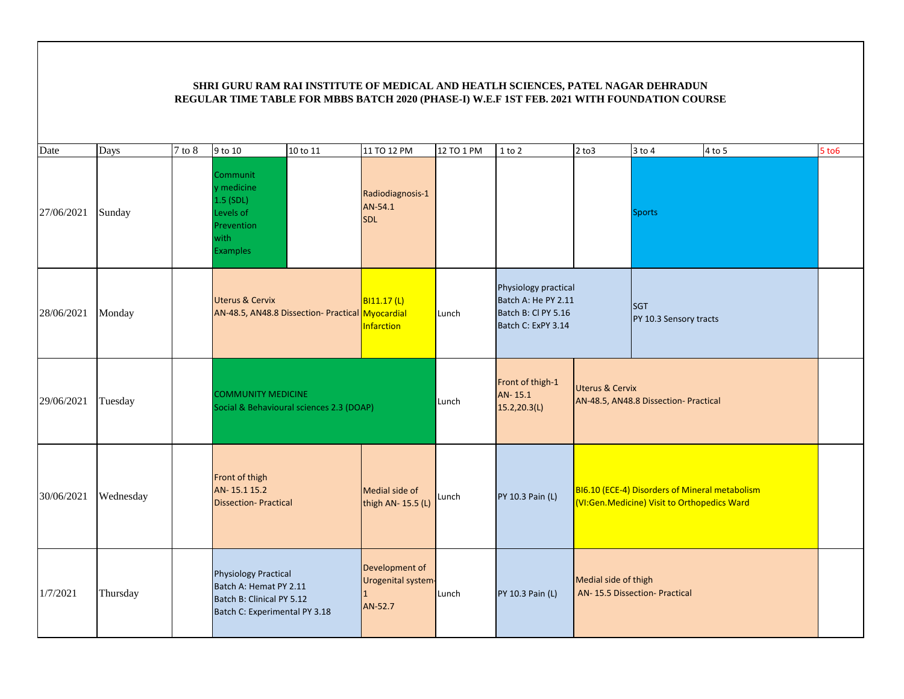| Date       | Days      | $7$ to $8\,$ | 9 to 10                                                                                                             | 10 to 11                                         | 11 TO 12 PM                                          | 12 TO 1 PM | 1 to 2                                                                                   | $2$ to $3$           | $3$ to $4$                                                                                    | $4$ to 5 | <b>5 to 6</b> |
|------------|-----------|--------------|---------------------------------------------------------------------------------------------------------------------|--------------------------------------------------|------------------------------------------------------|------------|------------------------------------------------------------------------------------------|----------------------|-----------------------------------------------------------------------------------------------|----------|---------------|
| 27/06/2021 | Sunday    |              | Communit<br>y medicine<br>$1.5$ (SDL)<br>Levels of<br>Prevention<br>with<br><b>Examples</b>                         |                                                  | Radiodiagnosis-1<br>AN-54.1<br><b>SDL</b>            |            |                                                                                          |                      | <b>Sports</b>                                                                                 |          |               |
| 28/06/2021 | Monday    |              | <b>Uterus &amp; Cervix</b>                                                                                          | AN-48.5, AN48.8 Dissection- Practical Myocardial | <b>BI11.17 (L)</b><br>Infarction                     | Lunch      | Physiology practical<br>Batch A: He PY 2.11<br>Batch B: Cl PY 5.16<br>Batch C: ExPY 3.14 |                      | <b>SGT</b><br>PY 10.3 Sensory tracts                                                          |          |               |
| 29/06/2021 | Tuesday   |              | <b>COMMUNITY MEDICINE</b>                                                                                           | Social & Behavioural sciences 2.3 (DOAP)         |                                                      | Lunch      | Front of thigh-1<br>AN-15.1<br>15.2,20.3(L)                                              | Uterus & Cervix      | AN-48.5, AN48.8 Dissection- Practical                                                         |          |               |
| 30/06/2021 | Wednesday |              | Front of thigh<br>AN-15.115.2<br><b>Dissection-Practical</b>                                                        |                                                  | Medial side of<br>thigh AN- 15.5 (L)                 | Lunch      | PY 10.3 Pain (L)                                                                         |                      | BI6.10 (ECE-4) Disorders of Mineral metabolism<br>(VI:Gen.Medicine) Visit to Orthopedics Ward |          |               |
| 1/7/2021   | Thursday  |              | <b>Physiology Practical</b><br>Batch A: Hemat PY 2.11<br>Batch B: Clinical PY 5.12<br>Batch C: Experimental PY 3.18 |                                                  | Development of<br>Urogenital system<br>11<br>AN-52.7 | Lunch      | PY 10.3 Pain (L)                                                                         | Medial side of thigh | AN-15.5 Dissection- Practical                                                                 |          |               |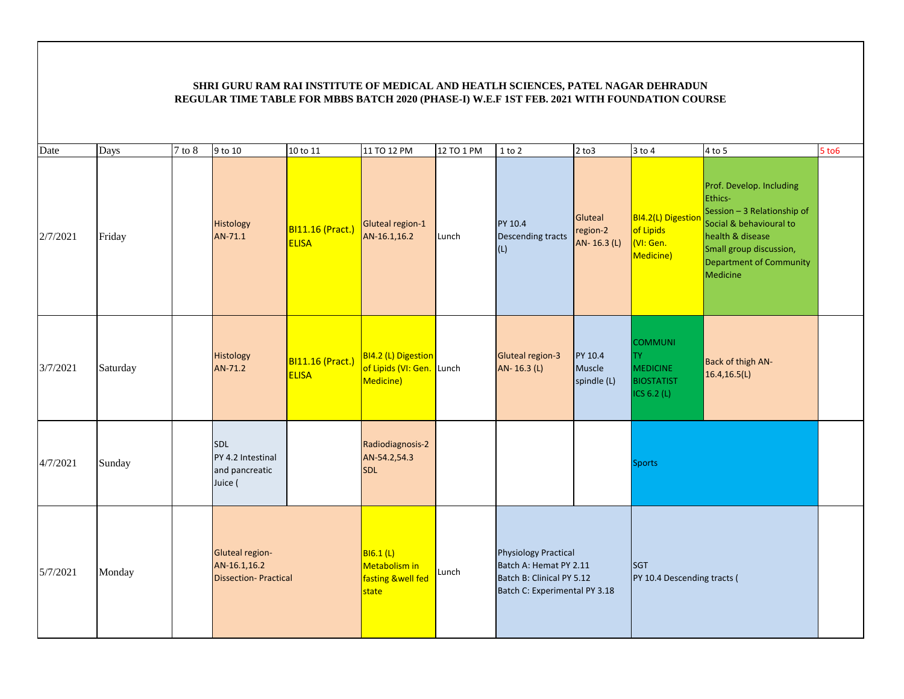| Date     | Days     | $7$ to $8$ | 9 to 10                                                               | 10 to 11                         | 11 TO 12 PM                                                   | 12 TO 1 PM | $1$ to $2$                                                                                                          | $2$ to $3$                         | $3$ to $4$                                                                           | $4$ to 5                                                                                                                                                                                   | $5$ to $6$ |
|----------|----------|------------|-----------------------------------------------------------------------|----------------------------------|---------------------------------------------------------------|------------|---------------------------------------------------------------------------------------------------------------------|------------------------------------|--------------------------------------------------------------------------------------|--------------------------------------------------------------------------------------------------------------------------------------------------------------------------------------------|------------|
| 2/7/2021 | Friday   |            | Histology<br>AN-71.1                                                  | BI11.16 (Pract.)<br><b>ELISA</b> | Gluteal region-1<br>AN-16.1,16.2                              | Lunch      | PY 10.4<br><b>Descending tracts</b><br>(L)                                                                          | Gluteal<br>region-2<br>AN-16.3 (L) | BI4.2(L) Digestion<br>of Lipids<br>(VI: Gen.<br>Medicine)                            | Prof. Develop. Including<br>Ethics-<br>Session - 3 Relationship of<br>Social & behavioural to<br>health & disease<br>Small group discussion,<br><b>Department of Community</b><br>Medicine |            |
| 3/7/2021 | Saturday |            | Histology<br>AN-71.2                                                  | BI11.16 (Pract.)<br><b>ELISA</b> | BI4.2 (L) Digestion<br>of Lipids (VI: Gen. Lunch<br>Medicine) |            | Gluteal region-3<br>AN-16.3 (L)                                                                                     | PY 10.4<br>Muscle<br>spindle (L)   | <b>COMMUNI</b><br><b>TY</b><br><b>MEDICINE</b><br><b>BIOSTATIST</b><br>ICS $6.2$ (L) | <b>Back of thigh AN-</b><br>16.4, 16.5(L)                                                                                                                                                  |            |
| 4/7/2021 | Sunday   |            | SDL<br>PY 4.2 Intestinal<br>and pancreatic<br>Juice (                 |                                  | Radiodiagnosis-2<br>AN-54.2,54.3<br><b>SDL</b>                |            |                                                                                                                     |                                    | <b>Sports</b>                                                                        |                                                                                                                                                                                            |            |
| 5/7/2021 | Monday   |            | <b>Gluteal region-</b><br>AN-16.1,16.2<br><b>Dissection-Practical</b> |                                  | B16.1(L)<br>Metabolism in<br>fasting &well fed<br>state       | Lunch      | <b>Physiology Practical</b><br>Batch A: Hemat PY 2.11<br>Batch B: Clinical PY 5.12<br>Batch C: Experimental PY 3.18 |                                    | <b>SGT</b><br>PY 10.4 Descending tracts (                                            |                                                                                                                                                                                            |            |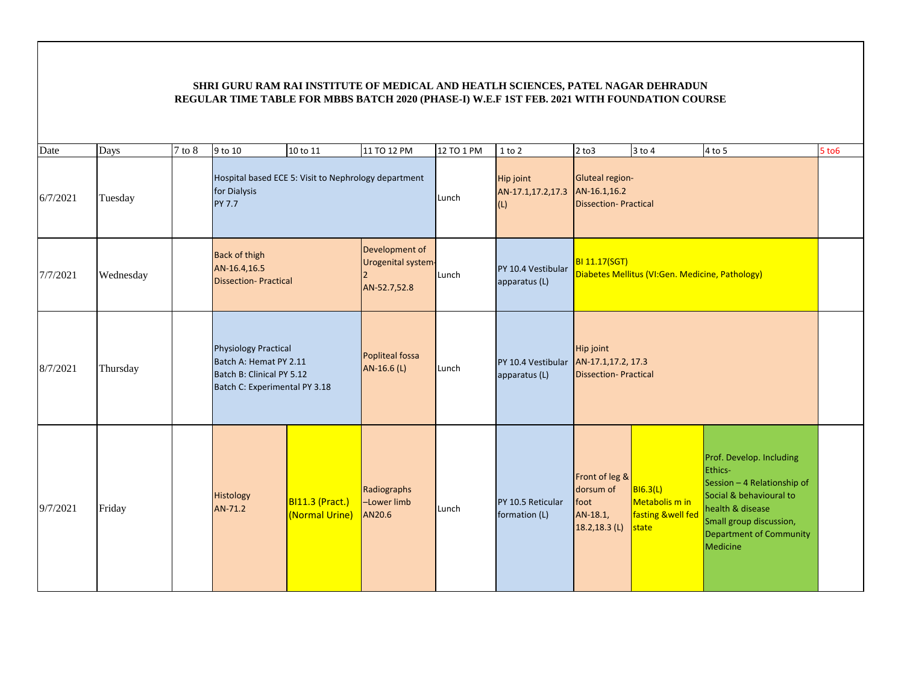| Date     | Days      | $7$ to $8$ | 9 to 10                                                                                                             | 10 to 11                          | 11 TO 12 PM                                          | 12 TO 1 PM | $1$ to $2$                                   | $2$ to $3$                                                            | $3$ to 4                                                 | $4$ to 5                                                                                                                                                                                   | 5 to 6 |
|----------|-----------|------------|---------------------------------------------------------------------------------------------------------------------|-----------------------------------|------------------------------------------------------|------------|----------------------------------------------|-----------------------------------------------------------------------|----------------------------------------------------------|--------------------------------------------------------------------------------------------------------------------------------------------------------------------------------------------|--------|
| 6/7/2021 | Tuesday   |            | Hospital based ECE 5: Visit to Nephrology department<br>for Dialysis<br>PY 7.7                                      |                                   |                                                      | Lunch      | <b>Hip joint</b><br>AN-17.1,17.2,17.3<br>(L) | Gluteal region-<br>AN-16.1,16.2<br><b>Dissection-Practical</b>        |                                                          |                                                                                                                                                                                            |        |
| 7/7/2021 | Wednesday |            | <b>Back of thigh</b><br>AN-16.4,16.5<br><b>Dissection-Practical</b>                                                 |                                   | Development of<br>Urogenital system-<br>AN-52.7,52.8 | Lunch      | PY 10.4 Vestibular<br>apparatus (L)          | <b>BI 11.17(SGT)</b>                                                  | Diabetes Mellitus (VI:Gen. Medicine, Pathology)          |                                                                                                                                                                                            |        |
| 8/7/2021 | Thursday  |            | <b>Physiology Practical</b><br>Batch A: Hemat PY 2.11<br>Batch B: Clinical PY 5.12<br>Batch C: Experimental PY 3.18 |                                   | Popliteal fossa<br>AN-16.6 (L)                       | Lunch      | PY 10.4 Vestibular<br>apparatus (L)          | <b>Hip joint</b><br>AN-17.1,17.2, 17.3<br><b>Dissection-Practical</b> |                                                          |                                                                                                                                                                                            |        |
| 9/7/2021 | Friday    |            | Histology<br>AN-71.2                                                                                                | BI11.3 (Pract.)<br>(Normal Urine) | Radiographs<br>-Lower limb<br>AN20.6                 | Lunch      | PY 10.5 Reticular<br>formation (L)           | Front of leg &<br>dorsum of<br>foot<br>AN-18.1,<br>$18.2, 18.3$ (L)   | B16.3(L)<br>Metabolis m in<br>fasting &well fed<br>state | Prof. Develop. Including<br><b>Ethics-</b><br>Session - 4 Relationship of<br>Social & behavioural to<br>health & disease<br>Small group discussion,<br>Department of Community<br>Medicine |        |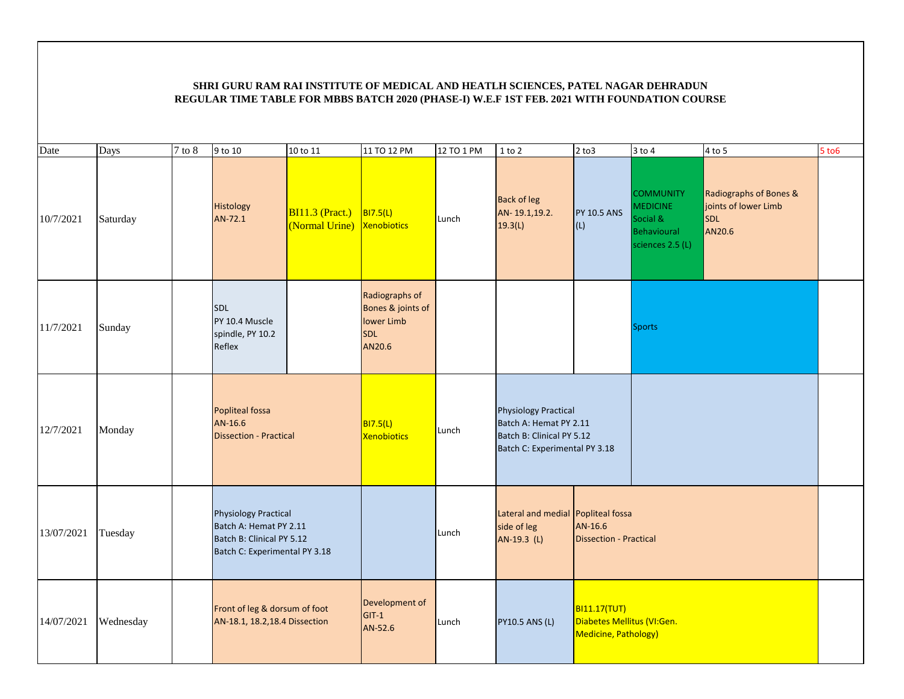| Date       | Days      | $7$ to $8$ | 9 to 10                                                                                                             | 10 to 11                                 | 11 TO 12 PM                                                               | 12 TO 1 PM | $1$ to $2$                                                                                                          | $2$ to $3$                                                                | $3$ to $4$                                                                         | $4$ to 5                                                               | $5$ to $6$ |
|------------|-----------|------------|---------------------------------------------------------------------------------------------------------------------|------------------------------------------|---------------------------------------------------------------------------|------------|---------------------------------------------------------------------------------------------------------------------|---------------------------------------------------------------------------|------------------------------------------------------------------------------------|------------------------------------------------------------------------|------------|
| 10/7/2021  | Saturday  |            | Histology<br>AN-72.1                                                                                                | <b>BI11.3 (Pract.)</b><br>(Normal Urine) | <b>BI7.5(L)</b><br><b>Xenobiotics</b>                                     | Lunch      | <b>Back of leg</b><br>AN-19.1,19.2.<br>19.3(L)                                                                      | <b>PY 10.5 ANS</b><br>(L)                                                 | <b>COMMUNITY</b><br><b>MEDICINE</b><br>Social &<br>Behavioural<br>sciences 2.5 (L) | Radiographs of Bones &<br>joints of lower Limb<br><b>SDL</b><br>AN20.6 |            |
| 11/7/2021  | Sunday    |            | SDL<br>PY 10.4 Muscle<br>spindle, PY 10.2<br>Reflex                                                                 |                                          | Radiographs of<br>Bones & joints of<br>lower Limb<br><b>SDL</b><br>AN20.6 |            |                                                                                                                     |                                                                           | <b>Sports</b>                                                                      |                                                                        |            |
| 12/7/2021  | Monday    |            | <b>Popliteal fossa</b><br>AN-16.6<br><b>Dissection - Practical</b>                                                  |                                          | <b>BI7.5(L)</b><br><b>Xenobiotics</b>                                     | Lunch      | <b>Physiology Practical</b><br>Batch A: Hemat PY 2.11<br>Batch B: Clinical PY 5.12<br>Batch C: Experimental PY 3.18 |                                                                           |                                                                                    |                                                                        |            |
| 13/07/2021 | Tuesday   |            | <b>Physiology Practical</b><br>Batch A: Hemat PY 2.11<br>Batch B: Clinical PY 5.12<br>Batch C: Experimental PY 3.18 |                                          |                                                                           | Lunch      | Lateral and medial Popliteal fossa<br>side of leg<br>AN-19.3 (L)                                                    | AN-16.6<br><b>Dissection - Practical</b>                                  |                                                                                    |                                                                        |            |
| 14/07/2021 | Wednesday |            | Front of leg & dorsum of foot<br>AN-18.1, 18.2, 18.4 Dissection                                                     |                                          | Development of<br>$GIT-1$<br>AN-52.6                                      | Lunch      | <b>PY10.5 ANS (L)</b>                                                                                               | <b>BI11.17(TUT)</b><br>Diabetes Mellitus (VI:Gen.<br>Medicine, Pathology) |                                                                                    |                                                                        |            |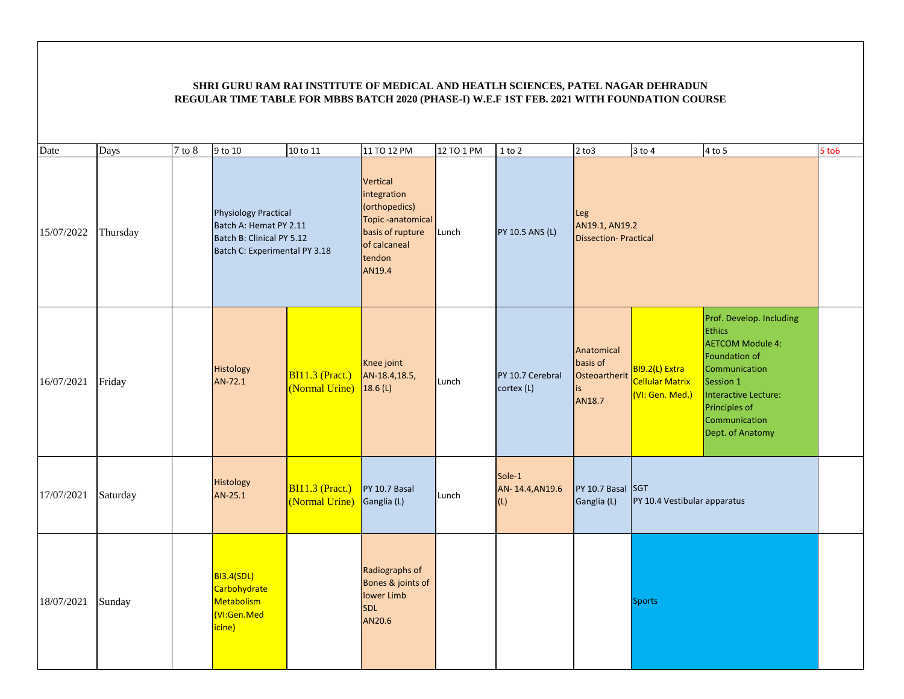| Date       | Days     | $\overline{7}$ to 8 | 9 to 10                                                                                                             | 10 to 11                                                            | 11 TO 12 PM                                                                                                          | 12 TO 1 PM | $1$ to $2$                       | $2$ to $3$                                              | $3$ to $4$                                                  | $4$ to 5                                                                                                                                                                                          | 5 to 6 |
|------------|----------|---------------------|---------------------------------------------------------------------------------------------------------------------|---------------------------------------------------------------------|----------------------------------------------------------------------------------------------------------------------|------------|----------------------------------|---------------------------------------------------------|-------------------------------------------------------------|---------------------------------------------------------------------------------------------------------------------------------------------------------------------------------------------------|--------|
| 15/07/2022 | Thursday |                     | <b>Physiology Practical</b><br>Batch A: Hemat PY 2.11<br>Batch B: Clinical PY 5.12<br>Batch C: Experimental PY 3.18 |                                                                     | Vertical<br>integration<br>(orthopedics)<br>Topic-anatomical<br>basis of rupture<br>of calcaneal<br>tendon<br>AN19.4 | Lunch      | PY 10.5 ANS (L)                  | Leg<br>AN19.1, AN19.2<br><b>Dissection-Practical</b>    |                                                             |                                                                                                                                                                                                   |        |
| 16/07/2021 | Friday   |                     | Histology<br>AN-72.1                                                                                                | <b>BI11.3 (Pract.)</b><br>$\overline{\text{Normal Urine}}$ 18.6 (L) | Knee joint<br>AN-18.4,18.5,                                                                                          | Lunch      | PY 10.7 Cerebral<br>cortex (L)   | Anatomical<br>basis of<br>Osteoartherit<br>is<br>AN18.7 | BI9.2(L) Extra<br><b>Cellular Matrix</b><br>(VI: Gen. Med.) | Prof. Develop. Including<br><b>Ethics</b><br><b>AETCOM Module 4:</b><br>Foundation of<br>Communication<br>Session 1<br>Interactive Lecture:<br>Principles of<br>Communication<br>Dept. of Anatomy |        |
| 17/07/2021 | Saturday |                     | Histology<br>AN-25.1                                                                                                | <b>BI11.3 (Pract.)</b><br>(Normal Urine)                            | PY 10.7 Basal<br>Ganglia (L)                                                                                         | Lunch      | Sole-1<br>AN-14.4, AN19.6<br>(L) | PY 10.7 Basal SGT<br>Ganglia (L)                        | PY 10.4 Vestibular apparatus                                |                                                                                                                                                                                                   |        |
| 18/07/2021 | Sunday   |                     | <b>BI3.4(SDL)</b><br>Carbohydrate<br>Metabolism<br><b>VI:Gen.Med</b><br>icine)                                      |                                                                     | Radiographs of<br>Bones & joints of<br>lower Limb<br><b>SDL</b><br>AN20.6                                            |            |                                  |                                                         | <b>Sports</b>                                               |                                                                                                                                                                                                   |        |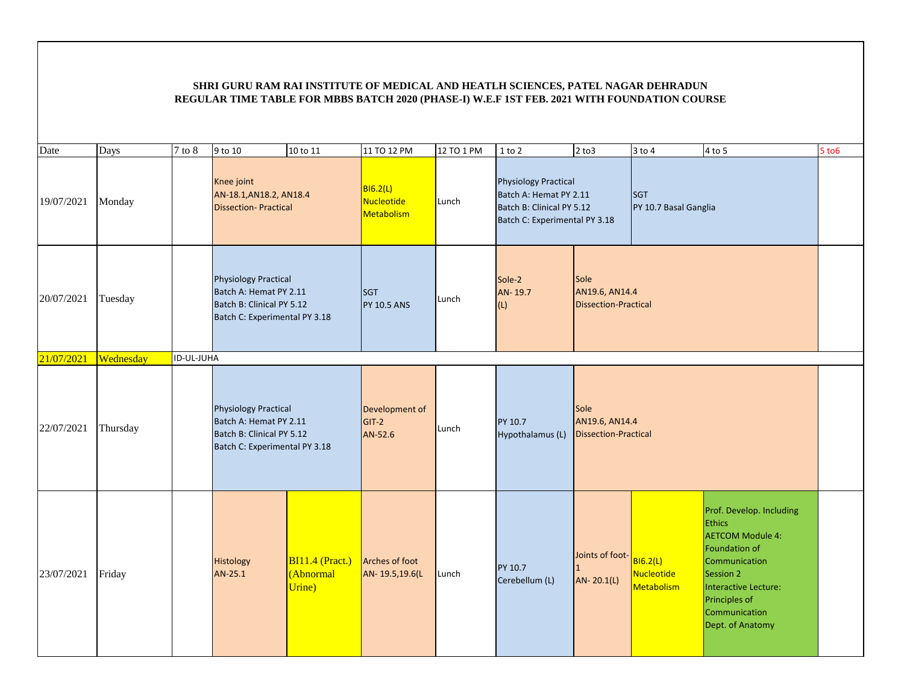| Date       | Days      | $7$ to $8\,$ | 9 to 10                                                                                                             | 10 to 11                                      | 11 TO 12 PM                          | 12 TO 1 PM | $1$ to $2$                                                                                                          | $2$ to $3$                                                   | $3$ to $4$                                         | 4 to 5                                                                                                                                                                                            | $5$ to $6$ |
|------------|-----------|--------------|---------------------------------------------------------------------------------------------------------------------|-----------------------------------------------|--------------------------------------|------------|---------------------------------------------------------------------------------------------------------------------|--------------------------------------------------------------|----------------------------------------------------|---------------------------------------------------------------------------------------------------------------------------------------------------------------------------------------------------|------------|
| 19/07/2021 | Monday    |              | Knee joint<br>AN-18.1, AN18.2, AN18.4<br><b>Dissection-Practical</b>                                                |                                               | B16.2(L)<br>Nucleotide<br>Metabolism | Lunch      | <b>Physiology Practical</b><br>Batch A: Hemat PY 2.11<br>Batch B: Clinical PY 5.12<br>Batch C: Experimental PY 3.18 |                                                              | <b>SGT</b><br>PY 10.7 Basal Ganglia                |                                                                                                                                                                                                   |            |
| 20/07/2021 | Tuesday   |              | <b>Physiology Practical</b><br>Batch A: Hemat PY 2.11<br>Batch B: Clinical PY 5.12<br>Batch C: Experimental PY 3.18 |                                               | <b>SGT</b><br><b>PY 10.5 ANS</b>     | Lunch      | Sole-2<br>AN-19.7<br>(L)                                                                                            | <b>Sole</b><br>AN19.6, AN14.4<br><b>Dissection-Practical</b> |                                                    |                                                                                                                                                                                                   |            |
| 21/07/2021 | Wednesday | ID-UL-JUHA   |                                                                                                                     |                                               |                                      |            |                                                                                                                     |                                                              |                                                    |                                                                                                                                                                                                   |            |
| 22/07/2021 | Thursday  |              | <b>Physiology Practical</b><br>Batch A: Hemat PY 2.11<br>Batch B: Clinical PY 5.12<br>Batch C: Experimental PY 3.18 |                                               | Development of<br>GIT-2<br>AN-52.6   | Lunch      | PY 10.7<br>Hypothalamus (L)                                                                                         | Sole<br>AN19.6, AN14.4<br><b>Dissection-Practical</b>        |                                                    |                                                                                                                                                                                                   |            |
| 23/07/2021 | Friday    |              | Histology<br>AN-25.1                                                                                                | <b>BI11.4</b> (Pract.)<br>(Abnormal<br>Urine) | Arches of foot<br>AN-19.5,19.6(L     | Lunch      | PY 10.7<br>Cerebellum (L)                                                                                           | Joints of foot-<br>$\mathbf{1}$<br>AN-20.1(L)                | <b>BI6.2(L)</b><br><b>Nucleotide</b><br>Metabolism | Prof. Develop. Including<br><b>Ethics</b><br><b>AETCOM Module 4:</b><br>Foundation of<br>Communication<br>Session 2<br>Interactive Lecture:<br>Principles of<br>Communication<br>Dept. of Anatomy |            |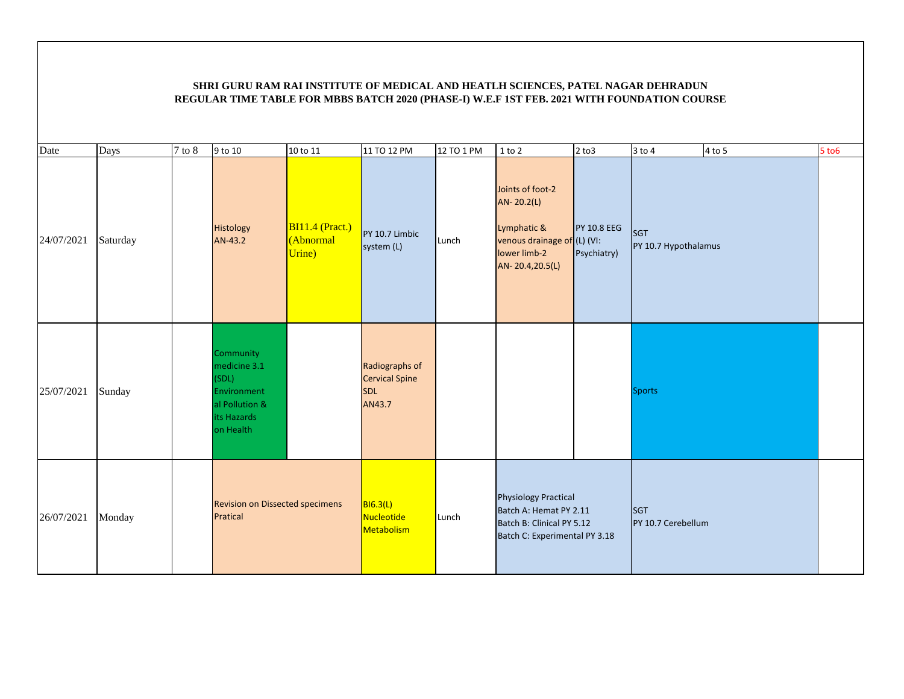| Date       | Days     | $7$ to $8\,$ | 9 to 10                                                                                         | 10 to 11                                 | 11 TO 12 PM                                                     | 12 TO 1 PM | $1$ to $2$                                                                                                          | $2$ to $3$                                    | $3$ to $4$                         | $4$ to 5 | $5$ to $6$ |
|------------|----------|--------------|-------------------------------------------------------------------------------------------------|------------------------------------------|-----------------------------------------------------------------|------------|---------------------------------------------------------------------------------------------------------------------|-----------------------------------------------|------------------------------------|----------|------------|
| 24/07/2021 | Saturday |              | Histology<br>AN-43.2                                                                            | $BI11.4$ (Pract.)<br>(Abnormal<br>Urine) | PY 10.7 Limbic<br>system (L)                                    | Lunch      | Joints of foot-2<br>AN-20.2(L)<br>Lymphatic &<br>venous drainage of<br>lower limb-2<br>AN-20.4,20.5(L)              | <b>PY 10.8 EEG</b><br>(L) (VI:<br>Psychiatry) | <b>SGT</b><br>PY 10.7 Hypothalamus |          |            |
| 25/07/2021 | Sunday   |              | Community<br>medicine 3.1<br>(SDL)<br>Environment<br>al Pollution &<br>its Hazards<br>on Health |                                          | Radiographs of<br><b>Cervical Spine</b><br><b>SDL</b><br>AN43.7 |            |                                                                                                                     |                                               | <b>Sports</b>                      |          |            |
| 26/07/2021 | Monday   |              | <b>Revision on Dissected specimens</b><br>Pratical                                              |                                          | B16.3(L)<br>Nucleotide<br>Metabolism                            | Lunch      | <b>Physiology Practical</b><br>Batch A: Hemat PY 2.11<br>Batch B: Clinical PY 5.12<br>Batch C: Experimental PY 3.18 |                                               | <b>SGT</b><br>PY 10.7 Cerebellum   |          |            |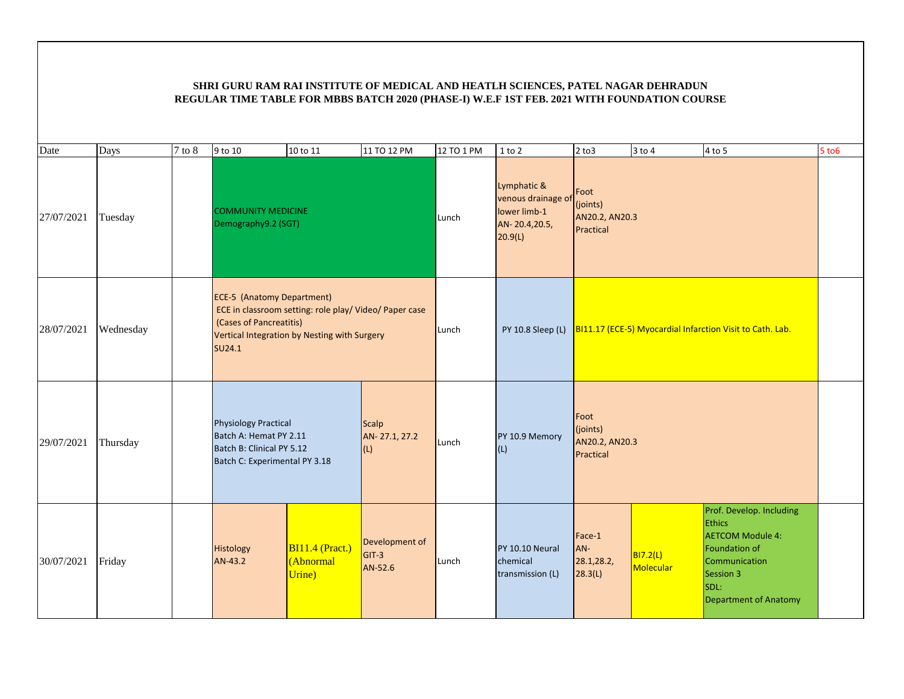| Date       | Days      | $7$ to $8$ | 9 to 10                                                                                                                | 10 to 11                                               | 11 TO 12 PM                          | 12 TO 1 PM | $1$ to $2$                                                                    | $2$ to $3$                                      | $3$ to $4$            | 4 to 5                                                                                                                                                      | $5$ to $6$ |
|------------|-----------|------------|------------------------------------------------------------------------------------------------------------------------|--------------------------------------------------------|--------------------------------------|------------|-------------------------------------------------------------------------------|-------------------------------------------------|-----------------------|-------------------------------------------------------------------------------------------------------------------------------------------------------------|------------|
| 27/07/2021 | Tuesday   |            | <b>COMMUNITY MEDICINE</b><br>Demography9.2 (SGT)                                                                       |                                                        |                                      | Lunch      | Lymphatic &<br>venous drainage of<br>lower limb-1<br>AN-20.4,20.5,<br>20.9(L) | Foot<br>(joints)<br>AN20.2, AN20.3<br>Practical |                       |                                                                                                                                                             |            |
| 28/07/2021 | Wednesday |            | <b>ECE-5 (Anatomy Department)</b><br>(Cases of Pancreatitis)<br>Vertical Integration by Nesting with Surgery<br>SU24.1 | ECE in classroom setting: role play/ Video/ Paper case |                                      | Lunch      | PY 10.8 Sleep (L)                                                             |                                                 |                       | BI11.17 (ECE-5) Myocardial Infarction Visit to Cath. Lab.                                                                                                   |            |
| 29/07/2021 | Thursday  |            | <b>Physiology Practical</b><br>Batch A: Hemat PY 2.11<br>Batch B: Clinical PY 5.12<br>Batch C: Experimental PY 3.18    |                                                        | <b>Scalp</b><br>AN-27.1, 27.2<br>(L) | Lunch      | PY 10.9 Memory<br>(L)                                                         | Foot<br>(joints)<br>AN20.2, AN20.3<br>Practical |                       |                                                                                                                                                             |            |
| 30/07/2021 | Friday    |            | Histology<br>AN-43.2                                                                                                   | BI11.4 (Pract.)<br>(Abnormal<br>Urine)                 | Development of<br>$GIT-3$<br>AN-52.6 | Lunch      | PY 10.10 Neural<br>chemical<br>transmission (L)                               | Face-1<br>AN-<br>28.1,28.2,<br>28.3(L)          | BI7.2(L)<br>Molecular | Prof. Develop. Including<br><b>Ethics</b><br><b>AETCOM Module 4:</b><br>Foundation of<br>Communication<br>Session 3<br>SDL:<br><b>Department of Anatomy</b> |            |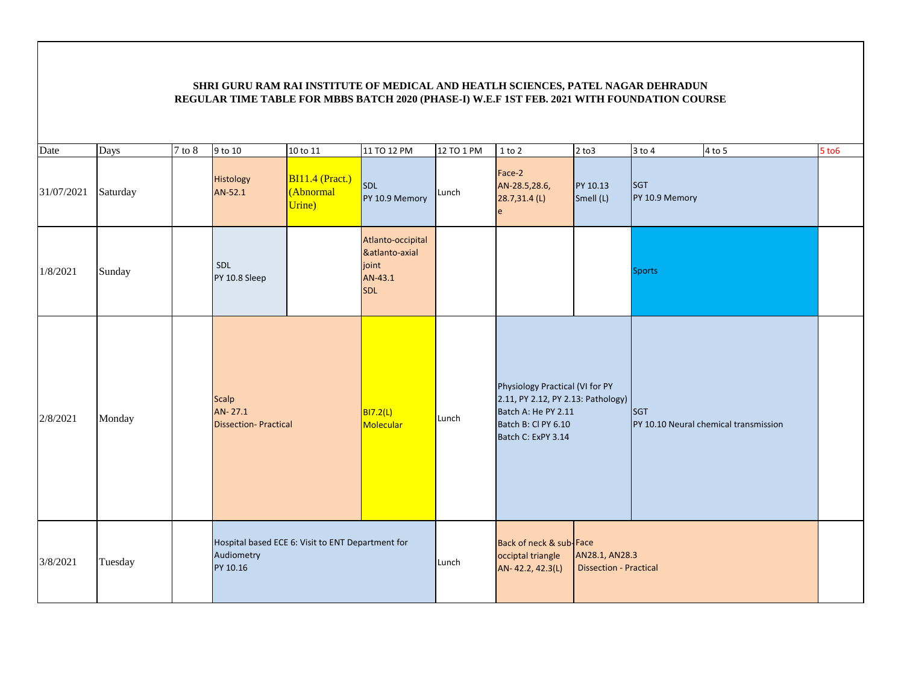| Date       | Days     | $\overline{7}$ to 8 | 9 to 10                                                                     | 10 to 11                               | 11 TO 12 PM                                                           | 12 TO 1 PM | $1$ to $2$                                                                                                                                | $2$ to $3$                                      | $3$ to $4$            | 4 to 5                                | $5$ to $6$ |
|------------|----------|---------------------|-----------------------------------------------------------------------------|----------------------------------------|-----------------------------------------------------------------------|------------|-------------------------------------------------------------------------------------------------------------------------------------------|-------------------------------------------------|-----------------------|---------------------------------------|------------|
| 31/07/2021 | Saturday |                     | Histology<br>AN-52.1                                                        | BI11.4 (Pract.)<br>(Abnormal<br>Urine) | SDL<br>PY 10.9 Memory                                                 | Lunch      | Face-2<br>AN-28.5,28.6,<br>28.7,31.4 (L)<br>e                                                                                             | PY 10.13<br>Smell (L)                           | SGT<br>PY 10.9 Memory |                                       |            |
| 1/8/2021   | Sunday   |                     | SDL<br>PY 10.8 Sleep                                                        |                                        | Atlanto-occipital<br>&atlanto-axial<br>joint<br>AN-43.1<br><b>SDL</b> |            |                                                                                                                                           |                                                 | <b>Sports</b>         |                                       |            |
| 2/8/2021   | Monday   |                     | <b>Scalp</b><br>AN-27.1<br><b>Dissection-Practical</b>                      |                                        | <b>BI7.2(L)</b><br>Molecular                                          | Lunch      | Physiology Practical (VI for PY<br>2.11, PY 2.12, PY 2.13: Pathology)<br>Batch A: He PY 2.11<br>Batch B: Cl PY 6.10<br>Batch C: ExPY 3.14 |                                                 | <b>SGT</b>            | PY 10.10 Neural chemical transmission |            |
| 3/8/2021   | Tuesday  |                     | Hospital based ECE 6: Visit to ENT Department for<br>Audiometry<br>PY 10.16 |                                        |                                                                       | Lunch      | Back of neck & sub-Face<br>occiptal triangle<br>AN-42.2, 42.3(L)                                                                          | AN28.1, AN28.3<br><b>Dissection - Practical</b> |                       |                                       |            |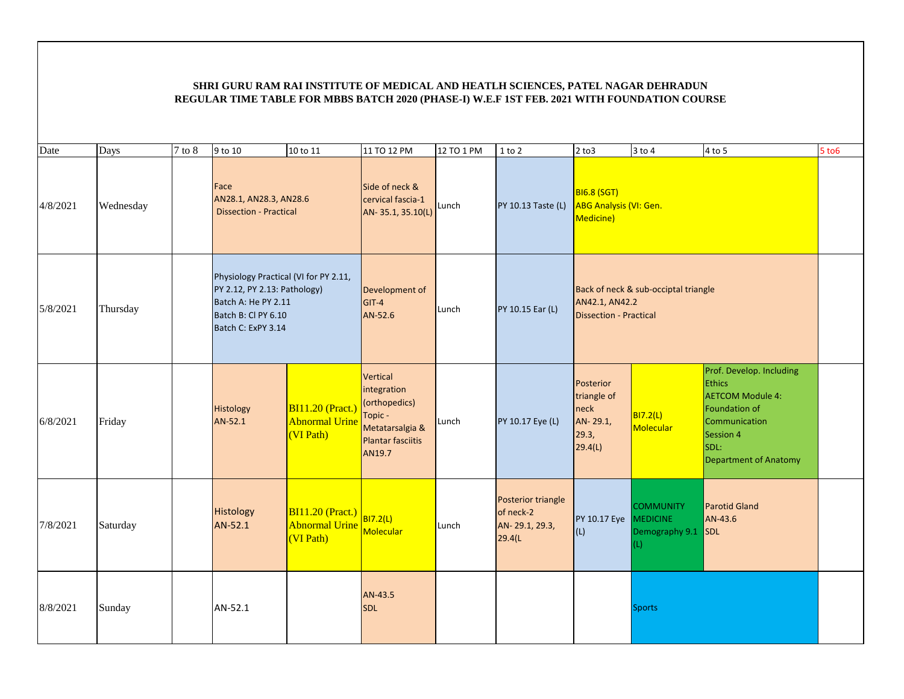| Date     | Days      | $7$ to $8$ | 9 to 10                                                                                                                                   | 10 to 11                                                      | 11 TO 12 PM                                                                                                         | 12 TO 1 PM | $1$ to $2$                                                   | $2$ to $3$                                                       | $3$ to $4$                                                       | 4 to 5                                                                                                                                                             | $5$ to $6$ |
|----------|-----------|------------|-------------------------------------------------------------------------------------------------------------------------------------------|---------------------------------------------------------------|---------------------------------------------------------------------------------------------------------------------|------------|--------------------------------------------------------------|------------------------------------------------------------------|------------------------------------------------------------------|--------------------------------------------------------------------------------------------------------------------------------------------------------------------|------------|
| 4/8/2021 | Wednesday |            | Face<br>AN28.1, AN28.3, AN28.6<br><b>Dissection - Practical</b>                                                                           |                                                               | Side of neck &<br>cervical fascia-1<br>AN-35.1, 35.10(L)                                                            | Lunch      | PY 10.13 Taste (L)                                           | <b>BI6.8 (SGT)</b><br><b>ABG Analysis (VI: Gen.</b><br>Medicine) |                                                                  |                                                                                                                                                                    |            |
| 5/8/2021 | Thursday  |            | Physiology Practical (VI for PY 2.11,<br>PY 2.12, PY 2.13: Pathology)<br>Batch A: He PY 2.11<br>Batch B: Cl PY 6.10<br>Batch C: ExPY 3.14 |                                                               | Development of<br>$GIT-4$<br>AN-52.6                                                                                | Lunch      | PY 10.15 Ear (L)                                             | AN42.1, AN42.2<br><b>Dissection - Practical</b>                  | Back of neck & sub-occiptal triangle                             |                                                                                                                                                                    |            |
| 6/8/2021 | Friday    |            | Histology<br>AN-52.1                                                                                                                      | <b>BI11.20 (Pract.)</b><br><b>Abnormal Urine</b><br>(VI Path) | <b>Vertical</b><br>integration<br>(orthopedics)<br>Topic -<br>Metatarsalgia &<br><b>Plantar fasciitis</b><br>AN19.7 | Lunch      | PY 10.17 Eye (L)                                             | Posterior<br>triangle of<br>neck<br>AN-29.1,<br>29.3,<br>29.4(L) | <b>BI7.2(L)</b><br>Molecular                                     | Prof. Develop. Including<br><b>Ethics</b><br><b>AETCOM Module 4:</b><br><b>Foundation of</b><br>Communication<br>Session 4<br>SDL:<br><b>Department of Anatomy</b> |            |
| 7/8/2021 | Saturday  |            | Histology<br>AN-52.1                                                                                                                      | <b>BI11.20 (Pract.)</b><br><b>Abnormal Urine</b><br>(VI Path) | BI7.2(L)<br><b>Molecular</b>                                                                                        | Lunch      | Posterior triangle<br>of neck-2<br>AN-29.1, 29.3,<br>29.4(L) | PY 10.17 Eye<br>(L)                                              | <b>COMMUNITY</b><br><b>MEDICINE</b><br>Demography 9.1 SDL<br>(L) | <b>Parotid Gland</b><br>AN-43.6                                                                                                                                    |            |
| 8/8/2021 | Sunday    |            | AN-52.1                                                                                                                                   |                                                               | AN-43.5<br><b>SDL</b>                                                                                               |            |                                                              |                                                                  | <b>Sports</b>                                                    |                                                                                                                                                                    |            |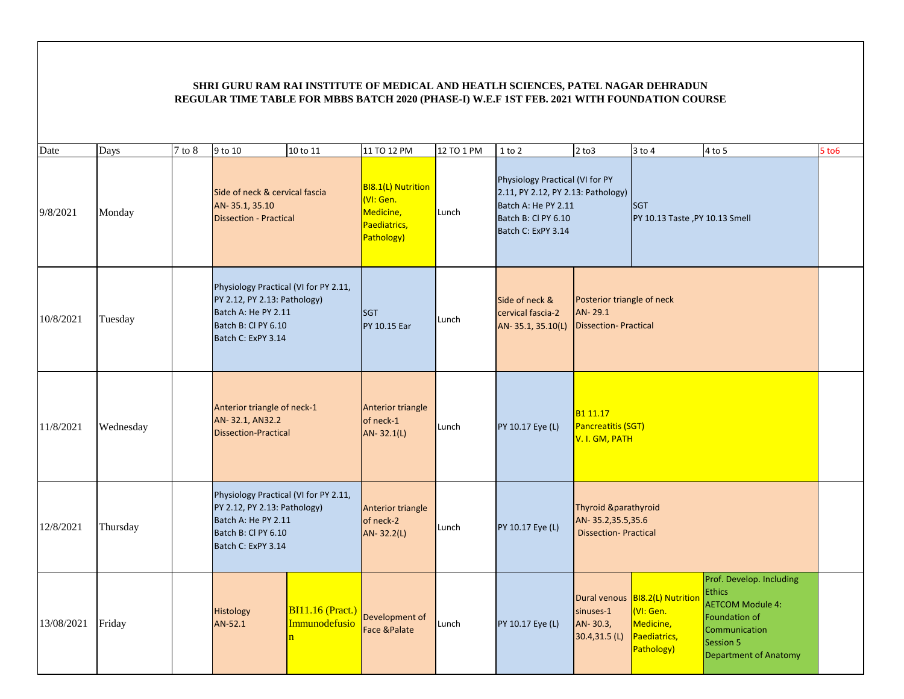| Date       | Days      | $7$ to $8$ | 9 to 10                                                                                                                                   | 10 to 11                                                            | 11 TO 12 PM                                                                | 12 TO 1 PM | $1$ to $2$                                                                                                                                | $2$ to $3$                                                               | $3$ to $4$                                                                              | $4$ to 5                                                                                                                                            | $5$ to $6$ |
|------------|-----------|------------|-------------------------------------------------------------------------------------------------------------------------------------------|---------------------------------------------------------------------|----------------------------------------------------------------------------|------------|-------------------------------------------------------------------------------------------------------------------------------------------|--------------------------------------------------------------------------|-----------------------------------------------------------------------------------------|-----------------------------------------------------------------------------------------------------------------------------------------------------|------------|
| 9/8/2021   | Monday    |            | Side of neck & cervical fascia<br>AN-35.1, 35.10<br><b>Dissection - Practical</b>                                                         |                                                                     | BI8.1(L) Nutrition<br>(VI: Gen.<br>Medicine,<br>Paediatrics,<br>Pathology) | Lunch      | Physiology Practical (VI for PY<br>2.11, PY 2.12, PY 2.13: Pathology)<br>Batch A: He PY 2.11<br>Batch B: Cl PY 6.10<br>Batch C: ExPY 3.14 |                                                                          | <b>SGT</b><br>PY 10.13 Taste, PY 10.13 Smell                                            |                                                                                                                                                     |            |
| 10/8/2021  | Tuesday   |            | Physiology Practical (VI for PY 2.11,<br>PY 2.12, PY 2.13: Pathology)<br>Batch A: He PY 2.11<br>Batch B: Cl PY 6.10<br>Batch C: ExPY 3.14 |                                                                     | <b>SGT</b><br><b>PY 10.15 Ear</b>                                          | Lunch      | Side of neck &<br>cervical fascia-2<br>AN-35.1, 35.10(L)                                                                                  | Posterior triangle of neck<br>AN-29.1<br><b>Dissection-Practical</b>     |                                                                                         |                                                                                                                                                     |            |
| 11/8/2021  | Wednesday |            | Anterior triangle of neck-1<br>AN-32.1, AN32.2<br><b>Dissection-Practical</b>                                                             |                                                                     | Anterior triangle<br>of neck-1<br>AN-32.1(L)                               | Lunch      | PY 10.17 Eye (L)                                                                                                                          | B <sub>1</sub> 11.17<br>Pancreatitis (SGT)<br>V. I. GM, PATH             |                                                                                         |                                                                                                                                                     |            |
| 12/8/2021  | Thursday  |            | Physiology Practical (VI for PY 2.11,<br>PY 2.12, PY 2.13: Pathology)<br>Batch A: He PY 2.11<br>Batch B: Cl PY 6.10<br>Batch C: ExPY 3.14 |                                                                     | Anterior triangle<br>of neck-2<br>AN-32.2(L)                               | Lunch      | PY 10.17 Eye (L)                                                                                                                          | Thyroid &parathyroid<br>AN-35.2,35.5,35.6<br><b>Dissection-Practical</b> |                                                                                         |                                                                                                                                                     |            |
| 13/08/2021 | Friday    |            | Histology<br>AN-52.1                                                                                                                      | <b>BI11.16 (Pract.)</b><br>Immunodefusio<br>$\overline{\mathbf{n}}$ | Development of<br><b>Face &amp;Palate</b>                                  | Lunch      | PY 10.17 Eye (L)                                                                                                                          | sinuses-1<br>AN-30.3,<br>30.4,31.5 (L)                                   | Dural venous BI8.2(L) Nutrition<br>(VI: Gen.<br>Medicine,<br>Paediatrics,<br>Pathology) | Prof. Develop. Including<br><b>Ethics</b><br><b>AETCOM Module 4:</b><br>Foundation of<br>Communication<br>Session 5<br><b>Department of Anatomy</b> |            |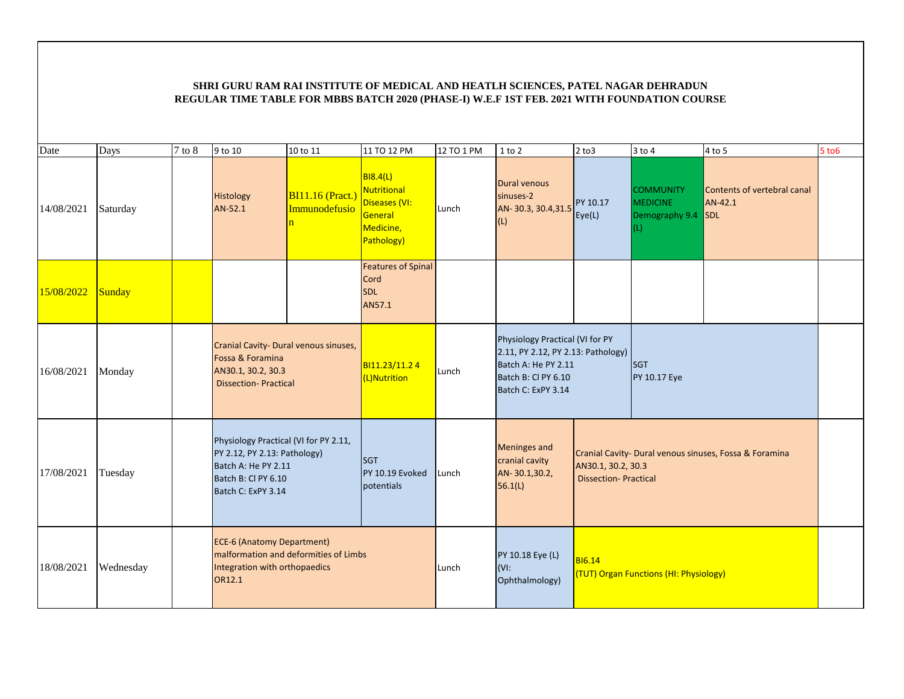| Date       | Days      | $7$ to $8$ | 9 to 10                                                                                                                                   | 10 to 11                                   | 11 TO 12 PM                                                                                  | 12 TO 1 PM | $1$ to $2$                                                                                                                                | $2$ to $3$                                        | $3$ to $4$                                                       | 4 to 5                                                 | 5 to 6 |
|------------|-----------|------------|-------------------------------------------------------------------------------------------------------------------------------------------|--------------------------------------------|----------------------------------------------------------------------------------------------|------------|-------------------------------------------------------------------------------------------------------------------------------------------|---------------------------------------------------|------------------------------------------------------------------|--------------------------------------------------------|--------|
| 14/08/2021 | Saturday  |            | Histology<br>AN-52.1                                                                                                                      | $BI11.16$ (Pract.)<br>Immunodefusio<br>'n. | <b>BI8.4(L)</b><br><b>Nutritional</b><br>Diseases (VI:<br>General<br>Medicine,<br>Pathology) | Lunch      | Dural venous<br>sinuses-2<br>AN-30.3, 30.4, 31.5<br>(L)                                                                                   | PY 10.17<br>Eye(L)                                | <b>COMMUNITY</b><br><b>MEDICINE</b><br>Demography 9.4 SDL<br>(L) | Contents of vertebral canal<br>AN-42.1                 |        |
| 15/08/2022 | Sunday    |            |                                                                                                                                           |                                            | <b>Features of Spinal</b><br>Cord<br><b>SDL</b><br>AN57.1                                    |            |                                                                                                                                           |                                                   |                                                                  |                                                        |        |
| 16/08/2021 | Monday    |            | Cranial Cavity- Dural venous sinuses,<br>Fossa & Foramina<br>AN30.1, 30.2, 30.3<br><b>Dissection-Practical</b>                            |                                            | BI11.23/11.24<br>(L)Nutrition                                                                | Lunch      | Physiology Practical (VI for PY<br>2.11, PY 2.12, PY 2.13: Pathology)<br>Batch A: He PY 2.11<br>Batch B: Cl PY 6.10<br>Batch C: ExPY 3.14 |                                                   | <b>ISGT</b><br>PY 10.17 Eye                                      |                                                        |        |
| 17/08/2021 | Tuesday   |            | Physiology Practical (VI for PY 2.11,<br>PY 2.12, PY 2.13: Pathology)<br>Batch A: He PY 2.11<br>Batch B: Cl PY 6.10<br>Batch C: ExPY 3.14 |                                            | <b>SGT</b><br>PY 10.19 Evoked<br>potentials                                                  | Lunch      | <b>Meninges and</b><br>cranial cavity<br>AN-30.1,30.2,<br>56.1(L)                                                                         | AN30.1, 30.2, 30.3<br><b>Dissection-Practical</b> |                                                                  | Cranial Cavity- Dural venous sinuses, Fossa & Foramina |        |
| 18/08/2021 | Wednesday |            | <b>ECE-6 (Anatomy Department)</b><br>Integration with orthopaedics<br>OR12.1                                                              | malformation and deformities of Limbs      |                                                                                              | Lunch      | PY 10.18 Eye (L)<br>$(VI)$ :<br>Ophthalmology)                                                                                            | <b>BI6.14</b>                                     | (TUT) Organ Functions (HI: Physiology)                           |                                                        |        |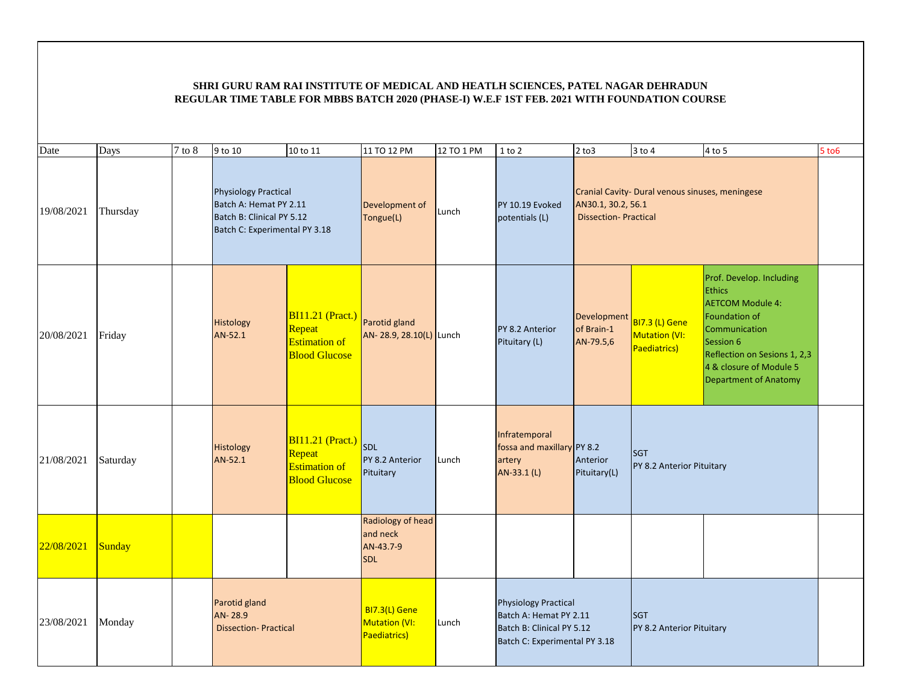| Date       | Days     | $7$ to $8$ | 9 to 10                                                                                                             | 10 to 11                                                                          | 11 TO 12 PM                                              | 12 TO 1 PM | 1 to 2                                                                                                              | $2$ to $3$                                        | $3$ to $4$                                             | 4 to 5                                                                                                                                                                                                                | 5 to 6 |
|------------|----------|------------|---------------------------------------------------------------------------------------------------------------------|-----------------------------------------------------------------------------------|----------------------------------------------------------|------------|---------------------------------------------------------------------------------------------------------------------|---------------------------------------------------|--------------------------------------------------------|-----------------------------------------------------------------------------------------------------------------------------------------------------------------------------------------------------------------------|--------|
| 19/08/2021 | Thursday |            | <b>Physiology Practical</b><br>Batch A: Hemat PY 2.11<br>Batch B: Clinical PY 5.12<br>Batch C: Experimental PY 3.18 |                                                                                   | Development of<br>Tongue(L)                              | Lunch      | PY 10.19 Evoked<br>potentials (L)                                                                                   | AN30.1, 30.2, 56.1<br><b>Dissection-Practical</b> | Cranial Cavity- Dural venous sinuses, meningese        |                                                                                                                                                                                                                       |        |
| 20/08/2021 | Friday   |            | Histology<br>AN-52.1                                                                                                | <b>BI11.21 (Pract.)</b><br>Repeat<br><b>Estimation of</b><br><b>Blood Glucose</b> | Parotid gland<br>AN- 28.9, 28.10(L) Lunch                |            | PY 8.2 Anterior<br>Pituitary (L)                                                                                    | Development<br>of Brain-1<br>AN-79.5,6            | <b>BI7.3 (L) Gene</b><br>Mutation (VI:<br>Paediatrics) | Prof. Develop. Including<br><b>Ethics</b><br><b>AETCOM Module 4:</b><br><b>Foundation of</b><br>Communication<br>Session 6<br>Reflection on Sesions 1, 2,3<br>4 & closure of Module 5<br><b>Department of Anatomy</b> |        |
| 21/08/2021 | Saturday |            | Histology<br>AN-52.1                                                                                                | <b>BI11.21</b> (Pract.)<br>Repeat<br><b>Estimation of</b><br><b>Blood Glucose</b> | <b>SDL</b><br>PY 8.2 Anterior<br>Pituitary               | Lunch      | Infratemporal<br>fossa and maxillary PY 8.2<br>artery<br>AN-33.1 (L)                                                | Anterior<br>Pituitary(L)                          | <b>SGT</b><br>PY 8.2 Anterior Pituitary                |                                                                                                                                                                                                                       |        |
| 22/08/2021 | Sunday   |            |                                                                                                                     |                                                                                   | Radiology of head<br>and neck<br>AN-43.7-9<br><b>SDL</b> |            |                                                                                                                     |                                                   |                                                        |                                                                                                                                                                                                                       |        |
| 23/08/2021 | Monday   |            | Parotid gland<br>AN-28.9<br><b>Dissection-Practical</b>                                                             |                                                                                   | BI7.3(L) Gene<br>Mutation (VI:<br>Paediatrics)           | Lunch      | <b>Physiology Practical</b><br>Batch A: Hemat PY 2.11<br>Batch B: Clinical PY 5.12<br>Batch C: Experimental PY 3.18 |                                                   | <b>SGT</b><br>PY 8.2 Anterior Pituitary                |                                                                                                                                                                                                                       |        |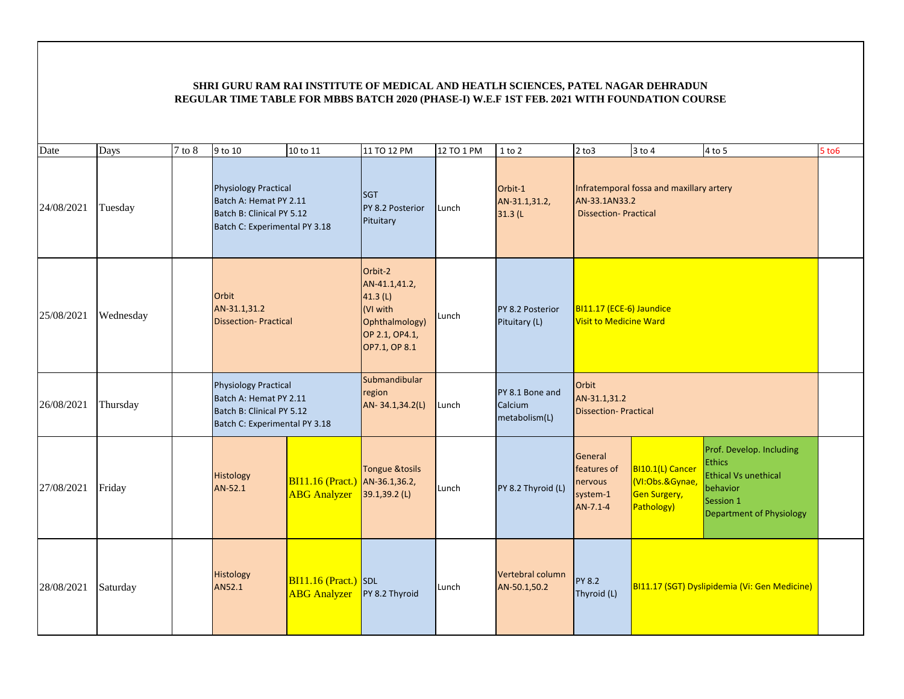| Date       | Days      | 7 to 8 | 9 to 10                                                                                                             | 10 to 11                                              | 11 TO 12 PM                                                                                             | 12 TO 1 PM | $1$ to $2$                                  | $2$ to $3$                                                  | $3$ to $4$                                                        | 4 to 5                                                                                                                               | $5$ to $6$ |
|------------|-----------|--------|---------------------------------------------------------------------------------------------------------------------|-------------------------------------------------------|---------------------------------------------------------------------------------------------------------|------------|---------------------------------------------|-------------------------------------------------------------|-------------------------------------------------------------------|--------------------------------------------------------------------------------------------------------------------------------------|------------|
| 24/08/2021 | Tuesday   |        | <b>Physiology Practical</b><br>Batch A: Hemat PY 2.11<br>Batch B: Clinical PY 5.12<br>Batch C: Experimental PY 3.18 |                                                       | <b>SGT</b><br>PY 8.2 Posterior<br>Pituitary                                                             | Lunch      | Orbit-1<br>AN-31.1,31.2,<br>31.3(L)         | AN-33.1AN33.2<br><b>Dissection-Practical</b>                | Infratemporal fossa and maxillary artery                          |                                                                                                                                      |            |
| 25/08/2021 | Wednesday |        | Orbit<br>AN-31.1,31.2<br><b>Dissection-Practical</b>                                                                |                                                       | Orbit-2<br>AN-41.1,41.2,<br>41.3 $(L)$<br>(VI with<br>Ophthalmology)<br>OP 2.1, OP4.1,<br>OP7.1, OP 8.1 | Lunch      | PY 8.2 Posterior<br>Pituitary (L)           | BI11.17 (ECE-6) Jaundice<br><b>Visit to Medicine Ward</b>   |                                                                   |                                                                                                                                      |            |
| 26/08/2021 | Thursday  |        | <b>Physiology Practical</b><br>Batch A: Hemat PY 2.11<br>Batch B: Clinical PY 5.12<br>Batch C: Experimental PY 3.18 |                                                       | Submandibular<br>region<br>AN-34.1,34.2(L)                                                              | Lunch      | PY 8.1 Bone and<br>Calcium<br>metabolism(L) | Orbit<br>AN-31.1,31.2<br><b>Dissection-Practical</b>        |                                                                   |                                                                                                                                      |            |
| 27/08/2021 | Friday    |        | Histology<br>AN-52.1                                                                                                | BI11.16 (Pract.) AN-36.1,36.2,<br><b>ABG</b> Analyzer | <b>Tongue &amp;tosils</b><br>39.1,39.2 (L)                                                              | Lunch      | PY 8.2 Thyroid (L)                          | General<br>features of<br>nervous<br>system-1<br>$AN-7.1-4$ | BI10.1(L) Cancer<br>(VI:Obs.&Gynae,<br>Gen Surgery,<br>Pathology) | Prof. Develop. Including<br><b>Ethics</b><br><b>Ethical Vs unethical</b><br>behavior<br>Session 1<br><b>Department of Physiology</b> |            |
| 28/08/2021 | Saturday  |        | Histology<br>AN52.1                                                                                                 | $BI11.16 (Pract.)$ SDL<br><b>ABG</b> Analyzer         | PY 8.2 Thyroid                                                                                          | Lunch      | Vertebral column<br>AN-50.1,50.2            | <b>PY 8.2</b><br>Thyroid (L)                                |                                                                   | BI11.17 (SGT) Dyslipidemia (Vi: Gen Medicine)                                                                                        |            |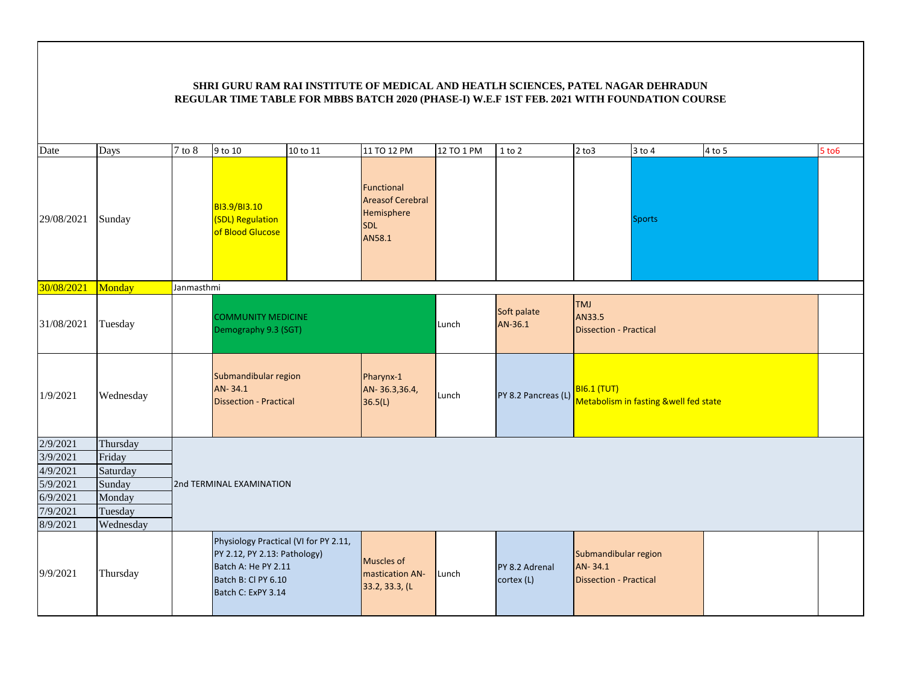| Date       | Days      | $7$ to $8\,$ | 9 to 10                                                                                                                                   | 10 to 11 | 11 TO 12 PM                                                                 | 12 TO 1 PM | $1$ to $2$                   | $2$ to $3$                                                       | $3$ to $4$                            | $4$ to 5 | $5$ to $6$ |
|------------|-----------|--------------|-------------------------------------------------------------------------------------------------------------------------------------------|----------|-----------------------------------------------------------------------------|------------|------------------------------|------------------------------------------------------------------|---------------------------------------|----------|------------|
| 29/08/2021 | Sunday    |              | BI3.9/BI3.10<br>(SDL) Regulation<br>of Blood Glucose                                                                                      |          | Functional<br><b>Areasof Cerebral</b><br>Hemisphere<br><b>SDL</b><br>AN58.1 |            |                              |                                                                  | <b>Sports</b>                         |          |            |
| 30/08/2021 | Monday    | Janmasthmi   |                                                                                                                                           |          |                                                                             |            |                              |                                                                  |                                       |          |            |
| 31/08/2021 | Tuesday   |              | <b>COMMUNITY MEDICINE</b><br>Demography 9.3 (SGT)                                                                                         |          |                                                                             | Lunch      | Soft palate<br>AN-36.1       | <b>TMJ</b><br>AN33.5<br><b>Dissection - Practical</b>            |                                       |          |            |
| 1/9/2021   | Wednesday |              | Submandibular region<br>AN-34.1<br><b>Dissection - Practical</b>                                                                          |          | Pharynx-1<br>AN-36.3,36.4,<br>36.5(L)                                       | Lunch      | PY 8.2 Pancreas (L)          | <b>BI6.1 (TUT)</b>                                               | Metabolism in fasting &well fed state |          |            |
| 2/9/2021   | Thursday  |              |                                                                                                                                           |          |                                                                             |            |                              |                                                                  |                                       |          |            |
| 3/9/2021   | Friday    |              |                                                                                                                                           |          |                                                                             |            |                              |                                                                  |                                       |          |            |
| 4/9/2021   | Saturday  |              |                                                                                                                                           |          |                                                                             |            |                              |                                                                  |                                       |          |            |
| 5/9/2021   | Sunday    |              | 2nd TERMINAL EXAMINATION                                                                                                                  |          |                                                                             |            |                              |                                                                  |                                       |          |            |
| 6/9/2021   | Monday    |              |                                                                                                                                           |          |                                                                             |            |                              |                                                                  |                                       |          |            |
| 7/9/2021   | Tuesday   |              |                                                                                                                                           |          |                                                                             |            |                              |                                                                  |                                       |          |            |
| 8/9/2021   | Wednesday |              |                                                                                                                                           |          |                                                                             |            |                              |                                                                  |                                       |          |            |
| 9/9/2021   | Thursday  |              | Physiology Practical (VI for PY 2.11,<br>PY 2.12, PY 2.13: Pathology)<br>Batch A: He PY 2.11<br>Batch B: Cl PY 6.10<br>Batch C: ExPY 3.14 |          | Muscles of<br>mastication AN-<br>33.2, 33.3, (L                             | Lunch      | PY 8.2 Adrenal<br>cortex (L) | Submandibular region<br>AN-34.1<br><b>Dissection - Practical</b> |                                       |          |            |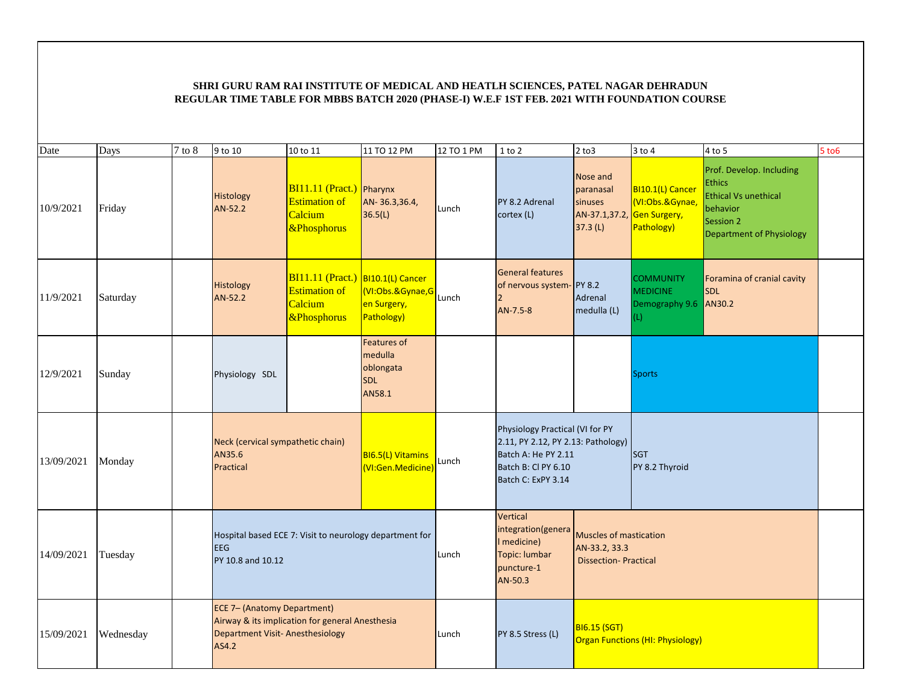| Date       | Days      | $7$ to $8$ | 9 to 10                                                                                                                           | 10 to 11                                                                                         | 11 TO 12 PM                                                        | 12 TO 1 PM | 1 to 2                                                                                                                                    | $2$ to $3$                                                             | 3 to 4                                                                           | 4 to 5                                                                                                                        | $5$ to $6$ |
|------------|-----------|------------|-----------------------------------------------------------------------------------------------------------------------------------|--------------------------------------------------------------------------------------------------|--------------------------------------------------------------------|------------|-------------------------------------------------------------------------------------------------------------------------------------------|------------------------------------------------------------------------|----------------------------------------------------------------------------------|-------------------------------------------------------------------------------------------------------------------------------|------------|
| 10/9/2021  | Friday    |            | Histology<br>AN-52.2                                                                                                              | BI11.11 (Pract.) Pharynx<br><b>Estimation of</b><br>Calcium<br>&Phosphorus                       | AN-36.3,36.4,<br>36.5(L)                                           | Lunch      | PY 8.2 Adrenal<br>cortex (L)                                                                                                              | Nose and<br>paranasal<br>sinuses<br>AN-37.1,37.2,<br>37.3(L)           | BI10.1(L) Cancer<br>(VI:Obs.&Gynae,<br>, <mark>Gen Surgery,</mark><br>Pathology) | Prof. Develop. Including<br><b>Ethics</b><br><b>Ethical Vs unethical</b><br>behavior<br>Session 2<br>Department of Physiology |            |
| 11/9/2021  | Saturday  |            | Histology<br>AN-52.2                                                                                                              | $BI11.11$ (Pract.) BI10.1(L) Cancer<br><b>Estimation of</b><br>Calcium<br><b>&amp;Phosphorus</b> | VI:Obs.&Gynae,G<br>en Surgery,<br>Pathology)                       | Lunch      | <b>General features</b><br>of nervous system-PY 8.2<br>$\overline{2}$<br>AN-7.5-8                                                         | Adrenal<br>medulla (L)                                                 | <b>COMMUNITY</b><br><b>MEDICINE</b><br>Demography 9.6 AN30.2<br>(L)              | Foramina of cranial cavity<br><b>SDL</b>                                                                                      |            |
| 12/9/2021  | Sunday    |            | Physiology SDL                                                                                                                    |                                                                                                  | <b>Features of</b><br>medulla<br>oblongata<br><b>SDL</b><br>AN58.1 |            |                                                                                                                                           |                                                                        | <b>Sports</b>                                                                    |                                                                                                                               |            |
| 13/09/2021 | Monday    |            | Neck (cervical sympathetic chain)<br>AN35.6<br>Practical                                                                          |                                                                                                  | BI6.5(L) Vitamins<br>(VI:Gen.Medicine)                             | Lunch      | Physiology Practical (VI for PY<br>2.11, PY 2.12, PY 2.13: Pathology)<br>Batch A: He PY 2.11<br>Batch B: Cl PY 6.10<br>Batch C: ExPY 3.14 |                                                                        | <b>SGT</b><br>PY 8.2 Thyroid                                                     |                                                                                                                               |            |
| 14/09/2021 | Tuesday   |            | <b>EEG</b><br>PY 10.8 and 10.12                                                                                                   |                                                                                                  | Hospital based ECE 7: Visit to neurology department for            | Lunch      | Vertical<br>integration(genera<br>I medicine)<br>Topic: lumbar<br>puncture-1<br>AN-50.3                                                   | Muscles of mastication<br>AN-33.2, 33.3<br><b>Dissection-Practical</b> |                                                                                  |                                                                                                                               |            |
| 15/09/2021 | Wednesday |            | ECE 7- (Anatomy Department)<br>Airway & its implication for general Anesthesia<br><b>Department Visit-Anesthesiology</b><br>AS4.2 |                                                                                                  |                                                                    | Lunch      | PY 8.5 Stress (L)                                                                                                                         | <b>BI6.15 (SGT)</b>                                                    | <b>Organ Functions (HI: Physiology)</b>                                          |                                                                                                                               |            |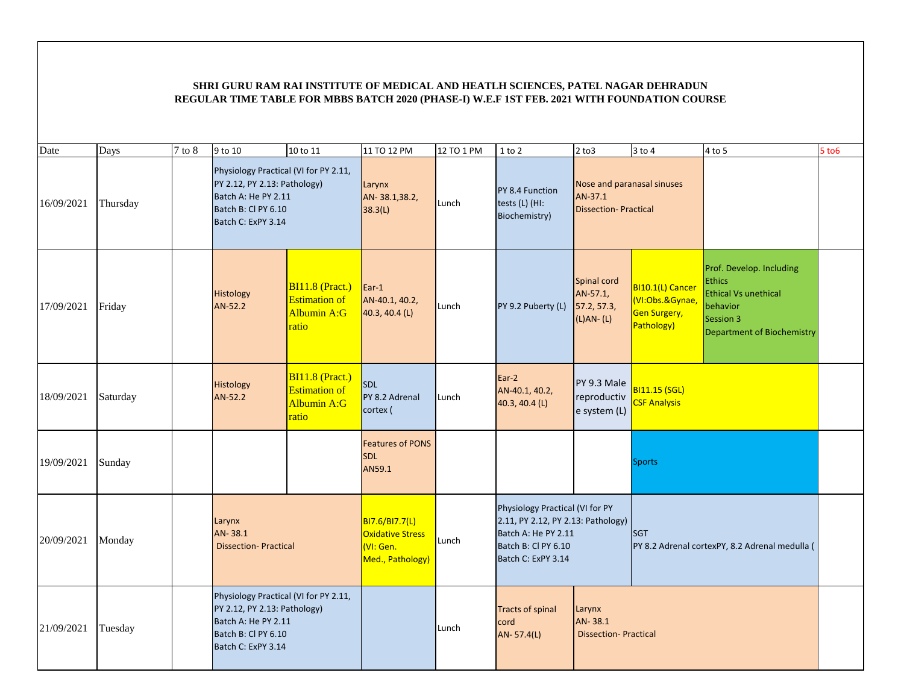| Date       | Days     | $7$ to $8$ | 9 to 10                                                                                                                                   | 10 to 11                                                                 | 11 TO 12 PM                                                                       | 12 TO 1 PM | $1$ to $2$                                                                                                                                | $2$ to $3$                                                           | $3$ to $4$                                                               | $4$ to $5$                                                                                                                             | $5$ to $6$ |
|------------|----------|------------|-------------------------------------------------------------------------------------------------------------------------------------------|--------------------------------------------------------------------------|-----------------------------------------------------------------------------------|------------|-------------------------------------------------------------------------------------------------------------------------------------------|----------------------------------------------------------------------|--------------------------------------------------------------------------|----------------------------------------------------------------------------------------------------------------------------------------|------------|
| 16/09/2021 | Thursday |            | Physiology Practical (VI for PY 2.11,<br>PY 2.12, PY 2.13: Pathology)<br>Batch A: He PY 2.11<br>Batch B: Cl PY 6.10<br>Batch C: ExPY 3.14 |                                                                          | Larynx<br>AN-38.1,38.2,<br>38.3(L)                                                | Lunch      | PY 8.4 Function<br>tests (L) (HI:<br>Biochemistry)                                                                                        | Nose and paranasal sinuses<br>AN-37.1<br><b>Dissection-Practical</b> |                                                                          |                                                                                                                                        |            |
| 17/09/2021 | Friday   |            | Histology<br>AN-52.2                                                                                                                      | $BI11.8$ (Pract.)<br><b>Estimation of</b><br><b>Albumin A:G</b><br>ratio | $\vert$ Ear-1<br>AN-40.1, 40.2,<br>40.3, 40.4 (L)                                 | Lunch      | PY 9.2 Puberty (L)                                                                                                                        | Spinal cord<br>AN-57.1,<br>57.2, 57.3,<br>$(L)AN - (L)$              | BI10.1(L) Cancer<br>(VI:Obs.&Gynae,<br><b>Gen Surgery,</b><br>Pathology) | Prof. Develop. Including<br><b>Ethics</b><br><b>Ethical Vs unethical</b><br>behavior<br>Session 3<br><b>Department of Biochemistry</b> |            |
| 18/09/2021 | Saturday |            | Histology<br>AN-52.2                                                                                                                      | $BI11.8$ (Pract.)<br><b>Estimation of</b><br>Albumin A:G<br>ratio        | <b>SDL</b><br>PY 8.2 Adrenal<br>cortex (                                          | Lunch      | Ear-2<br>AN-40.1, 40.2,<br>40.3, 40.4 (L)                                                                                                 | PY 9.3 Male<br>reproductiv<br>e system (L)                           | <b>BI11.15 (SGL)</b><br><b>CSF Analysis</b>                              |                                                                                                                                        |            |
| 19/09/2021 | Sunday   |            |                                                                                                                                           |                                                                          | <b>Features of PONS</b><br><b>SDL</b><br>AN59.1                                   |            |                                                                                                                                           |                                                                      | <b>Sports</b>                                                            |                                                                                                                                        |            |
| 20/09/2021 | Monday   |            | Larynx<br>AN-38.1<br><b>Dissection-Practical</b>                                                                                          |                                                                          | <b>BI7.6/BI7.7(L)</b><br><b>Oxidative Stress</b><br>(VI: Gen.<br>Med., Pathology) | Lunch      | Physiology Practical (VI for PY<br>2.11, PY 2.12, PY 2.13: Pathology)<br>Batch A: He PY 2.11<br>Batch B: Cl PY 6.10<br>Batch C: ExPY 3.14 |                                                                      | SGT                                                                      | PY 8.2 Adrenal cortexPY, 8.2 Adrenal medulla (                                                                                         |            |
| 21/09/2021 | Tuesday  |            | Physiology Practical (VI for PY 2.11,<br>PY 2.12, PY 2.13: Pathology)<br>Batch A: He PY 2.11<br>Batch B: Cl PY 6.10<br>Batch C: ExPY 3.14 |                                                                          |                                                                                   | Lunch      | <b>Tracts of spinal</b><br>cord<br>AN-57.4(L)                                                                                             | Larynx<br>AN-38.1<br><b>Dissection-Practical</b>                     |                                                                          |                                                                                                                                        |            |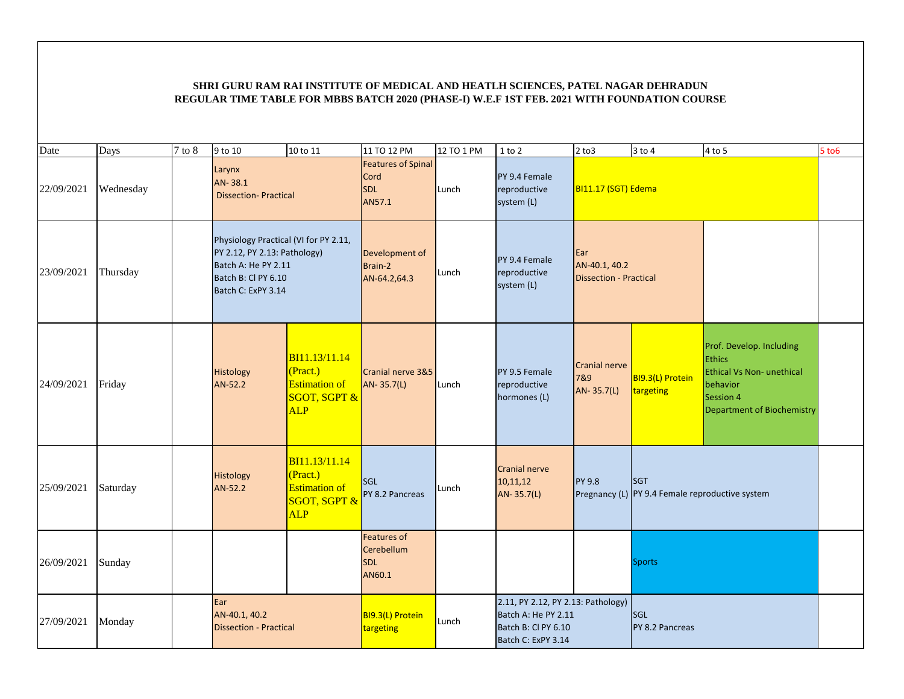| Date       | Days      | $7$ to $8$ | 9 to 10                                                                                                                                   | 10 to 11                                                                                   | 11 TO 12 PM                                               | 12 TO 1 PM | $1$ to $2$                                                                                             | $2$ to $3$                                            | $3$ to $4$                                                    | 4 to 5                                                                                                                                      | $5$ to $6$ |
|------------|-----------|------------|-------------------------------------------------------------------------------------------------------------------------------------------|--------------------------------------------------------------------------------------------|-----------------------------------------------------------|------------|--------------------------------------------------------------------------------------------------------|-------------------------------------------------------|---------------------------------------------------------------|---------------------------------------------------------------------------------------------------------------------------------------------|------------|
| 22/09/2021 | Wednesday |            | Larynx<br>AN-38.1<br><b>Dissection-Practical</b>                                                                                          |                                                                                            | <b>Features of Spinal</b><br>Cord<br><b>SDL</b><br>AN57.1 | Lunch      | PY 9.4 Female<br>reproductive<br>system (L)                                                            | BI11.17 (SGT) Edema                                   |                                                               |                                                                                                                                             |            |
| 23/09/2021 | Thursday  |            | Physiology Practical (VI for PY 2.11,<br>PY 2.12, PY 2.13: Pathology)<br>Batch A: He PY 2.11<br>Batch B: CI PY 6.10<br>Batch C: ExPY 3.14 |                                                                                            | Development of<br>Brain-2<br>AN-64.2,64.3                 | Lunch      | PY 9.4 Female<br>reproductive<br>system (L)                                                            | Ear<br>AN-40.1, 40.2<br><b>Dissection - Practical</b> |                                                               |                                                                                                                                             |            |
| 24/09/2021 | Friday    |            | Histology<br>AN-52.2                                                                                                                      | BI11.13/11.14<br>(Pract.)<br><b>Estimation of</b><br><b>SGOT, SGPT &amp;</b><br><b>ALP</b> | Cranial nerve 3&5<br>AN-35.7(L)                           | Lunch      | PY 9.5 Female<br>reproductive<br>hormones (L)                                                          | Cranial nerve<br>7&9<br>AN-35.7(L)                    | BI9.3(L) Protein<br>targeting                                 | Prof. Develop. Including<br><b>Ethics</b><br><b>Ethical Vs Non- unethical</b><br>behavior<br>Session 4<br><b>Department of Biochemistry</b> |            |
| 25/09/2021 | Saturday  |            | Histology<br>AN-52.2                                                                                                                      | BI11.13/11.14<br>(Pract.)<br><b>Estimation of</b><br><b>SGOT, SGPT &amp;</b><br><b>ALP</b> | <b>SGL</b><br>PY 8.2 Pancreas                             | Lunch      | <b>Cranial nerve</b><br>10,11,12<br>AN-35.7(L)                                                         | <b>PY 9.8</b>                                         | <b>SGT</b><br>Pregnancy (L) PY 9.4 Female reproductive system |                                                                                                                                             |            |
| 26/09/2021 | Sunday    |            |                                                                                                                                           |                                                                                            | <b>Features of</b><br>Cerebellum<br><b>SDL</b><br>AN60.1  |            |                                                                                                        |                                                       | <b>Sports</b>                                                 |                                                                                                                                             |            |
| 27/09/2021 | Monday    |            | Ear<br>AN-40.1, 40.2<br><b>Dissection - Practical</b>                                                                                     |                                                                                            | BI9.3(L) Protein<br>targeting                             | Lunch      | 2.11, PY 2.12, PY 2.13: Pathology)<br>Batch A: He PY 2.11<br>Batch B: Cl PY 6.10<br>Batch C: ExPY 3.14 | SGL<br>PY 8.2 Pancreas                                |                                                               |                                                                                                                                             |            |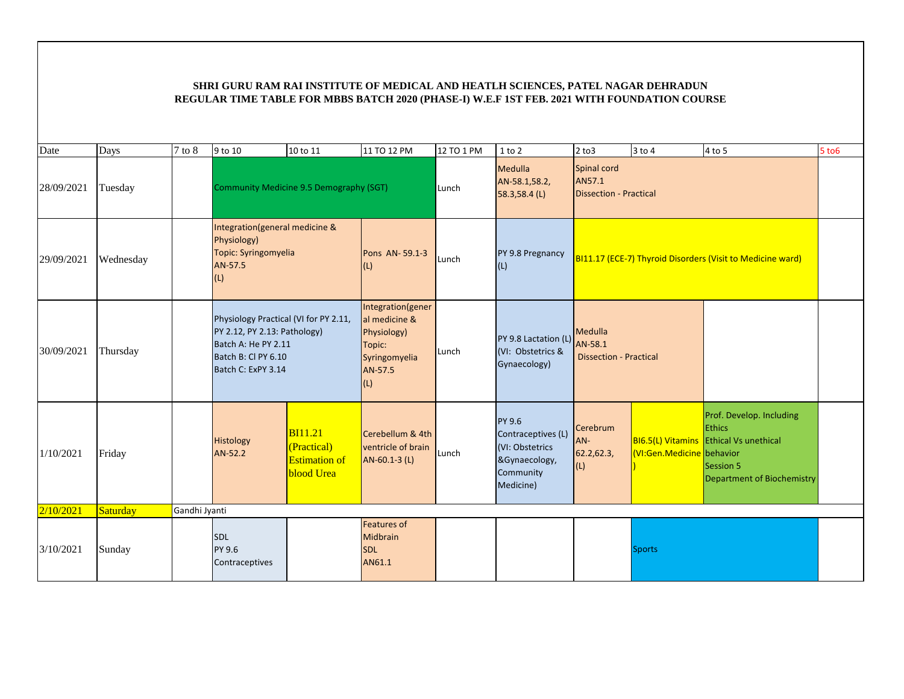| Date       | Days      | $7$ to $8$    | 9 to 10                                                                                                                                   | 10 to 11                                                                   | 11 TO 12 PM                                                                                           | 12 TO 1 PM | 1 to 2                                                                                     | $2$ to $3$                                          | $3$ to $4$                | 4 to 5                                                                                                                                       | $5$ to $6$ |
|------------|-----------|---------------|-------------------------------------------------------------------------------------------------------------------------------------------|----------------------------------------------------------------------------|-------------------------------------------------------------------------------------------------------|------------|--------------------------------------------------------------------------------------------|-----------------------------------------------------|---------------------------|----------------------------------------------------------------------------------------------------------------------------------------------|------------|
| 28/09/2021 | Tuesday   |               | Community Medicine 9.5 Demography (SGT)                                                                                                   |                                                                            |                                                                                                       | Lunch      | Medulla<br>AN-58.1,58.2,<br>$58.3,58.4$ (L)                                                | Spinal cord<br>AN57.1<br>Dissection - Practical     |                           |                                                                                                                                              |            |
| 29/09/2021 | Wednesday |               | Integration(general medicine &<br>Physiology)<br>Topic: Syringomyelia<br>AN-57.5<br>(L)                                                   |                                                                            | Pons AN-59.1-3<br>(L)                                                                                 | Lunch      | PY 9.8 Pregnancy<br>(L)                                                                    |                                                     |                           | BI11.17 (ECE-7) Thyroid Disorders (Visit to Medicine ward)                                                                                   |            |
| 30/09/2021 | Thursday  |               | Physiology Practical (VI for PY 2.11,<br>PY 2.12, PY 2.13: Pathology)<br>Batch A: He PY 2.11<br>Batch B: CI PY 6.10<br>Batch C: ExPY 3.14 |                                                                            | Integration(gener<br>al medicine &<br><b>Physiology)</b><br>Topic:<br>Syringomyelia<br>AN-57.5<br>(L) | Lunch      | PY 9.8 Lactation (L)<br>(VI: Obstetrics &<br>Gynaecology)                                  | Medulla<br>AN-58.1<br><b>Dissection - Practical</b> |                           |                                                                                                                                              |            |
| 1/10/2021  | Friday    |               | <b>Histology</b><br>AN-52.2                                                                                                               | <b>BI11.21</b><br>(Practical)<br><b>Estimation of</b><br><b>blood</b> Urea | Cerebellum & 4th<br>ventricle of brain<br>AN-60.1-3 (L)                                               | Lunch      | PY 9.6<br>Contraceptives (L)<br>(VI: Obstetrics<br>&Gynaecology,<br>Community<br>Medicine) | Cerebrum<br>AN-<br>62.2,62.3,<br>(L)                | (VI:Gen.Medicine behavior | Prof. Develop. Including<br><b>Ethics</b><br><b>BI6.5(L) Vitamins</b> Ethical Vs unethical<br>Session 5<br><b>Department of Biochemistry</b> |            |
| 2/10/2021  | Saturday  | Gandhi Jyanti |                                                                                                                                           |                                                                            |                                                                                                       |            |                                                                                            |                                                     |                           |                                                                                                                                              |            |
| 3/10/2021  | Sunday    |               | <b>SDL</b><br>PY 9.6<br>Contraceptives                                                                                                    |                                                                            | <b>Features of</b><br>Midbrain<br><b>SDL</b><br>AN61.1                                                |            |                                                                                            |                                                     | <b>Sports</b>             |                                                                                                                                              |            |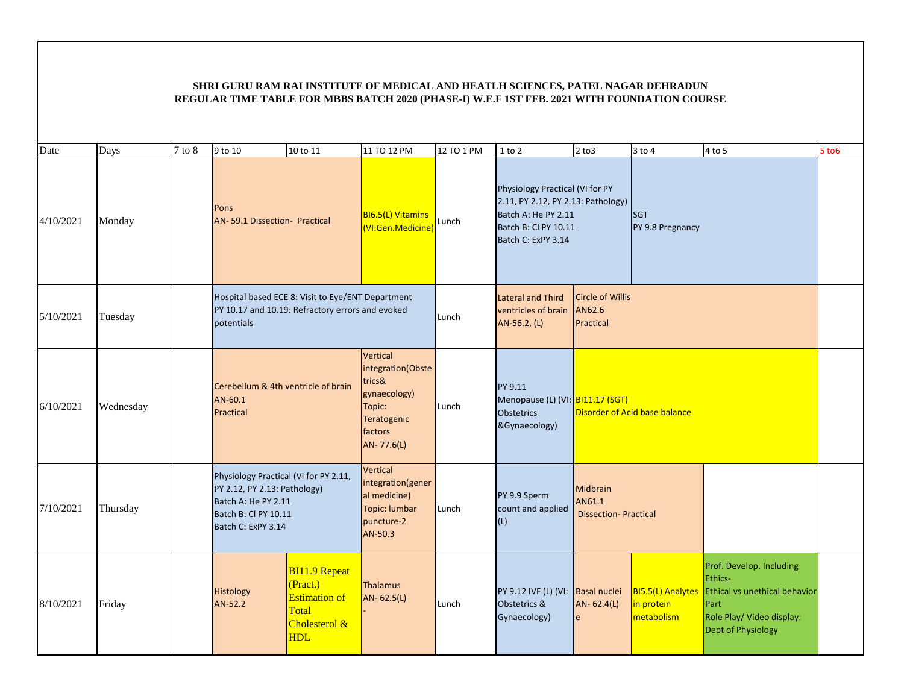| Date      | Days      | $7$ to $8$ | 9 to 10                                                                                                                                    | 10 to 11                                                                                         | 11 TO 12 PM                                                                                               | 12 TO 1 PM | $1$ to $2$                                                                                                                                 | $2$ to $3$                                        | 3 to 4                                               | 4 to 5                                                                                                                          | 5 to 6 |
|-----------|-----------|------------|--------------------------------------------------------------------------------------------------------------------------------------------|--------------------------------------------------------------------------------------------------|-----------------------------------------------------------------------------------------------------------|------------|--------------------------------------------------------------------------------------------------------------------------------------------|---------------------------------------------------|------------------------------------------------------|---------------------------------------------------------------------------------------------------------------------------------|--------|
| 4/10/2021 | Monday    |            | Pons<br>AN-59.1 Dissection- Practical                                                                                                      |                                                                                                  | <b>BI6.5(L) Vitamins</b><br>(VI:Gen.Medicine)                                                             | Lunch      | Physiology Practical (VI for PY<br>2.11, PY 2.12, PY 2.13: Pathology)<br>Batch A: He PY 2.11<br>Batch B: Cl PY 10.11<br>Batch C: ExPY 3.14 |                                                   | <b>SGT</b><br>PY 9.8 Pregnancy                       |                                                                                                                                 |        |
| 5/10/2021 | Tuesday   |            | Hospital based ECE 8: Visit to Eye/ENT Department<br>PY 10.17 and 10.19: Refractory errors and evoked<br>potentials                        |                                                                                                  |                                                                                                           | Lunch      | <b>Lateral and Third</b><br>ventricles of brain<br>AN-56.2, (L)                                                                            | <b>Circle of Willis</b><br>AN62.6<br>Practical    |                                                      |                                                                                                                                 |        |
| 6/10/2021 | Wednesday |            | Cerebellum & 4th ventricle of brain<br>AN-60.1<br>Practical                                                                                |                                                                                                  | Vertical<br>integration(Obste<br>trics&<br>gynaecology)<br>Topic:<br>Teratogenic<br>factors<br>AN-77.6(L) | Lunch      | PY 9.11<br>Menopause (L) (VI: BI11.17 (SGT)<br>Obstetrics<br>&Gynaecology)                                                                 |                                                   | Disorder of Acid base balance                        |                                                                                                                                 |        |
| 7/10/2021 | Thursday  |            | Physiology Practical (VI for PY 2.11,<br>PY 2.12, PY 2.13: Pathology)<br>Batch A: He PY 2.11<br>Batch B: Cl PY 10.11<br>Batch C: ExPY 3.14 |                                                                                                  | Vertical<br>integration(gener<br>al medicine)<br>Topic: lumbar<br>puncture-2<br>AN-50.3                   | Lunch      | PY 9.9 Sperm<br>count and applied<br>(L)                                                                                                   | Midbrain<br>AN61.1<br><b>Dissection-Practical</b> |                                                      |                                                                                                                                 |        |
| 8/10/2021 | Friday    |            | Histology<br>AN-52.2                                                                                                                       | <b>BI11.9 Repeat</b><br>(Pract.)<br><b>Estimation of</b><br>Total<br>Cholesterol &<br><b>HDL</b> | Thalamus<br>AN-62.5(L)                                                                                    | Lunch      | PY 9.12 IVF (L) (VI:<br>Obstetrics &<br>Gynaecology)                                                                                       | <b>Basal nuclei</b><br>AN-62.4(L)<br>e            | <b>BI5.5(L) Analytes</b><br>in protein<br>metabolism | Prof. Develop. Including<br>Ethics-<br>Ethical vs unethical behavior<br>Part<br>Role Play/ Video display:<br>Dept of Physiology |        |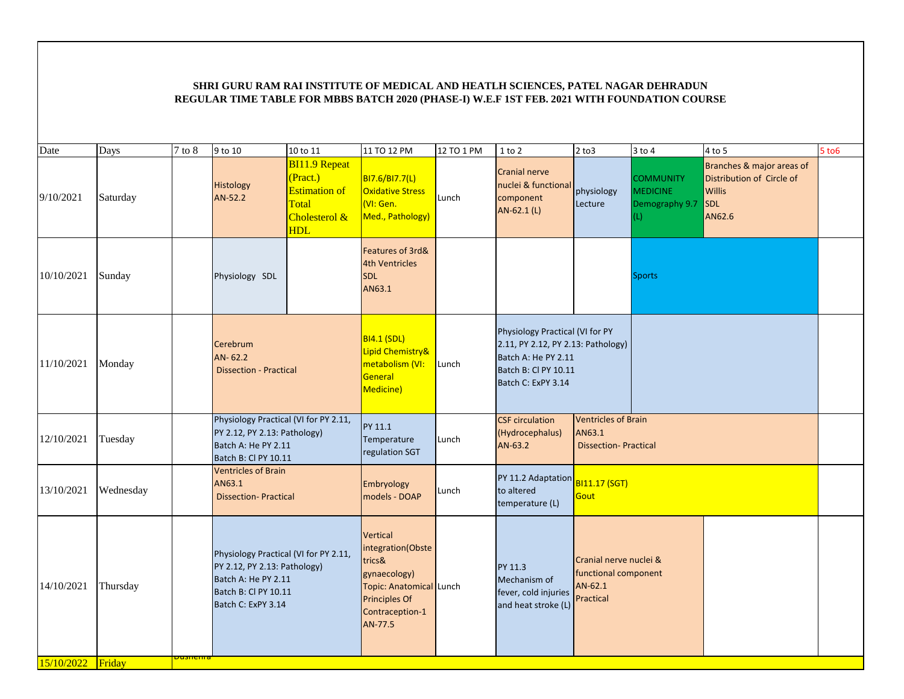| Date              | Days      | $7$ to $8$      | 9 to 10                                                                                                                                    | 10 to 11                                                                                         | 11 TO 12 PM                                                                                                                       | 12 TO 1 PM | 1 to 2                                                                                                                                     | $2$ to $3$                                                               | $3$ to $4$                                                   | 4 to 5                                                                                          | $5$ to $6$ |
|-------------------|-----------|-----------------|--------------------------------------------------------------------------------------------------------------------------------------------|--------------------------------------------------------------------------------------------------|-----------------------------------------------------------------------------------------------------------------------------------|------------|--------------------------------------------------------------------------------------------------------------------------------------------|--------------------------------------------------------------------------|--------------------------------------------------------------|-------------------------------------------------------------------------------------------------|------------|
| 9/10/2021         | Saturday  |                 | Histology<br>AN-52.2                                                                                                                       | <b>BI11.9 Repeat</b><br>(Pract.)<br><b>Estimation of</b><br>Total<br>Cholesterol &<br><b>HDL</b> | BI7.6/BI7.7(L)<br><b>Oxidative Stress</b><br>(VI: Gen.<br>Med., Pathology)                                                        | Lunch      | <b>Cranial nerve</b><br>nuclei & functional<br>component<br>AN-62.1 (L)                                                                    | physiology<br>Lecture                                                    | <b>COMMUNITY</b><br><b>MEDICINE</b><br>Demography 9.7<br>(L) | Branches & major areas of<br>Distribution of Circle of<br><b>Willis</b><br><b>SDL</b><br>AN62.6 |            |
| 10/10/2021        | Sunday    |                 | Physiology SDL                                                                                                                             |                                                                                                  | Features of 3rd&<br><b>4th Ventricles</b><br><b>SDL</b><br>AN63.1                                                                 |            |                                                                                                                                            |                                                                          | <b>Sports</b>                                                |                                                                                                 |            |
| 11/10/2021        | Monday    |                 | Cerebrum<br>AN-62.2<br><b>Dissection - Practical</b>                                                                                       |                                                                                                  | <b>BI4.1 (SDL)</b><br>Lipid Chemistry&<br>metabolism (VI:<br>General<br>Medicine)                                                 | Lunch      | Physiology Practical (VI for PY<br>2.11, PY 2.12, PY 2.13: Pathology)<br>Batch A: He PY 2.11<br>Batch B: Cl PY 10.11<br>Batch C: ExPY 3.14 |                                                                          |                                                              |                                                                                                 |            |
| 12/10/2021        | Tuesday   |                 | Physiology Practical (VI for PY 2.11,<br>PY 2.12, PY 2.13: Pathology)<br>Batch A: He PY 2.11<br>Batch B: Cl PY 10.11                       |                                                                                                  | PY 11.1<br>Temperature<br>regulation SGT                                                                                          | Lunch      | <b>CSF</b> circulation<br>(Hydrocephalus)<br>AN-63.2                                                                                       | <b>Ventricles of Brain</b><br>AN63.1<br><b>Dissection-Practical</b>      |                                                              |                                                                                                 |            |
| 13/10/2021        | Wednesday |                 | <b>Ventricles of Brain</b><br>AN63.1<br><b>Dissection-Practical</b>                                                                        |                                                                                                  | Embryology<br>models - DOAP                                                                                                       | Lunch      | PY 11.2 Adaptation<br>to altered<br>temperature (L)                                                                                        | <b>BI11.17 (SGT)</b><br>Gout                                             |                                                              |                                                                                                 |            |
| 14/10/2021        | Thursday  |                 | Physiology Practical (VI for PY 2.11,<br>PY 2.12, PY 2.13: Pathology)<br>Batch A: He PY 2.11<br>Batch B: CI PY 10.11<br>Batch C: ExPY 3.14 |                                                                                                  | Vertical<br>integration(Obste<br>trics&<br>gynaecology)<br>Topic: Anatomical Lunch<br>Principles Of<br>Contraception-1<br>AN-77.5 |            | PY 11.3<br>Mechanism of<br>fever, cold injuries<br>and heat stroke (L)                                                                     | Cranial nerve nuclei &<br>functional component<br>$AN-62.1$<br>Practical |                                                              |                                                                                                 |            |
| 15/10/2022 Friday |           | <u>Dushenra</u> |                                                                                                                                            |                                                                                                  |                                                                                                                                   |            |                                                                                                                                            |                                                                          |                                                              |                                                                                                 |            |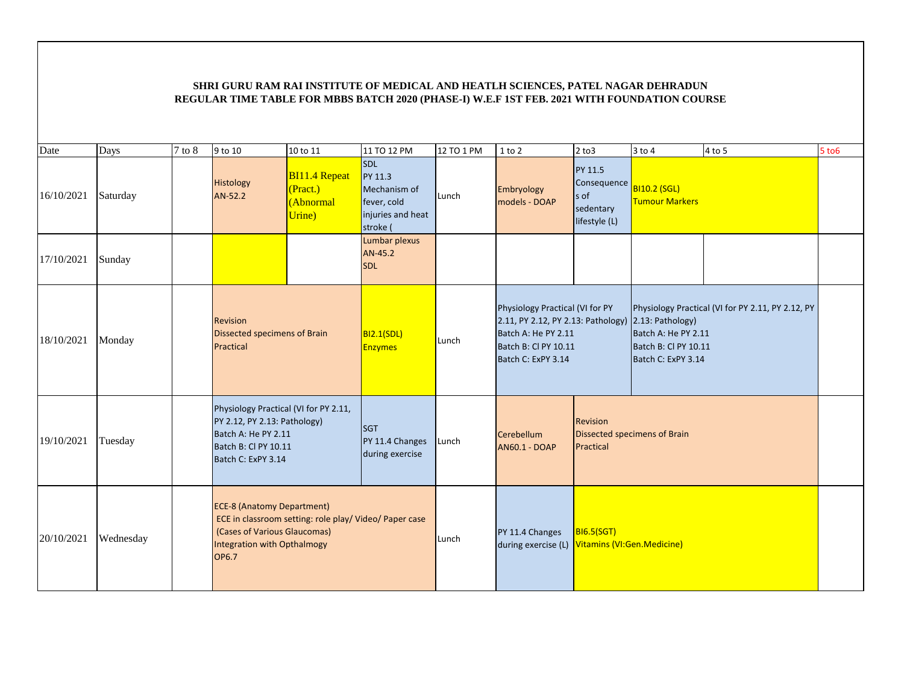| Date       | Days      | $7$ to $8$ | 9 to 10                                                                                                                                    | 10 to 11                                                | 11 TO 12 PM                                                                           | 12 TO 1 PM | $1$ to $2$                                                                                                                                                  | $2$ to $3$                                                          | $3$ to $4$                                                        | 4 to 5                                            | $5$ to $6$ |
|------------|-----------|------------|--------------------------------------------------------------------------------------------------------------------------------------------|---------------------------------------------------------|---------------------------------------------------------------------------------------|------------|-------------------------------------------------------------------------------------------------------------------------------------------------------------|---------------------------------------------------------------------|-------------------------------------------------------------------|---------------------------------------------------|------------|
| 16/10/2021 | Saturday  |            | Histology<br>AN-52.2                                                                                                                       | <b>BI11.4 Repeat</b><br>(Pract.)<br>(Abnormal<br>Urine) | <b>SDL</b><br>PY 11.3<br>Mechanism of<br>fever, cold<br>injuries and heat<br>stroke ( | Lunch      | Embryology<br>models - DOAP                                                                                                                                 | <b>PY 11.5</b><br>Consequence<br>s of<br>sedentary<br>lifestyle (L) | <b>BI10.2 (SGL)</b><br><b>Tumour Markers</b>                      |                                                   |            |
| 17/10/2021 | Sunday    |            |                                                                                                                                            |                                                         | Lumbar plexus<br>AN-45.2<br><b>SDL</b>                                                |            |                                                                                                                                                             |                                                                     |                                                                   |                                                   |            |
| 18/10/2021 | Monday    |            | <b>Revision</b><br>Dissected specimens of Brain<br>Practical                                                                               |                                                         | <b>BI2.1(SDL)</b><br><b>Enzymes</b>                                                   | Lunch      | Physiology Practical (VI for PY<br>2.11, PY 2.12, PY 2.13: Pathology) 2.13: Pathology)<br>Batch A: He PY 2.11<br>Batch B: Cl PY 10.11<br>Batch C: ExPY 3.14 |                                                                     | Batch A: He PY 2.11<br>Batch B: Cl PY 10.11<br>Batch C: ExPY 3.14 | Physiology Practical (VI for PY 2.11, PY 2.12, PY |            |
| 19/10/2021 | Tuesday   |            | Physiology Practical (VI for PY 2.11,<br>PY 2.12, PY 2.13: Pathology)<br>Batch A: He PY 2.11<br>Batch B: Cl PY 10.11<br>Batch C: ExPY 3.14 |                                                         | <b>SGT</b><br>PY 11.4 Changes<br>during exercise                                      | Lunch      | Cerebellum<br><b>AN60.1 - DOAP</b>                                                                                                                          | Revision<br>Practical                                               | Dissected specimens of Brain                                      |                                                   |            |
| 20/10/2021 | Wednesday |            | <b>ECE-8 (Anatomy Department)</b><br>(Cases of Various Glaucomas)<br>Integration with Opthalmogy<br><b>OP6.7</b>                           | ECE in classroom setting: role play/ Video/ Paper case  |                                                                                       | Lunch      | PY 11.4 Changes<br>during exercise (L) Vitamins (VI:Gen.Medicine)                                                                                           | B16.5(SGT)                                                          |                                                                   |                                                   |            |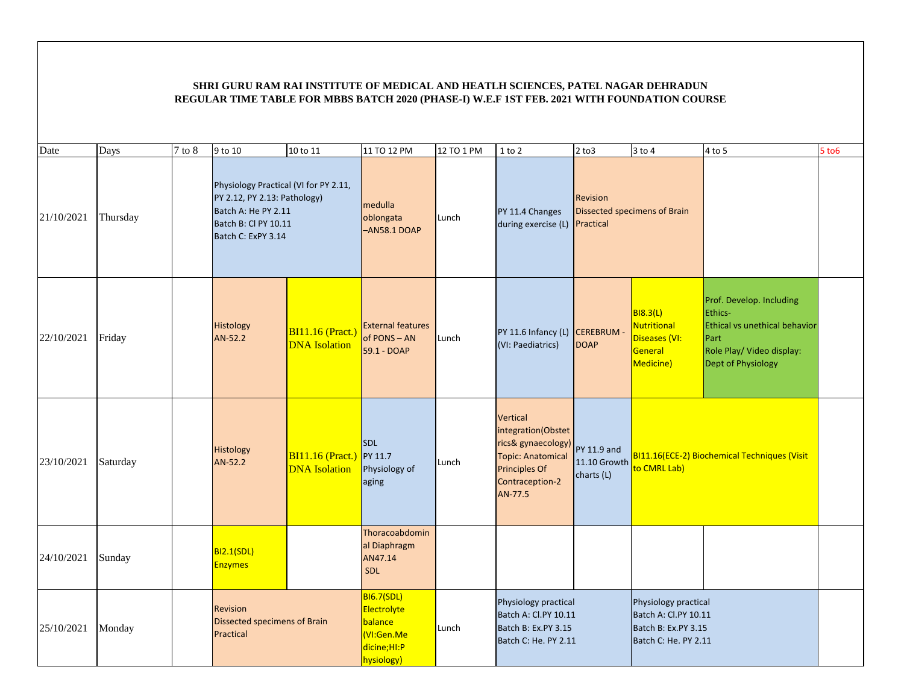| Date       | Days     | $7$ to $8$ | 9 to 10                                                                                                                                    | 10 to 11                                                | 11 TO 12 PM                                                                            | 12 TO 1 PM | $1$ to $2$                                                                                                                      | $2$ to $3$                       | $3$ to $4$                                                                                  | $4$ to $5$                                                                                                                      | 5 to 6 |
|------------|----------|------------|--------------------------------------------------------------------------------------------------------------------------------------------|---------------------------------------------------------|----------------------------------------------------------------------------------------|------------|---------------------------------------------------------------------------------------------------------------------------------|----------------------------------|---------------------------------------------------------------------------------------------|---------------------------------------------------------------------------------------------------------------------------------|--------|
| 21/10/2021 | Thursday |            | Physiology Practical (VI for PY 2.11,<br>PY 2.12, PY 2.13: Pathology)<br>Batch A: He PY 2.11<br>Batch B: Cl PY 10.11<br>Batch C: ExPY 3.14 |                                                         | medulla<br>oblongata<br>$-ANS8.1 DOAP$                                                 | Lunch      | PY 11.4 Changes<br>during exercise (L)                                                                                          | Revision<br>Practical            | Dissected specimens of Brain                                                                |                                                                                                                                 |        |
| 22/10/2021 | Friday   |            | Histology<br>AN-52.2                                                                                                                       | $BI11.16$ (Pract.)<br><b>DNA</b> Isolation              | <b>External features</b><br>of PONS - AN<br>59.1 - DOAP                                | Lunch      | PY 11.6 Infancy (L) CEREBRUM -<br>(VI: Paediatrics)                                                                             | <b>DOAP</b>                      | <b>BI8.3(L)</b><br><b>Nutritional</b><br>Diseases (VI:<br>General<br>Medicine)              | Prof. Develop. Including<br>Ethics-<br>Ethical vs unethical behavior<br>Part<br>Role Play/ Video display:<br>Dept of Physiology |        |
| 23/10/2021 | Saturday |            | Histology<br>AN-52.2                                                                                                                       | <b>BI11.16 (Pract.)</b> PY 11.7<br><b>DNA</b> Isolation | <b>SDL</b><br>Physiology of<br>aging                                                   | Lunch      | Vertical<br>integration(Obstet<br>rics& gynaecology)<br><b>Topic: Anatomical</b><br>Principles Of<br>Contraception-2<br>AN-77.5 | <b>PY 11.9 and</b><br>charts (L) | 11.10 Growth to CMRL Lab)                                                                   | BI11.16(ECE-2) Biochemical Techniques (Visit                                                                                    |        |
| 24/10/2021 | Sunday   |            | <b>BI2.1(SDL)</b><br><b>Enzymes</b>                                                                                                        |                                                         | Thoracoabdomin<br>al Diaphragm<br>AN47.14<br>SDL                                       |            |                                                                                                                                 |                                  |                                                                                             |                                                                                                                                 |        |
| 25/10/2021 | Monday   |            | Revision<br><b>Dissected specimens of Brain</b><br>Practical                                                                               |                                                         | <b>BI6.7(SDL)</b><br>Electrolyte<br>balance<br>(VI:Gen.Me<br>dicine;HI:P<br>hysiology) | Lunch      | Physiology practical<br>Batch A: Cl.PY 10.11<br>Batch B: Ex.PY 3.15<br>Batch C: He. PY 2.11                                     |                                  | Physiology practical<br>Batch A: Cl.PY 10.11<br>Batch B: Ex.PY 3.15<br>Batch C: He. PY 2.11 |                                                                                                                                 |        |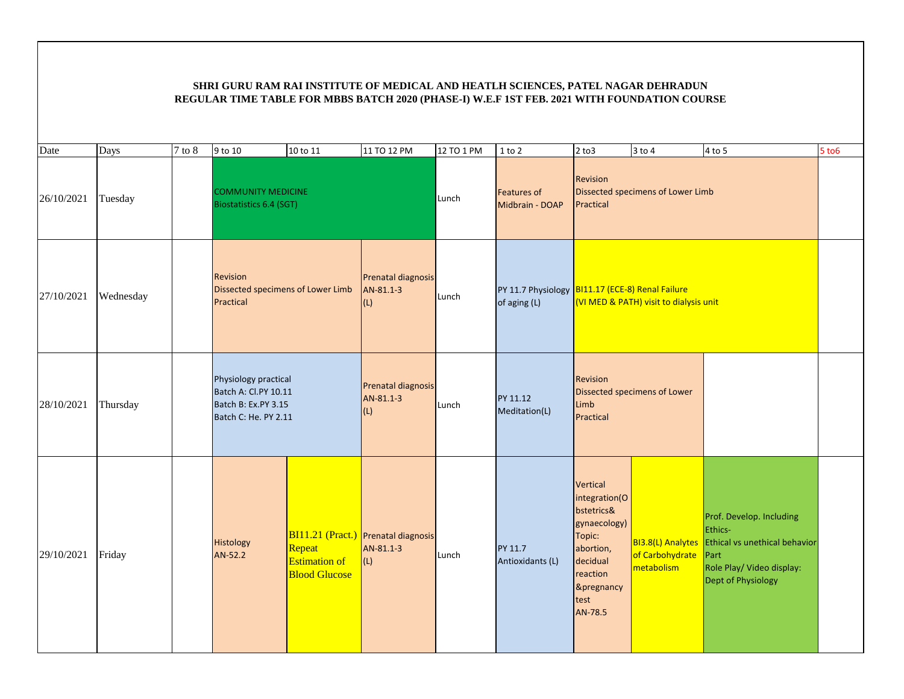| Date       | Days      | 7 to 8 | 9 to 10                                                                                     | 10 to 11                                               | 11 TO 12 PM                                             | 12 TO 1 PM | $1$ to $2$                            | $2$ to $3$                                                                                                                              | $3$ to $4$                        | $4$ to 5                                                                                                                                          | 5 to 6 |
|------------|-----------|--------|---------------------------------------------------------------------------------------------|--------------------------------------------------------|---------------------------------------------------------|------------|---------------------------------------|-----------------------------------------------------------------------------------------------------------------------------------------|-----------------------------------|---------------------------------------------------------------------------------------------------------------------------------------------------|--------|
| 26/10/2021 | Tuesday   |        | <b>COMMUNITY MEDICINE</b><br><b>Biostatistics 6.4 (SGT)</b>                                 |                                                        |                                                         | Lunch      | <b>Features of</b><br>Midbrain - DOAP | Revision<br>Practical                                                                                                                   | Dissected specimens of Lower Limb |                                                                                                                                                   |        |
| 27/10/2021 | Wednesday |        | Revision<br>Dissected specimens of Lower Limb<br>Practical                                  |                                                        | Prenatal diagnosis<br>AN-81.1-3<br>(L)                  | Lunch      | of aging (L)                          | PY 11.7 Physiology BI11.17 (ECE-8) Renal Failure<br>(VI MED & PATH) visit to dialysis unit                                              |                                   |                                                                                                                                                   |        |
| 28/10/2021 | Thursday  |        | Physiology practical<br>Batch A: Cl.PY 10.11<br>Batch B: Ex.PY 3.15<br>Batch C: He. PY 2.11 |                                                        | Prenatal diagnosis<br>AN-81.1-3<br>(L)                  | Lunch      | PY 11.12<br>Meditation(L)             | Revision<br>Limb<br>Practical                                                                                                           | Dissected specimens of Lower      |                                                                                                                                                   |        |
| 29/10/2021 | Friday    |        | Histology<br>AN-52.2                                                                        | Repeat<br><b>Estimation of</b><br><b>Blood Glucose</b> | BI11.21 (Pract.) Prenatal diagnosis<br>AN-81.1-3<br>(L) | Lunch      | PY 11.7<br>Antioxidants (L)           | Vertical<br>integration(O<br>bstetrics&<br>gynaecology)<br>Topic:<br>abortion,<br>decidual<br>reaction<br>&pregnancy<br>test<br>AN-78.5 | of Carbohydrate<br>metabolism     | Prof. Develop. Including<br>Ethics-<br>BI3.8(L) Analytes Ethical vs unethical behavior<br>Part<br>Role Play/ Video display:<br>Dept of Physiology |        |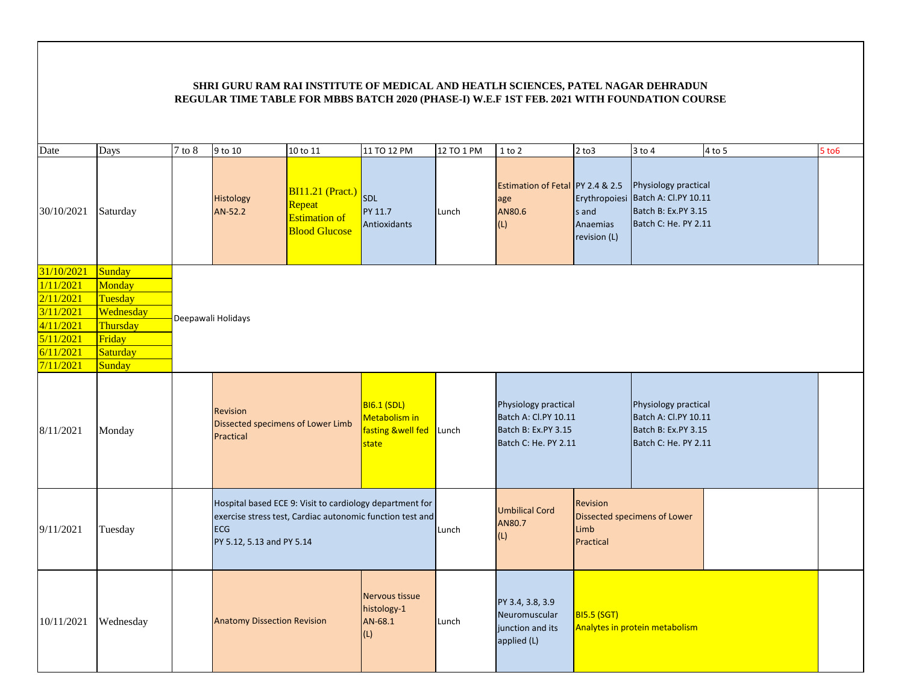| Date       | Days      | $7$ to $8$ | 9 to 10                                                                                                                                                          | 10 to 11                                                                          | 11 TO 12 PM                                                             | 12 TO 1 PM | $1$ to $2$                                                                                  | $2$ to $3$                                                           | $3$ to $4$                                                                                                | 4 to 5 | 5 to 6 |
|------------|-----------|------------|------------------------------------------------------------------------------------------------------------------------------------------------------------------|-----------------------------------------------------------------------------------|-------------------------------------------------------------------------|------------|---------------------------------------------------------------------------------------------|----------------------------------------------------------------------|-----------------------------------------------------------------------------------------------------------|--------|--------|
| 30/10/2021 | Saturday  |            | Histology<br>AN-52.2                                                                                                                                             | <b>BI11.21 (Pract.)</b><br>Repeat<br><b>Estimation of</b><br><b>Blood Glucose</b> | SDL<br>PY 11.7<br>Antioxidants                                          | Lunch      | Estimation of Fetal PY 2.4 & 2.5<br>age<br>AN80.6<br>(L)                                    | s and<br>Anaemias<br>revision (L)                                    | Physiology practical<br>Erythropoiesi Batch A: Cl.PY 10.11<br>Batch B: Ex.PY 3.15<br>Batch C: He. PY 2.11 |        |        |
| 31/10/2021 | Sunday    |            |                                                                                                                                                                  |                                                                                   |                                                                         |            |                                                                                             |                                                                      |                                                                                                           |        |        |
| 1/11/2021  | Monday    |            |                                                                                                                                                                  |                                                                                   |                                                                         |            |                                                                                             |                                                                      |                                                                                                           |        |        |
| 2/11/2021  | Tuesday   |            |                                                                                                                                                                  |                                                                                   |                                                                         |            |                                                                                             |                                                                      |                                                                                                           |        |        |
| 3/11/2021  | Wednesday |            | Deepawali Holidays                                                                                                                                               |                                                                                   |                                                                         |            |                                                                                             |                                                                      |                                                                                                           |        |        |
| 4/11/2021  | Thursday  |            |                                                                                                                                                                  |                                                                                   |                                                                         |            |                                                                                             |                                                                      |                                                                                                           |        |        |
| 5/11/2021  | Friday    |            |                                                                                                                                                                  |                                                                                   |                                                                         |            |                                                                                             |                                                                      |                                                                                                           |        |        |
| 6/11/2021  | Saturday  |            |                                                                                                                                                                  |                                                                                   |                                                                         |            |                                                                                             |                                                                      |                                                                                                           |        |        |
| 7/11/2021  | Sunday    |            |                                                                                                                                                                  |                                                                                   |                                                                         |            |                                                                                             |                                                                      |                                                                                                           |        |        |
| 8/11/2021  | Monday    |            | Revision<br>Dissected specimens of Lower Limb<br>Practical                                                                                                       |                                                                                   | <b>BI6.1 (SDL)</b><br>Metabolism in<br>fasting &well fed Lunch<br>state |            | Physiology practical<br>Batch A: Cl.PY 10.11<br>Batch B: Ex.PY 3.15<br>Batch C: He. PY 2.11 |                                                                      | Physiology practical<br>Batch A: Cl.PY 10.11<br>Batch B: Ex.PY 3.15<br>Batch C: He. PY 2.11               |        |        |
| 9/11/2021  | Tuesday   |            | Hospital based ECE 9: Visit to cardiology department for<br>exercise stress test, Cardiac autonomic function test and<br><b>ECG</b><br>PY 5.12, 5.13 and PY 5.14 |                                                                                   |                                                                         | Lunch      | <b>Umbilical Cord</b><br>AN80.7<br>(L)                                                      | <b>Revision</b><br>Dissected specimens of Lower<br>Limb<br>Practical |                                                                                                           |        |        |
| 10/11/2021 | Wednesday |            | <b>Anatomy Dissection Revision</b>                                                                                                                               |                                                                                   | Nervous tissue<br>histology-1<br>AN-68.1<br>(L)                         | Lunch      | PY 3.4, 3.8, 3.9<br><b>BI5.5 (SGT)</b><br>Neuromuscular<br>junction and its<br>applied (L)  |                                                                      | Analytes in protein metabolism                                                                            |        |        |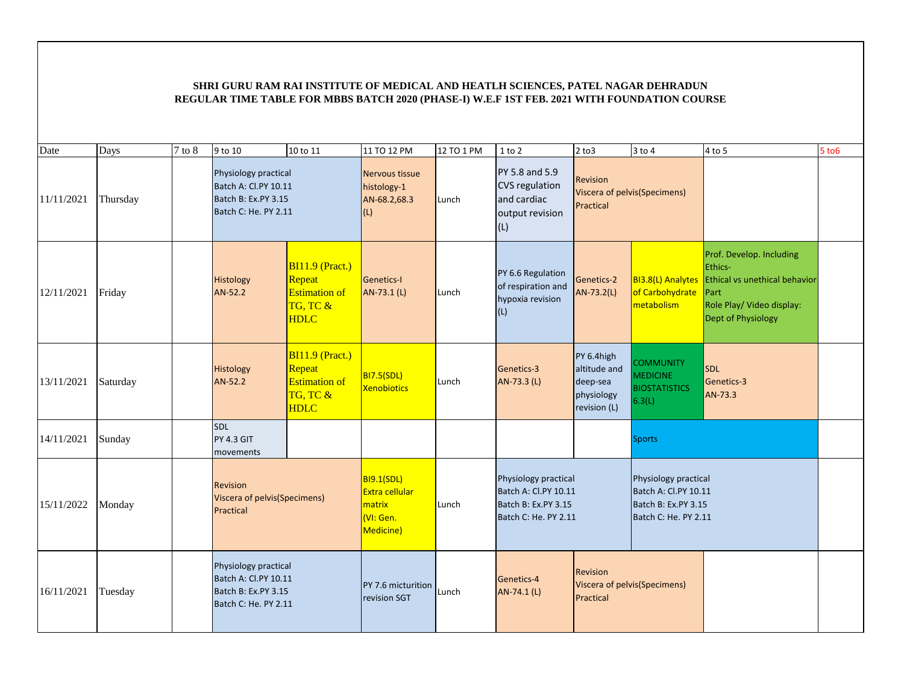| Date       | Days     | $7$ to $8$ | 9 to 10                                                                                     | 10 to 11                                                                       | 11 TO 12 PM                                                                    | 12 TO 1 PM | $1$ to $2$                                                                                  | $2$ to $3$                                                           | $3$ to $4$                                                                                  | $4$ to $5$                                                                                                                             | $5$ to $6$ |
|------------|----------|------------|---------------------------------------------------------------------------------------------|--------------------------------------------------------------------------------|--------------------------------------------------------------------------------|------------|---------------------------------------------------------------------------------------------|----------------------------------------------------------------------|---------------------------------------------------------------------------------------------|----------------------------------------------------------------------------------------------------------------------------------------|------------|
| 11/11/2021 | Thursday |            | Physiology practical<br>Batch A: Cl.PY 10.11<br>Batch B: Ex.PY 3.15<br>Batch C: He. PY 2.11 |                                                                                | Nervous tissue<br>histology-1<br>AN-68.2,68.3<br>(L)                           | Lunch      | PY 5.8 and 5.9<br><b>CVS</b> regulation<br>and cardiac<br>output revision<br>(L)            | <b>Revision</b><br>Viscera of pelvis(Specimens)<br>Practical         |                                                                                             |                                                                                                                                        |            |
| 12/11/2021 | Friday   |            | Histology<br>AN-52.2                                                                        | $BI11.9$ (Pract.)<br>Repeat<br><b>Estimation of</b><br>TG, TC &<br><b>HDLC</b> | <b>Genetics-I</b><br>AN-73.1 (L)                                               | Lunch      | PY 6.6 Regulation<br>of respiration and<br>hypoxia revision<br>(L)                          | Genetics-2<br>AN-73.2(L)                                             | BI3.8(L) Analytes<br>of Carbohydrate<br>metabolism                                          | Prof. Develop. Including<br>Ethics-<br>Ethical vs unethical behavior<br>Part<br>Role Play/ Video display:<br><b>Dept of Physiology</b> |            |
| 13/11/2021 | Saturday |            | <b>Histology</b><br>AN-52.2                                                                 | $BI11.9$ (Pract.)<br>Repeat<br><b>Estimation of</b><br>TG, TC &<br><b>HDLC</b> | <b>BI7.5(SDL)</b><br><b>Xenobiotics</b>                                        | Lunch      | Genetics-3<br>AN-73.3 (L)                                                                   | PY 6.4high<br>altitude and<br>deep-sea<br>physiology<br>revision (L) | <b>COMMUNITY</b><br><b>MEDICINE</b><br><b>BIOSTATISTICS</b><br>6.3(L)                       | <b>SDL</b><br>Genetics-3<br>AN-73.3                                                                                                    |            |
| 14/11/2021 | Sunday   |            | <b>SDL</b><br><b>PY 4.3 GIT</b><br>movements                                                |                                                                                |                                                                                |            |                                                                                             |                                                                      | <b>Sports</b>                                                                               |                                                                                                                                        |            |
| 15/11/2022 | Monday   |            | <b>Revision</b><br>Viscera of pelvis(Specimens)<br>Practical                                |                                                                                | <b>BI9.1(SDL)</b><br><b>Extra cellular</b><br>matrix<br>(VI: Gen.<br>Medicine) | Lunch      | Physiology practical<br>Batch A: Cl.PY 10.11<br>Batch B: Ex.PY 3.15<br>Batch C: He. PY 2.11 |                                                                      | Physiology practical<br>Batch A: Cl.PY 10.11<br>Batch B: Ex.PY 3.15<br>Batch C: He. PY 2.11 |                                                                                                                                        |            |
| 16/11/2021 | Tuesday  |            | Physiology practical<br>Batch A: Cl.PY 10.11<br>Batch B: Ex.PY 3.15<br>Batch C: He. PY 2.11 |                                                                                | PY 7.6 micturition<br>revision SGT                                             | Lunch      | Genetics-4<br>AN-74.1 (L)                                                                   | <b>Revision</b><br>Viscera of pelvis(Specimens)<br>Practical         |                                                                                             |                                                                                                                                        |            |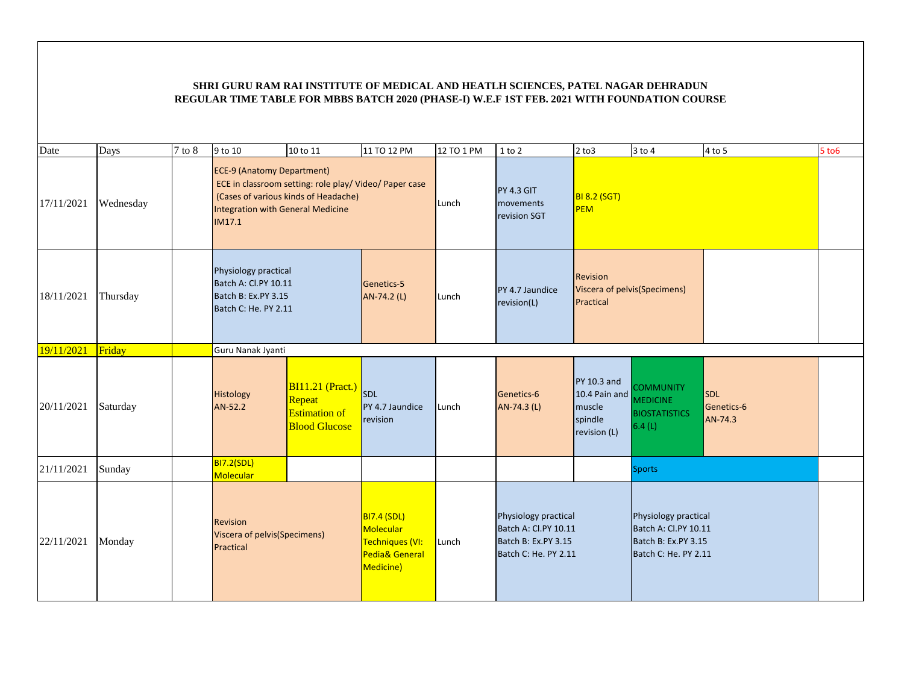| Date       | Days      | 7 to 8 | 9 to 10                                                                                     | 10 to 11                                                                                       | 11 TO 12 PM                                                                                  | 12 TO 1 PM | $1$ to $2$                                                                                  | $2$ to $3$                                                         | $3$ to $4$                                                                                  | 4 to 5                              | $5$ to $6$ |
|------------|-----------|--------|---------------------------------------------------------------------------------------------|------------------------------------------------------------------------------------------------|----------------------------------------------------------------------------------------------|------------|---------------------------------------------------------------------------------------------|--------------------------------------------------------------------|---------------------------------------------------------------------------------------------|-------------------------------------|------------|
| 17/11/2021 | Wednesday |        | <b>ECE-9 (Anatomy Department)</b><br>Integration with General Medicine<br>IM17.1            | ECE in classroom setting: role play/ Video/ Paper case<br>(Cases of various kinds of Headache) |                                                                                              | Lunch      | <b>PY 4.3 GIT</b><br>movements<br>revision SGT                                              | <b>BI 8.2 (SGT)</b><br>PEM                                         |                                                                                             |                                     |            |
| 18/11/2021 | Thursday  |        | Physiology practical<br>Batch A: Cl.PY 10.11<br>Batch B: Ex.PY 3.15<br>Batch C: He. PY 2.11 |                                                                                                | Genetics-5<br>AN-74.2 (L)                                                                    | Lunch      | PY 4.7 Jaundice<br>revision(L)                                                              | Revision<br>Viscera of pelvis(Specimens)<br>Practical              |                                                                                             |                                     |            |
| 19/11/2021 | Friday    |        | Guru Nanak Jyanti                                                                           |                                                                                                |                                                                                              |            |                                                                                             |                                                                    |                                                                                             |                                     |            |
| 20/11/2021 | Saturday  |        | Histology<br>AN-52.2                                                                        | <b>BI11.21 (Pract.)</b><br>Repeat<br><b>Estimation of</b><br><b>Blood Glucose</b>              | <b>SDL</b><br>PY 4.7 Jaundice<br>revision                                                    | Lunch      | Genetics-6<br>AN-74.3 (L)                                                                   | $PY10.3$ and<br>10.4 Pain and<br>muscle<br>spindle<br>revision (L) | <b>COMMUNITY</b><br><b>MEDICINE</b><br><b>BIOSTATISTICS</b><br>6.4(L)                       | <b>SDL</b><br>Genetics-6<br>AN-74.3 |            |
| 21/11/2021 | Sunday    |        | <b>BI7.2(SDL)</b><br>Molecular                                                              |                                                                                                |                                                                                              |            |                                                                                             |                                                                    | <b>Sports</b>                                                                               |                                     |            |
| 22/11/2021 | Monday    |        | <b>Revision</b><br>Viscera of pelvis(Specimens)<br>Practical                                |                                                                                                | <b>BI7.4 (SDL)</b><br>Molecular<br>Techniques (VI:<br><b>Pedia&amp; General</b><br>Medicine) | Lunch      | Physiology practical<br>Batch A: Cl.PY 10.11<br>Batch B: Ex.PY 3.15<br>Batch C: He. PY 2.11 |                                                                    | Physiology practical<br>Batch A: Cl.PY 10.11<br>Batch B: Ex.PY 3.15<br>Batch C: He. PY 2.11 |                                     |            |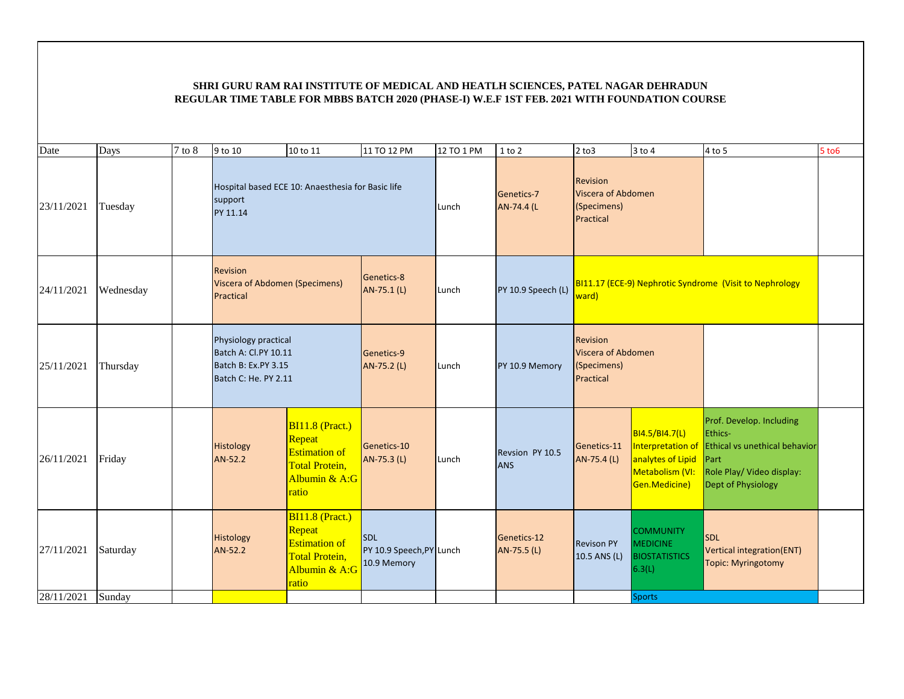| Date       | Days      | $7$ to $8$ | 9 to 10                                                                                     | 10 to 11                                                                                                    | 11 TO 12 PM                                           | 12 TO 1 PM               | $1$ to $2$                                                 | $2$ to $3$                                                        | $3$ to $4$                                                                                   | 4 to 5                                                                                                                          | $5$ to $6$ |
|------------|-----------|------------|---------------------------------------------------------------------------------------------|-------------------------------------------------------------------------------------------------------------|-------------------------------------------------------|--------------------------|------------------------------------------------------------|-------------------------------------------------------------------|----------------------------------------------------------------------------------------------|---------------------------------------------------------------------------------------------------------------------------------|------------|
| 23/11/2021 | Tuesday   |            | Hospital based ECE 10: Anaesthesia for Basic life<br>support<br>PY 11.14                    |                                                                                                             | Lunch                                                 | Genetics-7<br>AN-74.4 (L | Revision<br>Viscera of Abdomen<br>(Specimens)<br>Practical |                                                                   |                                                                                              |                                                                                                                                 |            |
| 24/11/2021 | Wednesday |            | Revision<br><b>Viscera of Abdomen (Specimens)</b><br>Practical                              |                                                                                                             | Genetics-8<br>AN-75.1 (L)                             | Lunch                    | PY 10.9 Speech (L)                                         | BI11.17 (ECE-9) Nephrotic Syndrome (Visit to Nephrology<br>ward)  |                                                                                              |                                                                                                                                 |            |
| 25/11/2021 | Thursday  |            | Physiology practical<br>Batch A: Cl.PY 10.11<br>Batch B: Ex.PY 3.15<br>Batch C: He. PY 2.11 |                                                                                                             | Genetics-9<br>AN-75.2 (L)                             | Lunch                    | PY 10.9 Memory                                             | <b>Revision</b><br>Viscera of Abdomen<br>(Specimens)<br>Practical |                                                                                              |                                                                                                                                 |            |
| 26/11/2021 | Friday    |            | Histology<br>AN-52.2                                                                        | BI11.8 (Pract.)<br>Repeat<br><b>Estimation of</b><br><b>Total Protein,</b><br>Albumin & A:G<br>ratio        | Genetics-10<br>AN-75.3 (L)                            | Lunch                    | Revsion PY 10.5<br><b>ANS</b>                              | Genetics-11<br>AN-75.4 (L)                                        | BI4.5/BI4.7(L)<br>Interpretation of<br>analytes of Lipid<br>Metabolism (VI:<br>Gen.Medicine) | Prof. Develop. Including<br>Ethics-<br>Ethical vs unethical behavior<br>Part<br>Role Play/ Video display:<br>Dept of Physiology |            |
| 27/11/2021 | Saturday  |            | Histology<br>AN-52.2                                                                        | <b>BI11.8 (Pract.)</b><br>Repeat<br><b>Estimation</b> of<br><b>Total Protein,</b><br>Albumin & A:G<br>ratio | <b>SDL</b><br>PY 10.9 Speech, PY Lunch<br>10.9 Memory |                          | Genetics-12<br>AN-75.5 (L)                                 | <b>Revison PY</b><br>$10.5$ ANS (L)                               | <b>COMMUNITY</b><br><b>MEDICINE</b><br><b>BIOSTATISTICS</b><br>6.3(L)                        | <b>SDL</b><br><b>Vertical integration(ENT)</b><br>Topic: Myringotomy                                                            |            |
| 28/11/2021 | Sunday    |            |                                                                                             |                                                                                                             |                                                       |                          |                                                            |                                                                   | <b>Sports</b>                                                                                |                                                                                                                                 |            |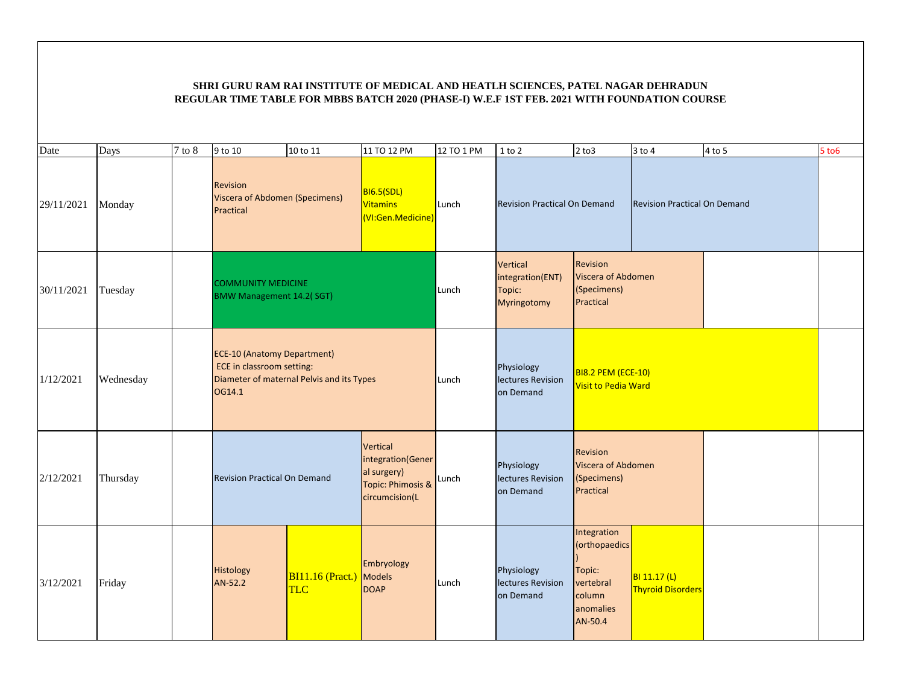| Date       | Days      | $7$ to $8$ | $9$ to 10                                                                                                              | 10 to 11                              | 11 TO 12 PM                                                                         | 12 TO 1 PM | $1$ to $2$                                            | $2$ to $3$                                                                            | $3$ to $4$                               | $4$ to 5 | $5$ to $6$ |
|------------|-----------|------------|------------------------------------------------------------------------------------------------------------------------|---------------------------------------|-------------------------------------------------------------------------------------|------------|-------------------------------------------------------|---------------------------------------------------------------------------------------|------------------------------------------|----------|------------|
| 29/11/2021 | Monday    |            | <b>Revision</b><br>Viscera of Abdomen (Specimens)<br>Practical                                                         |                                       | <b>BI6.5(SDL)</b><br>Vitamins<br>(VI:Gen.Medicine)                                  | Lunch      | <b>Revision Practical On Demand</b>                   |                                                                                       | <b>Revision Practical On Demand</b>      |          |            |
| 30/11/2021 | Tuesday   |            | <b>COMMUNITY MEDICINE</b><br><b>BMW Management 14.2( SGT)</b>                                                          |                                       |                                                                                     | Lunch      | Vertical<br>integration(ENT)<br>Topic:<br>Myringotomy | <b>Revision</b><br>Viscera of Abdomen<br>(Specimens)<br>Practical                     |                                          |          |            |
| 1/12/2021  | Wednesday |            | <b>ECE-10 (Anatomy Department)</b><br>ECE in classroom setting:<br>Diameter of maternal Pelvis and its Types<br>OG14.1 |                                       |                                                                                     | Lunch      | Physiology<br>lectures Revision<br>on Demand          | <b>BI8.2 PEM (ECE-10)</b><br><b>Visit to Pedia Ward</b>                               |                                          |          |            |
| 2/12/2021  | Thursday  |            | <b>Revision Practical On Demand</b>                                                                                    |                                       | Vertical<br>integration(Gener<br>al surgery)<br>Topic: Phimosis &<br>circumcision(L | Lunch      | Physiology<br>lectures Revision<br>on Demand          | <b>Revision</b><br>Viscera of Abdomen<br>(Specimens)<br>Practical                     |                                          |          |            |
| 3/12/2021  | Friday    |            | <b>Histology</b><br>AN-52.2                                                                                            | <b>BI11.16 (Pract.)</b><br><b>TLC</b> | Embryology<br>Models<br><b>DOAP</b>                                                 | Lunch      | Physiology<br>lectures Revision<br>on Demand          | Integration<br>(orthopaedics<br>Topic:<br>vertebral<br>column<br>anomalies<br>AN-50.4 | BI 11.17 (L)<br><b>Thyroid Disorders</b> |          |            |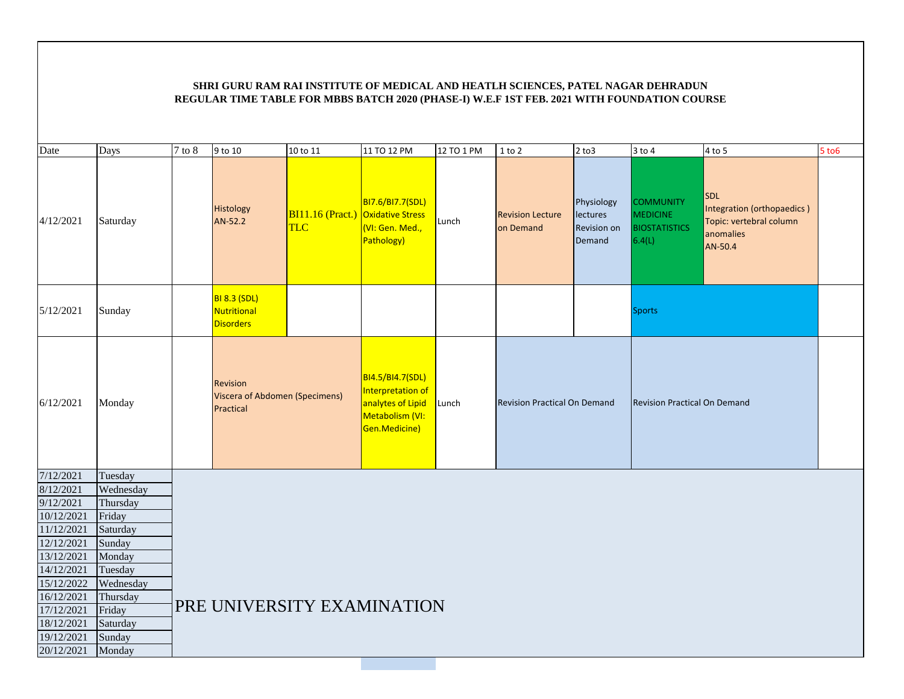| Date       | Days      | 7 to 8 | 9 to 10                                                 | 10 to 11                                        | 11 TO 12 PM                                                                                    | 12 TO 1 PM | $1$ to $2$                           | $2$ to $3$                                      | $3$ to $4$                                                            | 4 to 5                                                                                      | $5$ to $6$ |
|------------|-----------|--------|---------------------------------------------------------|-------------------------------------------------|------------------------------------------------------------------------------------------------|------------|--------------------------------------|-------------------------------------------------|-----------------------------------------------------------------------|---------------------------------------------------------------------------------------------|------------|
| 4/12/2021  | Saturday  |        | Histology<br>AN-52.2                                    | <b>BI11.16 (Pract.) Oxidative Stress</b><br>TLC | BI7.6/BI7.7(SDL)<br>(VI: Gen. Med.,<br>Pathology)                                              | Lunch      | <b>Revision Lecture</b><br>on Demand | Physiology<br>lectures<br>Revision on<br>Demand | <b>COMMUNITY</b><br><b>MEDICINE</b><br><b>BIOSTATISTICS</b><br>6.4(L) | <b>SDL</b><br>Integration (orthopaedics)<br>Topic: vertebral column<br>anomalies<br>AN-50.4 |            |
| 5/12/2021  | Sunday    |        | <b>BI 8.3 (SDL)</b><br>Nutritional<br><b>Disorders</b>  |                                                 |                                                                                                |            |                                      |                                                 | <b>Sports</b>                                                         |                                                                                             |            |
| 6/12/2021  | Monday    |        | Revision<br>Viscera of Abdomen (Specimens)<br>Practical |                                                 | BI4.5/BI4.7(SDL)<br>Interpretation of<br>analytes of Lipid<br>Metabolism (VI:<br>Gen.Medicine) | Lunch      | <b>Revision Practical On Demand</b>  |                                                 | <b>Revision Practical On Demand</b>                                   |                                                                                             |            |
| 7/12/2021  | Tuesday   |        |                                                         |                                                 |                                                                                                |            |                                      |                                                 |                                                                       |                                                                                             |            |
| 8/12/2021  | Wednesday |        |                                                         |                                                 |                                                                                                |            |                                      |                                                 |                                                                       |                                                                                             |            |
| 9/12/2021  | Thursday  |        |                                                         |                                                 |                                                                                                |            |                                      |                                                 |                                                                       |                                                                                             |            |
| 10/12/2021 | Friday    |        |                                                         |                                                 |                                                                                                |            |                                      |                                                 |                                                                       |                                                                                             |            |
| 11/12/2021 | Saturday  |        |                                                         |                                                 |                                                                                                |            |                                      |                                                 |                                                                       |                                                                                             |            |
| 12/12/2021 | Sunday    |        |                                                         |                                                 |                                                                                                |            |                                      |                                                 |                                                                       |                                                                                             |            |
| 13/12/2021 | Monday    |        |                                                         |                                                 |                                                                                                |            |                                      |                                                 |                                                                       |                                                                                             |            |
| 14/12/2021 | Tuesday   |        |                                                         |                                                 |                                                                                                |            |                                      |                                                 |                                                                       |                                                                                             |            |
| 15/12/2022 | Wednesday |        |                                                         |                                                 |                                                                                                |            |                                      |                                                 |                                                                       |                                                                                             |            |
| 16/12/2021 | Thursday  |        |                                                         |                                                 |                                                                                                |            |                                      |                                                 |                                                                       |                                                                                             |            |
| 17/12/2021 | Friday    |        | PRE UNIVERSITY EXAMINATION                              |                                                 |                                                                                                |            |                                      |                                                 |                                                                       |                                                                                             |            |
| 18/12/2021 | Saturday  |        |                                                         |                                                 |                                                                                                |            |                                      |                                                 |                                                                       |                                                                                             |            |
| 19/12/2021 | Sunday    |        |                                                         |                                                 |                                                                                                |            |                                      |                                                 |                                                                       |                                                                                             |            |
| 20/12/2021 | Monday    |        |                                                         |                                                 |                                                                                                |            |                                      |                                                 |                                                                       |                                                                                             |            |
|            |           |        |                                                         |                                                 |                                                                                                |            |                                      |                                                 |                                                                       |                                                                                             |            |